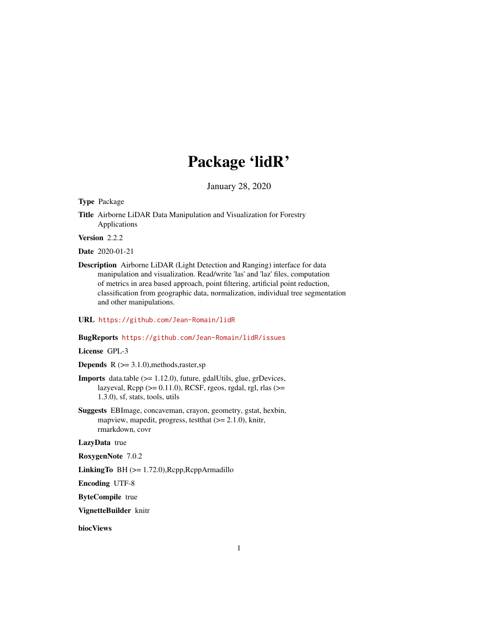# Package 'lidR'

January 28, 2020

<span id="page-0-0"></span>Type Package

Title Airborne LiDAR Data Manipulation and Visualization for Forestry Applications

Version 2.2.2

Date 2020-01-21

Description Airborne LiDAR (Light Detection and Ranging) interface for data manipulation and visualization. Read/write 'las' and 'laz' files, computation of metrics in area based approach, point filtering, artificial point reduction, classification from geographic data, normalization, individual tree segmentation and other manipulations.

URL <https://github.com/Jean-Romain/lidR>

#### BugReports <https://github.com/Jean-Romain/lidR/issues>

License GPL-3

**Depends**  $R$  ( $>= 3.1.0$ ), methods, raster, sp

- **Imports** data.table  $(>= 1.12.0)$ , future, gdalUtils, glue, grDevices, lazyeval,  $\text{Rcpp}$  ( $>= 0.11.0$ ),  $\text{RCSF}$ , rgeos, rgdal, rgl, rlas ( $>=$ 1.3.0), sf, stats, tools, utils
- Suggests EBImage, concaveman, crayon, geometry, gstat, hexbin, mapview, mapedit, progress, test that  $(>= 2.1.0)$ , knitr, rmarkdown, covr

LazyData true

RoxygenNote 7.0.2

LinkingTo BH (>= 1.72.0),Rcpp,RcppArmadillo

Encoding UTF-8

ByteCompile true

VignetteBuilder knitr

biocViews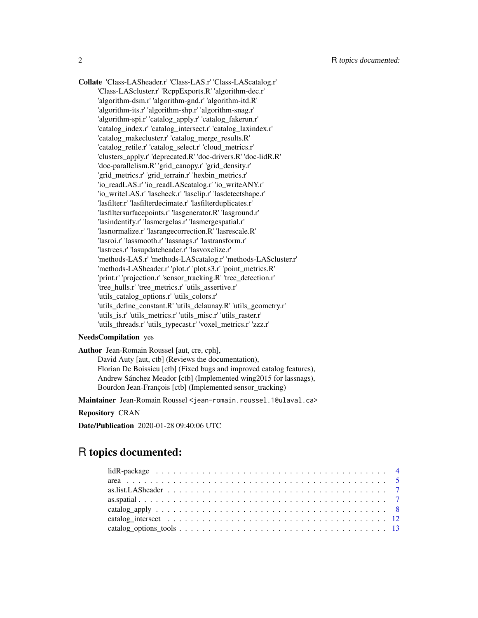Collate 'Class-LASheader.r' 'Class-LAS.r' 'Class-LAScatalog.r' 'Class-LAScluster.r' 'RcppExports.R' 'algorithm-dec.r' 'algorithm-dsm.r' 'algorithm-gnd.r' 'algorithm-itd.R' 'algorithm-its.r' 'algorithm-shp.r' 'algorithm-snag.r' 'algorithm-spi.r' 'catalog\_apply.r' 'catalog\_fakerun.r' 'catalog\_index.r' 'catalog\_intersect.r' 'catalog\_laxindex.r' 'catalog\_makecluster.r' 'catalog\_merge\_results.R' 'catalog\_retile.r' 'catalog\_select.r' 'cloud\_metrics.r' 'clusters\_apply.r' 'deprecated.R' 'doc-drivers.R' 'doc-lidR.R' 'doc-parallelism.R' 'grid\_canopy.r' 'grid\_density.r' 'grid\_metrics.r' 'grid\_terrain.r' 'hexbin\_metrics.r' 'io\_readLAS.r' 'io\_readLAScatalog.r' 'io\_writeANY.r' 'io\_writeLAS.r' 'lascheck.r' 'lasclip.r' 'lasdetectshape.r' 'lasfilter.r' 'lasfilterdecimate.r' 'lasfilterduplicates.r' 'lasfiltersurfacepoints.r' 'lasgenerator.R' 'lasground.r' 'lasindentify.r' 'lasmergelas.r' 'lasmergespatial.r' 'lasnormalize.r' 'lasrangecorrection.R' 'lasrescale.R' 'lasroi.r' 'lassmooth.r' 'lassnags.r' 'lastransform.r' 'lastrees.r' 'lasupdateheader.r' 'lasvoxelize.r' 'methods-LAS.r' 'methods-LAScatalog.r' 'methods-LAScluster.r' 'methods-LASheader.r' 'plot.r' 'plot.s3.r' 'point\_metrics.R' 'print.r' 'projection.r' 'sensor\_tracking.R' 'tree\_detection.r' 'tree\_hulls.r' 'tree\_metrics.r' 'utils\_assertive.r' 'utils\_catalog\_options.r' 'utils\_colors.r' 'utils\_define\_constant.R' 'utils\_delaunay.R' 'utils\_geometry.r' 'utils\_is.r' 'utils\_metrics.r' 'utils\_misc.r' 'utils\_raster.r' 'utils\_threads.r' 'utils\_typecast.r' 'voxel\_metrics.r' 'zzz.r'

# NeedsCompilation yes

Author Jean-Romain Roussel [aut, cre, cph], David Auty [aut, ctb] (Reviews the documentation), Florian De Boissieu [ctb] (Fixed bugs and improved catalog features), Andrew Sánchez Meador [ctb] (Implemented wing2015 for lassnags), Bourdon Jean-François [ctb] (Implemented sensor\_tracking)

Maintainer Jean-Romain Roussel <jean-romain.roussel.1@ulaval.ca>

#### Repository CRAN

Date/Publication 2020-01-28 09:40:06 UTC

# R topics documented: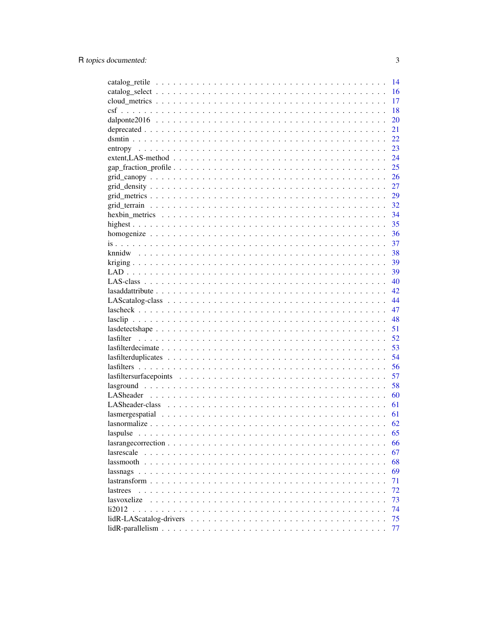|                                                                                                                |  |  |  |  |  |  |  |  |  |  |  | 14  |
|----------------------------------------------------------------------------------------------------------------|--|--|--|--|--|--|--|--|--|--|--|-----|
|                                                                                                                |  |  |  |  |  |  |  |  |  |  |  | 16  |
|                                                                                                                |  |  |  |  |  |  |  |  |  |  |  | 17  |
|                                                                                                                |  |  |  |  |  |  |  |  |  |  |  | 18  |
|                                                                                                                |  |  |  |  |  |  |  |  |  |  |  | 20  |
|                                                                                                                |  |  |  |  |  |  |  |  |  |  |  | 21  |
|                                                                                                                |  |  |  |  |  |  |  |  |  |  |  | 22  |
|                                                                                                                |  |  |  |  |  |  |  |  |  |  |  | 23  |
| $extent, LAS-method \dots \dots \dots \dots \dots \dots \dots \dots \dots \dots \dots \dots \dots \dots \dots$ |  |  |  |  |  |  |  |  |  |  |  | 24  |
|                                                                                                                |  |  |  |  |  |  |  |  |  |  |  | 25  |
|                                                                                                                |  |  |  |  |  |  |  |  |  |  |  | 26  |
|                                                                                                                |  |  |  |  |  |  |  |  |  |  |  | 27  |
|                                                                                                                |  |  |  |  |  |  |  |  |  |  |  | 29  |
|                                                                                                                |  |  |  |  |  |  |  |  |  |  |  | 32  |
|                                                                                                                |  |  |  |  |  |  |  |  |  |  |  | 34  |
|                                                                                                                |  |  |  |  |  |  |  |  |  |  |  | 35  |
|                                                                                                                |  |  |  |  |  |  |  |  |  |  |  | 36  |
|                                                                                                                |  |  |  |  |  |  |  |  |  |  |  | 37  |
|                                                                                                                |  |  |  |  |  |  |  |  |  |  |  | 38  |
|                                                                                                                |  |  |  |  |  |  |  |  |  |  |  | 39  |
|                                                                                                                |  |  |  |  |  |  |  |  |  |  |  | 39  |
|                                                                                                                |  |  |  |  |  |  |  |  |  |  |  | 40  |
|                                                                                                                |  |  |  |  |  |  |  |  |  |  |  | 42. |
|                                                                                                                |  |  |  |  |  |  |  |  |  |  |  | 44  |
|                                                                                                                |  |  |  |  |  |  |  |  |  |  |  | 47  |
|                                                                                                                |  |  |  |  |  |  |  |  |  |  |  | 48  |
|                                                                                                                |  |  |  |  |  |  |  |  |  |  |  | 51  |
|                                                                                                                |  |  |  |  |  |  |  |  |  |  |  | 52  |
|                                                                                                                |  |  |  |  |  |  |  |  |  |  |  | 53  |
|                                                                                                                |  |  |  |  |  |  |  |  |  |  |  | 54  |
|                                                                                                                |  |  |  |  |  |  |  |  |  |  |  | 56  |
|                                                                                                                |  |  |  |  |  |  |  |  |  |  |  | 57  |
|                                                                                                                |  |  |  |  |  |  |  |  |  |  |  | 58  |
|                                                                                                                |  |  |  |  |  |  |  |  |  |  |  | 60  |
|                                                                                                                |  |  |  |  |  |  |  |  |  |  |  | 61  |
|                                                                                                                |  |  |  |  |  |  |  |  |  |  |  | 61  |
|                                                                                                                |  |  |  |  |  |  |  |  |  |  |  | 62  |
| laspulse                                                                                                       |  |  |  |  |  |  |  |  |  |  |  | 65  |
|                                                                                                                |  |  |  |  |  |  |  |  |  |  |  | 66  |
|                                                                                                                |  |  |  |  |  |  |  |  |  |  |  | 67  |
|                                                                                                                |  |  |  |  |  |  |  |  |  |  |  | 68  |
|                                                                                                                |  |  |  |  |  |  |  |  |  |  |  | 69  |
|                                                                                                                |  |  |  |  |  |  |  |  |  |  |  | 71  |
| lastrees                                                                                                       |  |  |  |  |  |  |  |  |  |  |  | 72  |
| lasvoxelize                                                                                                    |  |  |  |  |  |  |  |  |  |  |  | 73  |
| 112012                                                                                                         |  |  |  |  |  |  |  |  |  |  |  | 74  |
|                                                                                                                |  |  |  |  |  |  |  |  |  |  |  | 75  |
|                                                                                                                |  |  |  |  |  |  |  |  |  |  |  | 77  |
|                                                                                                                |  |  |  |  |  |  |  |  |  |  |  |     |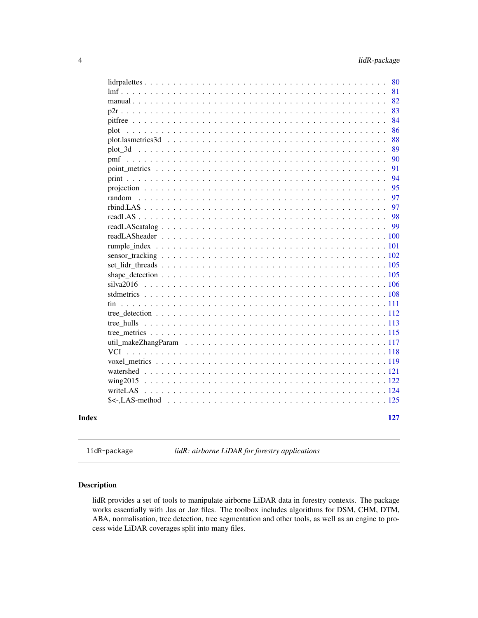<span id="page-3-0"></span>

|       | 80                      |
|-------|-------------------------|
|       | 81                      |
|       | 82<br>manual $\ldots$   |
|       | 83                      |
|       | 84                      |
|       | 86                      |
|       | 88<br>plot.lasmetrics3d |
|       | 89                      |
|       | 90                      |
|       | 91                      |
|       | 94                      |
|       | 95                      |
|       | 97                      |
|       | 97                      |
|       | 98                      |
|       | 99                      |
|       |                         |
|       |                         |
|       |                         |
|       |                         |
|       |                         |
|       |                         |
|       | stdmetrics              |
|       |                         |
|       |                         |
|       |                         |
|       |                         |
|       |                         |
|       |                         |
|       |                         |
|       |                         |
|       |                         |
|       |                         |
|       |                         |
|       |                         |
| Index | 127                     |
|       |                         |

lidR-package *lidR: airborne LiDAR for forestry applications*

# Description

lidR provides a set of tools to manipulate airborne LiDAR data in forestry contexts. The package works essentially with .las or .laz files. The toolbox includes algorithms for DSM, CHM, DTM, ABA, normalisation, tree detection, tree segmentation and other tools, as well as an engine to process wide LiDAR coverages split into many files.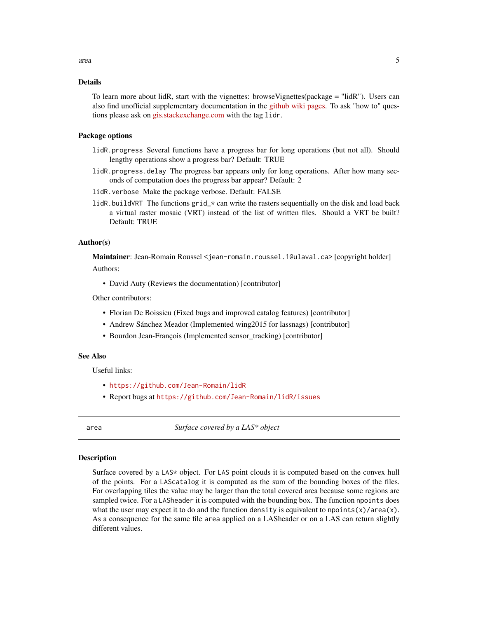# <span id="page-4-0"></span>Details

To learn more about lidR, start with the vignettes: browseVignettes(package = "lidR"). Users can also find unofficial supplementary documentation in the [github wiki pages.](https://github.com/Jean-Romain/lidR/wiki) To ask "how to" questions please ask on [gis.stackexchange.com](https://gis.stackexchange.com/) with the tag lidr.

#### Package options

- lidR.progress Several functions have a progress bar for long operations (but not all). Should lengthy operations show a progress bar? Default: TRUE
- lidR.progress.delay The progress bar appears only for long operations. After how many seconds of computation does the progress bar appear? Default: 2
- lidR.verbose Make the package verbose. Default: FALSE
- lidR.buildVRT The functions grid\_\* can write the rasters sequentially on the disk and load back a virtual raster mosaic (VRT) instead of the list of written files. Should a VRT be built? Default: TRUE

#### Author(s)

Maintainer: Jean-Romain Roussel <jean-romain.roussel.1@ulaval.ca> [copyright holder]

Authors:

• David Auty (Reviews the documentation) [contributor]

Other contributors:

- Florian De Boissieu (Fixed bugs and improved catalog features) [contributor]
- Andrew Sánchez Meador (Implemented wing2015 for lassnags) [contributor]
- Bourdon Jean-François (Implemented sensor tracking) [contributor]

# See Also

Useful links:

- <https://github.com/Jean-Romain/lidR>
- Report bugs at <https://github.com/Jean-Romain/lidR/issues>

area *Surface covered by a LAS\* object*

# Description

Surface covered by a LAS\* object. For LAS point clouds it is computed based on the convex hull of the points. For a LAScatalog it is computed as the sum of the bounding boxes of the files. For overlapping tiles the value may be larger than the total covered area because some regions are sampled twice. For a LASheader it is computed with the bounding box. The function npoints does what the user may expect it to do and the function density is equivalent to npoints(x)/area(x). As a consequence for the same file area applied on a LASheader or on a LAS can return slightly different values.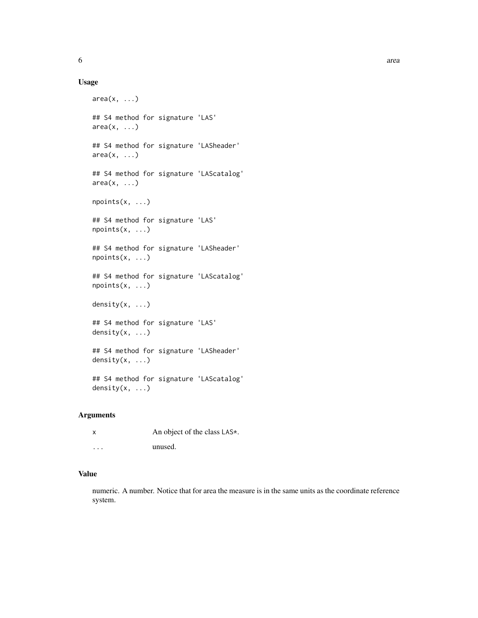# Usage

```
area(x, \ldots)## S4 method for signature 'LAS'
area(x, \ldots)## S4 method for signature 'LASheader'
area(x, \ldots)## S4 method for signature 'LAScatalog'
area(x, \ldots)npoints(x, ...)
## S4 method for signature 'LAS'
npoints(x, ...)
## S4 method for signature 'LASheader'
npoints(x, ...)
## S4 method for signature 'LAScatalog'
npoints(x, ...)
density(x, ...)
## S4 method for signature 'LAS'
density(x, ...)
## S4 method for signature 'LASheader'
density(x, ...)
## S4 method for signature 'LAScatalog'
density(x, \ldots)
```
#### Arguments

| x        | An object of the class LAS*. |
|----------|------------------------------|
| $\cdots$ | unused.                      |

# Value

numeric. A number. Notice that for area the measure is in the same units as the coordinate reference system.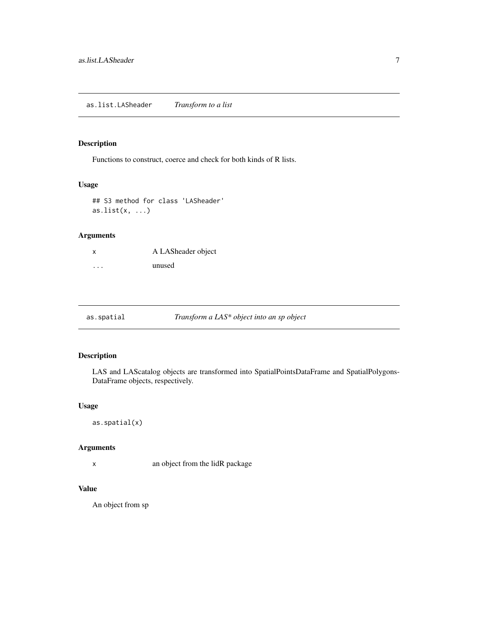# <span id="page-6-0"></span>Description

Functions to construct, coerce and check for both kinds of R lists.

# Usage

## S3 method for class 'LASheader' as.list $(x, \ldots)$ 

# Arguments

| x | A LASheader object |
|---|--------------------|
| . | unused             |

| as.spatial | Transform a LAS* object into an sp object |  |
|------------|-------------------------------------------|--|
|            |                                           |  |

# Description

LAS and LAScatalog objects are transformed into SpatialPointsDataFrame and SpatialPolygons-DataFrame objects, respectively.

# Usage

as.spatial(x)

# Arguments

x an object from the lidR package

# Value

An object from sp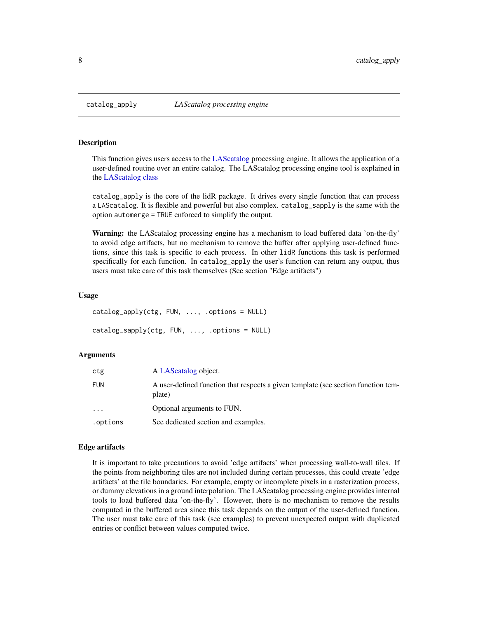<span id="page-7-0"></span>

# **Description**

This function gives users access to the [LAScatalog](#page-0-0) processing engine. It allows the application of a user-defined routine over an entire catalog. The LAScatalog processing engine tool is explained in the [LAScatalog class](#page-0-0)

catalog\_apply is the core of the lidR package. It drives every single function that can process a LAScatalog. It is flexible and powerful but also complex. catalog\_sapply is the same with the option automerge = TRUE enforced to simplify the output.

Warning: the LAScatalog processing engine has a mechanism to load buffered data 'on-the-fly' to avoid edge artifacts, but no mechanism to remove the buffer after applying user-defined functions, since this task is specific to each process. In other lidR functions this task is performed specifically for each function. In catalog\_apply the user's function can return any output, thus users must take care of this task themselves (See section "Edge artifacts")

# Usage

```
catalog_apply(ctg, FUN, ..., .options = NULL)
catalog_sapply(ctg, FUN, ..., .options = NULL)
```
#### Arguments

| ctg        | A LAScatalog object.                                                                        |
|------------|---------------------------------------------------------------------------------------------|
| <b>FUN</b> | A user-defined function that respects a given template (see section function tem-<br>plate) |
| $\ddots$   | Optional arguments to FUN.                                                                  |
| .options   | See dedicated section and examples.                                                         |

# Edge artifacts

It is important to take precautions to avoid 'edge artifacts' when processing wall-to-wall tiles. If the points from neighboring tiles are not included during certain processes, this could create 'edge artifacts' at the tile boundaries. For example, empty or incomplete pixels in a rasterization process, or dummy elevations in a ground interpolation. The LAScatalog processing engine provides internal tools to load buffered data 'on-the-fly'. However, there is no mechanism to remove the results computed in the buffered area since this task depends on the output of the user-defined function. The user must take care of this task (see examples) to prevent unexpected output with duplicated entries or conflict between values computed twice.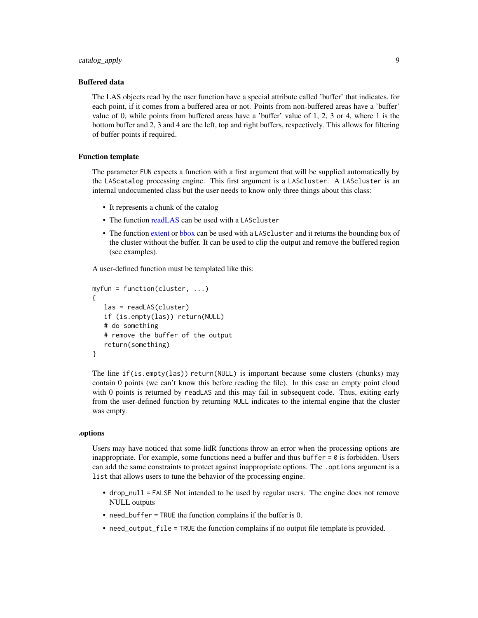# catalog\_apply 9

#### Buffered data

The LAS objects read by the user function have a special attribute called 'buffer' that indicates, for each point, if it comes from a buffered area or not. Points from non-buffered areas have a 'buffer' value of 0, while points from buffered areas have a 'buffer' value of 1, 2, 3 or 4, where 1 is the bottom buffer and 2, 3 and 4 are the left, top and right buffers, respectively. This allows for filtering of buffer points if required.

# Function template

The parameter FUN expects a function with a first argument that will be supplied automatically by the LAScatalog processing engine. This first argument is a LAScluster. A LAScluster is an internal undocumented class but the user needs to know only three things about this class:

- It represents a chunk of the catalog
- The function [readLAS](#page-97-1) can be used with a LAScluster
- The function [extent](#page-0-0) or [bbox](#page-0-0) can be used with a LAScluster and it returns the bounding box of the cluster without the buffer. It can be used to clip the output and remove the buffered region (see examples).

A user-defined function must be templated like this:

```
myfun = function(cluster, ...){
   las = readLAS(cluster)
   if (is.empty(las)) return(NULL)
   # do something
   # remove the buffer of the output
   return(something)
}
```
The line if(is.empty(las)) return(NULL) is important because some clusters (chunks) may contain 0 points (we can't know this before reading the file). In this case an empty point cloud with 0 points is returned by readLAS and this may fail in subsequent code. Thus, exiting early from the user-defined function by returning NULL indicates to the internal engine that the cluster was empty.

# .options

Users may have noticed that some lidR functions throw an error when the processing options are inappropriate. For example, some functions need a buffer and thus buffer = 0 is forbidden. Users can add the same constraints to protect against inappropriate options. The .options argument is a list that allows users to tune the behavior of the processing engine.

- drop\_null = FALSE Not intended to be used by regular users. The engine does not remove NULL outputs
- need\_buffer = TRUE the function complains if the buffer is 0.
- need\_output\_file = TRUE the function complains if no output file template is provided.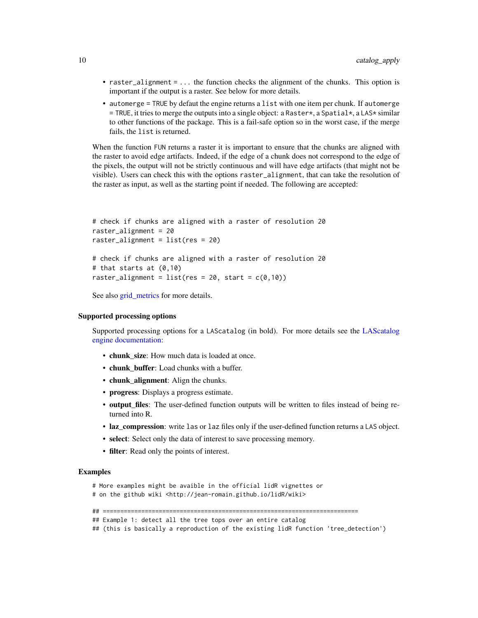- raster\_alignment = ... the function checks the alignment of the chunks. This option is important if the output is a raster. See below for more details.
- automerge = TRUE by defaut the engine returns a list with one item per chunk. If automerge  $=$  TRUE, it tries to merge the outputs into a single object: a Raster  $\star$ , a Spatial  $\star$ , a LAS $\star$  similar to other functions of the package. This is a fail-safe option so in the worst case, if the merge fails, the list is returned.

When the function FUN returns a raster it is important to ensure that the chunks are aligned with the raster to avoid edge artifacts. Indeed, if the edge of a chunk does not correspond to the edge of the pixels, the output will not be strictly continuous and will have edge artifacts (that might not be visible). Users can check this with the options raster\_alignment, that can take the resolution of the raster as input, as well as the starting point if needed. The following are accepted:

```
# check if chunks are aligned with a raster of resolution 20
raster_alignment = 20
raster_alignment = list(res = 20)
# check if chunks are aligned with a raster of resolution 20
# that starts at (0,10)
raster_alignment = list(res = 20, start = c(0,10))
```
See also [grid\\_metrics](#page-28-1) for more details.

#### Supported processing options

Supported processing options for a LAScatalog (in bold). For more details see the [LAScatalog](#page-0-0) [engine documentation:](#page-0-0)

- chunk\_size: How much data is loaded at once.
- chunk buffer: Load chunks with a buffer.
- chunk\_alignment: Align the chunks.
- progress: Displays a progress estimate.
- output files: The user-defined function outputs will be written to files instead of being returned into R.
- laz compression: write las or laz files only if the user-defined function returns a LAS object.
- select: Select only the data of interest to save processing memory.
- filter: Read only the points of interest.

#### Examples

# More examples might be avaible in the official lidR vignettes or # on the github wiki <http://jean-romain.github.io/lidR/wiki>

## =========================================================================

## Example 1: detect all the tree tops over an entire catalog

## (this is basically a reproduction of the existing lidR function 'tree\_detection')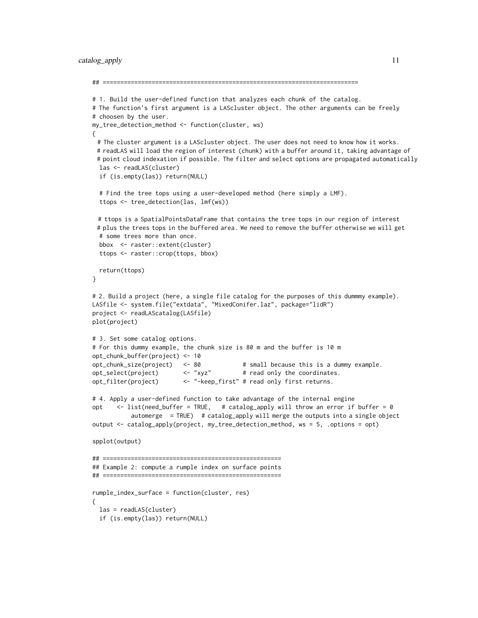# catalog\_apply 11

```
## =========================================================================
# 1. Build the user-defined function that analyzes each chunk of the catalog.
# The function's first argument is a LAScluster object. The other arguments can be freely
# choosen by the user.
my_tree_detection_method <- function(cluster, ws)
{
 # The cluster argument is a LAScluster object. The user does not need to know how it works.
 # readLAS will load the region of interest (chunk) with a buffer around it, taking advantage of
 # point cloud indexation if possible. The filter and select options are propagated automatically
 las <- readLAS(cluster)
 if (is.empty(las)) return(NULL)
 # Find the tree tops using a user-developed method (here simply a LMF).
 ttops <- tree_detection(las, lmf(ws))
 # ttops is a SpatialPointsDataFrame that contains the tree tops in our region of interest
 # plus the trees tops in the buffered area. We need to remove the buffer otherwise we will get
 # some trees more than once.
 bbox <- raster::extent(cluster)
 ttops <- raster::crop(ttops, bbox)
 return(ttops)
}
# 2. Build a project (here, a single file catalog for the purposes of this dummmy example).
LASfile <- system.file("extdata", "MixedConifer.laz", package="lidR")
project <- readLAScatalog(LASfile)
plot(project)
# 3. Set some catalog options.
# For this dummy example, the chunk size is 80 m and the buffer is 10 m
opt_chunk_buffer(project) <- 10
opt_chunk_size(project) <- 80 # small because this is a dummy example.
opt_select(project) <- "xyz" # read only the coordinates.
opt_filter(project) <- "-keep_first" # read only first returns.
# 4. Apply a user-defined function to take advantage of the internal engine
opt <- list(need_buffer = TRUE, # catalog_apply will throw an error if buffer = 0
           automerge = TRUE) # catalog_apply will merge the outputs into a single object
output <- catalog_apply(project, my_tree_detection_method, ws = 5, .options = opt)
spplot(output)
## ===================================================
## Example 2: compute a rumple index on surface points
## ===================================================
rumple_index_surface = function(cluster, res)
{
 las = readLAS(cluster)
 if (is.empty(las)) return(NULL)
```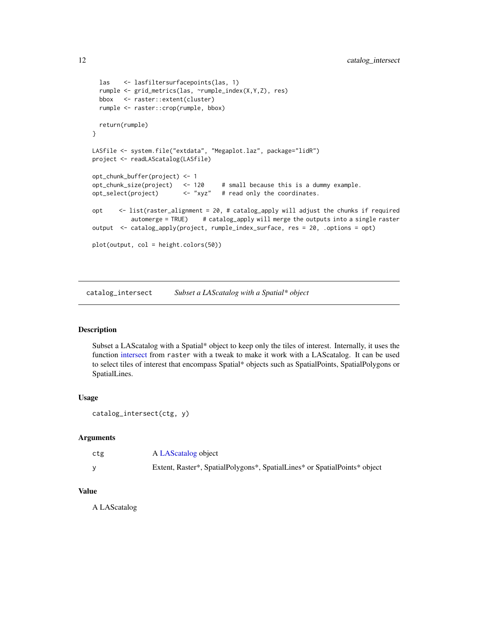```
las <- lasfiltersurfacepoints(las, 1)
 rumple <- grid_metrics(las, ~rumple_index(X,Y,Z), res)
 bbox <- raster::extent(cluster)
 rumple <- raster::crop(rumple, bbox)
 return(rumple)
}
LASfile <- system.file("extdata", "Megaplot.laz", package="lidR")
project <- readLAScatalog(LASfile)
opt_chunk_buffer(project) <- 1
opt_chunk_size(project) <- 120 # small because this is a dummy example.<br>opt_select(project) <- "xyz" # read only the coordinates.
opt_select(project) <- "xyz" # read only the coordinates.
opt <- list(raster_alignment = 20, # catalog_apply will adjust the chunks if required
           automerge = TRUE) # catalog_apply will merge the outputs into a single raster
output <- catalog_apply(project, rumple_index_surface, res = 20, .options = opt)
plot(output, col = height.colors(50))
```
catalog\_intersect *Subset a LAScatalog with a Spatial\* object*

# Description

Subset a LAScatalog with a Spatial\* object to keep only the tiles of interest. Internally, it uses the function [intersect](#page-0-0) from raster with a tweak to make it work with a LAScatalog. It can be used to select tiles of interest that encompass Spatial\* objects such as SpatialPoints, SpatialPolygons or SpatialLines.

# Usage

```
catalog_intersect(ctg, y)
```
# Arguments

| ctg | A LAScatalog object                                                       |
|-----|---------------------------------------------------------------------------|
|     | Extent, Raster*, SpatialPolygons*, SpatialLines* or SpatialPoints* object |

# Value

A LAScatalog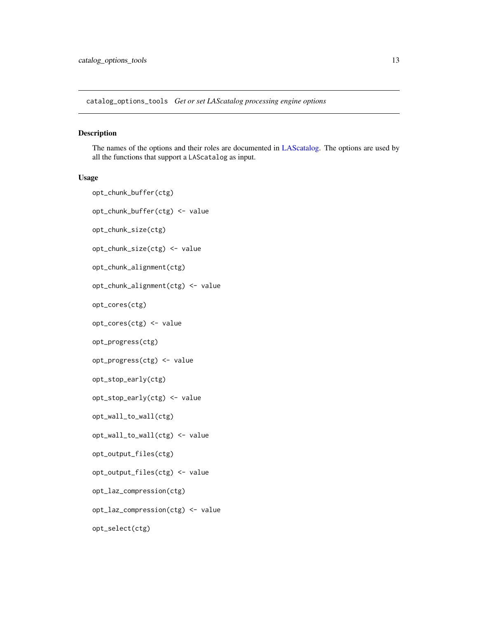<span id="page-12-0"></span>catalog\_options\_tools *Get or set LAScatalog processing engine options*

# Description

The names of the options and their roles are documented in [LAScatalog.](#page-0-0) The options are used by all the functions that support a LAScatalog as input.

# Usage

```
opt_chunk_buffer(ctg)
opt_chunk_buffer(ctg) <- value
opt_chunk_size(ctg)
opt_chunk_size(ctg) <- value
opt_chunk_alignment(ctg)
opt_chunk_alignment(ctg) <- value
opt_cores(ctg)
opt_cores(ctg) <- value
opt_progress(ctg)
opt_progress(ctg) <- value
opt_stop_early(ctg)
opt_stop_early(ctg) <- value
opt_wall_to_wall(ctg)
opt_wall_to_wall(ctg) <- value
opt_output_files(ctg)
opt_output_files(ctg) <- value
opt_laz_compression(ctg)
opt_laz_compression(ctg) <- value
opt_select(ctg)
```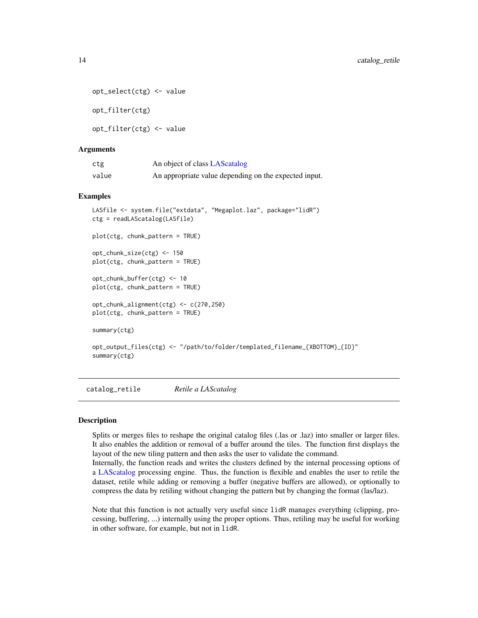```
opt_select(ctg) <- value
```
opt\_filter(ctg)

opt\_filter(ctg) <- value

# Arguments

| ctg   | An object of class LAS catalog                        |
|-------|-------------------------------------------------------|
| value | An appropriate value depending on the expected input. |

# Examples

```
LASfile <- system.file("extdata", "Megaplot.laz", package="lidR")
ctg = readLAScatalog(LASfile)
plot(ctg, chunk_pattern = TRUE)
opt_chunk_size(ctg) <- 150
plot(ctg, chunk_pattern = TRUE)
opt_chunk_buffer(ctg) <- 10
plot(ctg, chunk_pattern = TRUE)
opt_chunk_alignment(ctg) <- c(270,250)
plot(ctg, chunk_pattern = TRUE)
summary(ctg)
opt_output_files(ctg) <- "/path/to/folder/templated_filename_{XBOTTOM}_{ID}"
summary(ctg)
```
catalog\_retile *Retile a LAScatalog*

# **Description**

Splits or merges files to reshape the original catalog files (.las or .laz) into smaller or larger files. It also enables the addition or removal of a buffer around the tiles. The function first displays the layout of the new tiling pattern and then asks the user to validate the command.

Internally, the function reads and writes the clusters defined by the internal processing options of a [LAScatalog](#page-0-0) processing engine. Thus, the function is flexible and enables the user to retile the dataset, retile while adding or removing a buffer (negative buffers are allowed), or optionally to compress the data by retiling without changing the pattern but by changing the format (las/laz).

Note that this function is not actually very useful since lidR manages everything (clipping, processing, buffering, ...) internally using the proper options. Thus, retiling may be useful for working in other software, for example, but not in lidR.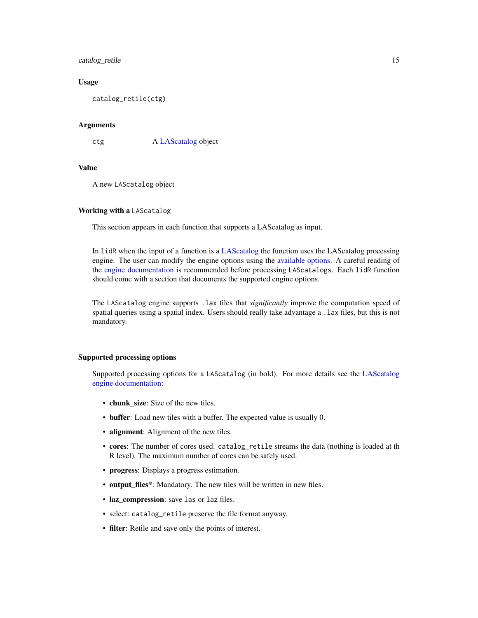# catalog\_retile 15

# Usage

catalog\_retile(ctg)

# Arguments

ctg A [LAScatalog](#page-0-0) object

# Value

A new LAScatalog object

# Working with a LAScatalog

This section appears in each function that supports a LAScatalog as input.

In lidR when the input of a function is a [LAScatalog](#page-0-0) the function uses the LAScatalog processing engine. The user can modify the engine options using the [available options.](#page-0-0) A careful reading of the [engine documentation](#page-0-0) is recommended before processing LAScatalogs. Each lidR function should come with a section that documents the supported engine options.

The LAScatalog engine supports .lax files that *significantly* improve the computation speed of spatial queries using a spatial index. Users should really take advantage a .lax files, but this is not mandatory.

#### Supported processing options

Supported processing options for a LAScatalog (in bold). For more details see the [LAScatalog](#page-0-0) [engine documentation:](#page-0-0)

- chunk\_size: Size of the new tiles.
- buffer: Load new tiles with a buffer. The expected value is usually 0.
- alignment: Alignment of the new tiles.
- cores: The number of cores used. catalog\_retile streams the data (nothing is loaded at th R level). The maximum number of cores can be safely used.
- progress: Displays a progress estimation.
- output\_files\*: Mandatory. The new tiles will be written in new files.
- laz\_compression: save las or laz files.
- select: catalog\_retile preserve the file format anyway.
- filter: Retile and save only the points of interest.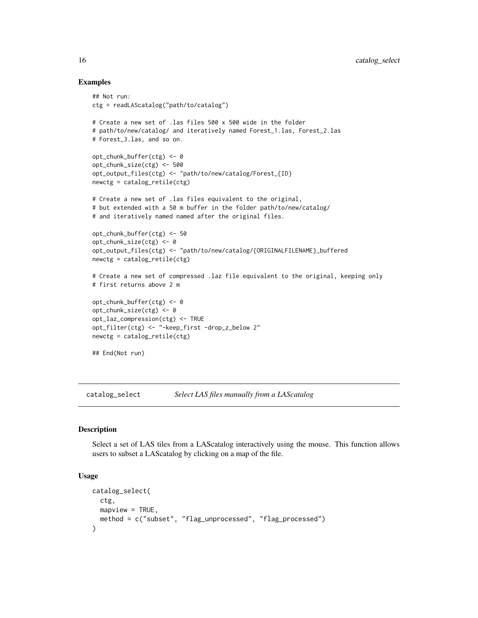# Examples

```
## Not run:
ctg = readLAScatalog("path/to/catalog")
# Create a new set of .las files 500 x 500 wide in the folder
# path/to/new/catalog/ and iteratively named Forest_1.las, Forest_2.las
# Forest_3.las, and so on.
opt_chunk_buffer(ctg) <- 0
opt_chunk_size(ctg) <- 500
opt_output_files(ctg) <- "path/to/new/catalog/Forest_{ID}
newctg = catalog_retile(ctg)
# Create a new set of .las files equivalent to the original,
# but extended with a 50 m buffer in the folder path/to/new/catalog/
# and iteratively named named after the original files.
opt_chunk_buffer(ctg) <- 50
opt_chunk_size(ctg) <- 0
opt_output_files(ctg) <- "path/to/new/catalog/{ORIGINALFILENAME}_buffered
newctg = catalog_retile(ctg)
# Create a new set of compressed .laz file equivalent to the original, keeping only
# first returns above 2 m
opt_chunk_buffer(ctg) <- 0
opt_chunk_size(ctg) <- 0
opt_laz_compression(ctg) <- TRUE
opt_filter(ctg) <- "-keep_first -drop_z_below 2"
newctg = catalog_retile(ctg)
## End(Not run)
```
catalog\_select *Select LAS files manually from a LAScatalog*

# **Description**

Select a set of LAS tiles from a LAScatalog interactively using the mouse. This function allows users to subset a LAScatalog by clicking on a map of the file.

# Usage

```
catalog_select(
 ctg,
 mapview = TRUE,method = c("subset", "flag_unprocessed", "flag_processed")
)
```
<span id="page-15-0"></span>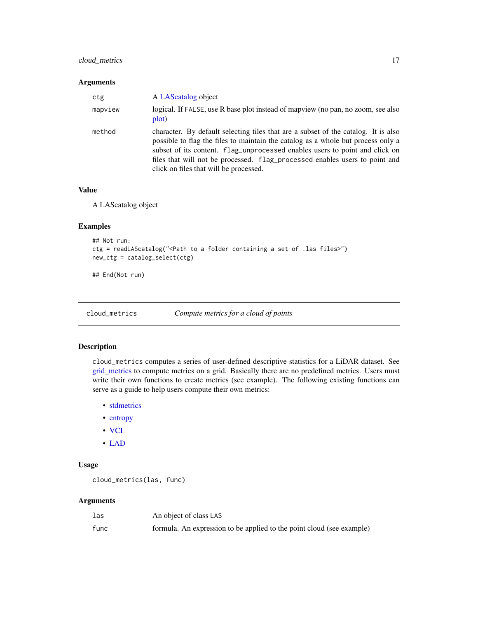# <span id="page-16-0"></span>cloud\_metrics 17

# Arguments

| ctg     | A LAScatalog object                                                                                                                                                                                                                                                                                                                                                            |
|---------|--------------------------------------------------------------------------------------------------------------------------------------------------------------------------------------------------------------------------------------------------------------------------------------------------------------------------------------------------------------------------------|
| mapview | logical. If FALSE, use R base plot instead of mapyiew (no pan, no zoom, see also<br>plot)                                                                                                                                                                                                                                                                                      |
| method  | character. By default selecting tiles that are a subset of the catalog. It is also<br>possible to flag the files to maintain the catalog as a whole but process only a<br>subset of its content. flag_unprocessed enables users to point and click on<br>files that will not be processed. flag_processed enables users to point and<br>click on files that will be processed. |

# Value

A LAScatalog object

#### Examples

```
## Not run:
ctg = readLAScatalog("<Path to a folder containing a set of .las files>")
new_ctg = catalog_select(ctg)
```
## End(Not run)

<span id="page-16-1"></span>cloud\_metrics *Compute metrics for a cloud of points*

# Description

cloud\_metrics computes a series of user-defined descriptive statistics for a LiDAR dataset. See [grid\\_metrics](#page-28-1) to compute metrics on a grid. Basically there are no predefined metrics. Users must write their own functions to create metrics (see example). The following existing functions can serve as a guide to help users compute their own metrics:

- [stdmetrics](#page-107-1)
- [entropy](#page-22-1)
- [VCI](#page-117-1)
- [LAD](#page-38-1)

# Usage

```
cloud_metrics(las, func)
```
### Arguments

| las  | An object of class LAS                                                |
|------|-----------------------------------------------------------------------|
| func | formula. An expression to be applied to the point cloud (see example) |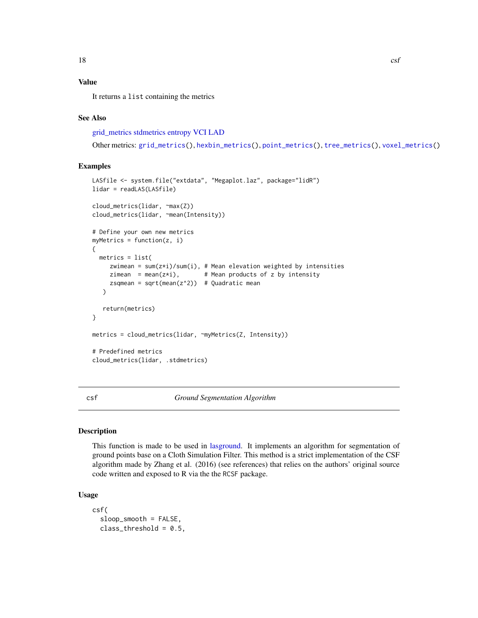# <span id="page-17-0"></span>Value

It returns a list containing the metrics

# See Also

[grid\\_metrics](#page-28-1) [stdmetrics](#page-107-1) [entropy](#page-22-1) [VCI](#page-117-1) [LAD](#page-38-1)

```
Other metrics: grid_metrics(), hexbin_metrics(), point_metrics(), tree_metrics(), voxel_metrics()
```
# Examples

```
LASfile <- system.file("extdata", "Megaplot.laz", package="lidR")
lidar = readLAS(LASfile)
cloud_metrics(lidar, ~max(Z))
cloud_metrics(lidar, ~mean(Intensity))
# Define your own new metrics
myMetrics = function(z, i){
  metrics = list(
     zwimean = sum(z * i)/sum(i), # Mean elevation weighted by intensities
     zimean = mean(z \star i), # Mean products of z by intensity
     zsqmean = sqrt(mean(z<sup>2</sup>)) # Quadratic mean
   \lambdareturn(metrics)
}
metrics = cloud_metrics(lidar, ~myMetrics(Z, Intensity))
# Predefined metrics
cloud_metrics(lidar, .stdmetrics)
```
csf *Ground Segmentation Algorithm*

# Description

This function is made to be used in [lasground.](#page-57-1) It implements an algorithm for segmentation of ground points base on a Cloth Simulation Filter. This method is a strict implementation of the CSF algorithm made by Zhang et al. (2016) (see references) that relies on the authors' original source code written and exposed to R via the the RCSF package.

# Usage

```
csf(
  sloop_smooth = FALSE,
  class_{threshold} = 0.5,
```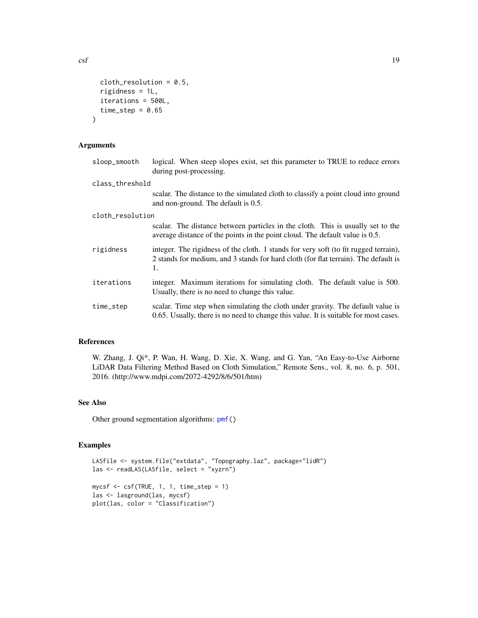$\csc f$  19

```
cloth\_resolution = 0.5,
 rigidness = 1L,
 iterations = 500L,
  time_step = 0.65)
```
# Arguments

| sloop_smooth     | logical. When steep slopes exist, set this parameter to TRUE to reduce errors<br>during post-processing.                                                                          |
|------------------|-----------------------------------------------------------------------------------------------------------------------------------------------------------------------------------|
| class_threshold  |                                                                                                                                                                                   |
|                  | scalar. The distance to the simulated cloth to classify a point cloud into ground<br>and non-ground. The default is 0.5.                                                          |
| cloth_resolution |                                                                                                                                                                                   |
|                  | scalar. The distance between particles in the cloth. This is usually set to the<br>average distance of the points in the point cloud. The default value is 0.5.                   |
| rigidness        | integer. The rigidness of the cloth. 1 stands for very soft (to fit rugged terrain),<br>2 stands for medium, and 3 stands for hard cloth (for flat terrain). The default is<br>1. |
| iterations       | integer. Maximum iterations for simulating cloth. The default value is 500.<br>Usually, there is no need to change this value.                                                    |
| time_step        | scalar. Time step when simulating the cloth under gravity. The default value is<br>0.65. Usually, there is no need to change this value. It is suitable for most cases.           |

# References

W. Zhang, J. Qi\*, P. Wan, H. Wang, D. Xie, X. Wang, and G. Yan, "An Easy-to-Use Airborne LiDAR Data Filtering Method Based on Cloth Simulation," Remote Sens., vol. 8, no. 6, p. 501, 2016. (http://www.mdpi.com/2072-4292/8/6/501/htm)

# See Also

Other ground segmentation algorithms: [pmf\(](#page-89-1))

# Examples

```
LASfile <- system.file("extdata", "Topography.laz", package="lidR")
las <- readLAS(LASfile, select = "xyzrn")
mycsf <- csf(TRUE, 1, 1, time_step = 1)
las <- lasground(las, mycsf)
plot(las, color = "Classification")
```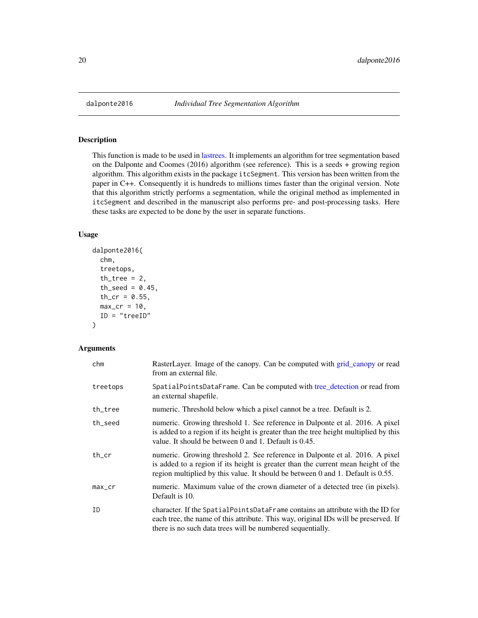# Description

This function is made to be used in [lastrees.](#page-71-1) It implements an algorithm for tree segmentation based on the Dalponte and Coomes (2016) algorithm (see reference). This is a seeds + growing region algorithm. This algorithm exists in the package itcSegment. This version has been written from the paper in C++. Consequently it is hundreds to millions times faster than the original version. Note that this algorithm strictly performs a segmentation, while the original method as implemented in itcSegment and described in the manuscript also performs pre- and post-processing tasks. Here these tasks are expected to be done by the user in separate functions.

# Usage

```
dalponte2016(
  chm,
  treetops,
  th\_tree = 2,
  th\_seed = 0.45,
  th\_cr = 0.55,
 max_c = 10,
  ID = "treeID"
)
```
# Arguments

| chm      | RasterLayer. Image of the canopy. Can be computed with grid_canopy or read<br>from an external file.                                                                                                                                                 |
|----------|------------------------------------------------------------------------------------------------------------------------------------------------------------------------------------------------------------------------------------------------------|
| treetops | SpatialPointsDataFrame. Can be computed with tree_detection or read from<br>an external shapefile.                                                                                                                                                   |
| th_tree  | numeric. Threshold below which a pixel cannot be a tree. Default is 2.                                                                                                                                                                               |
| th_seed  | numeric. Growing threshold 1. See reference in Dalponte et al. 2016. A pixel<br>is added to a region if its height is greater than the tree height multiplied by this<br>value. It should be between 0 and 1. Default is 0.45.                       |
| th_cr    | numeric. Growing threshold 2. See reference in Dalponte et al. 2016. A pixel<br>is added to a region if its height is greater than the current mean height of the<br>region multiplied by this value. It should be between 0 and 1. Default is 0.55. |
| max_cr   | numeric. Maximum value of the crown diameter of a detected tree (in pixels).<br>Default is 10.                                                                                                                                                       |
| ID       | character. If the SpatialPointsDataFrame contains an attribute with the ID for<br>each tree, the name of this attribute. This way, original IDs will be preserved. If<br>there is no such data trees will be numbered sequentially.                  |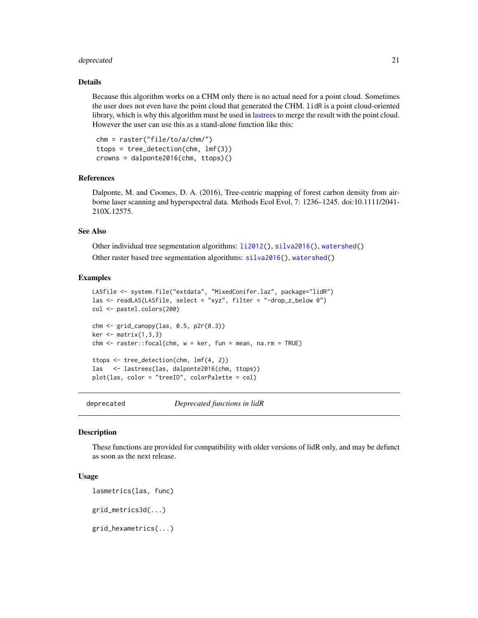#### <span id="page-20-0"></span>deprecated 21 and 22 and 22 and 22 and 22 and 22 and 22 and 23 and 23 and 23 and 23 and 24 and 25 and 26 and 26

# Details

Because this algorithm works on a CHM only there is no actual need for a point cloud. Sometimes the user does not even have the point cloud that generated the CHM. lidR is a point cloud-oriented library, which is why this algorithm must be used in [lastrees](#page-71-1) to merge the result with the point cloud. However the user can use this as a stand-alone function like this:

```
chm = raster("file/to/a/chm/")
ttops = tree_detection(chm, lmf(3))
crowns = dalponte2016(chm, ttops)()
```
# References

Dalponte, M. and Coomes, D. A. (2016), Tree-centric mapping of forest carbon density from airborne laser scanning and hyperspectral data. Methods Ecol Evol, 7: 1236–1245. doi:10.1111/2041- 210X.12575.

# See Also

Other individual tree segmentation algorithms: [li2012\(](#page-73-1)), [silva2016\(](#page-105-1)), [watershed\(](#page-120-1)) Other raster based tree segmentation algorithms: [silva2016\(](#page-105-1)), [watershed\(](#page-120-1))

#### Examples

```
LASfile <- system.file("extdata", "MixedConifer.laz", package="lidR")
las <- readLAS(LASfile, select = "xyz", filter = "-drop_z_below 0")
col <- pastel.colors(200)
chm <- grid_canopy(las, 0.5, p2r(0.3))
ker < - matrix(1,3,3)chm <- raster::focal(chm, w = ker, fun = mean, na.rm = TRUE)
ttops <- tree_detection(chm, lmf(4, 2))
las <- lastrees(las, dalponte2016(chm, ttops))
plot(las, color = "treeID", colorPalette = col)
```
deprecated *Deprecated functions in lidR*

#### Description

These functions are provided for compatibility with older versions of lidR only, and may be defunct as soon as the next release.

# Usage

```
lasmetrics(las, func)
grid_metrics3d(...)
grid_hexametrics(...)
```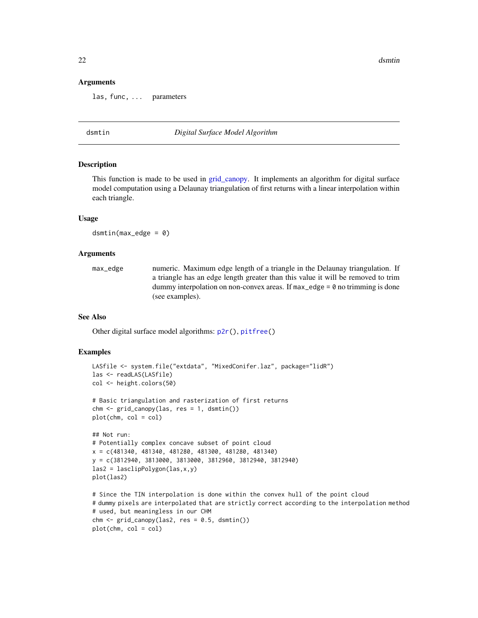22 dsmtin and the set of the set of the set of the set of the set of the set of the set of the set of the set of the set of the set of the set of the set of the set of the set of the set of the set of the set of the set of

#### Arguments

las, func, ... parameters

<span id="page-21-1"></span>

dsmtin *Digital Surface Model Algorithm*

#### Description

This function is made to be used in [grid\\_canopy.](#page-25-1) It implements an algorithm for digital surface model computation using a Delaunay triangulation of first returns with a linear interpolation within each triangle.

# Usage

 $d$ smtin(max\_edge = 0)

# Arguments

max\_edge numeric. Maximum edge length of a triangle in the Delaunay triangulation. If a triangle has an edge length greater than this value it will be removed to trim dummy interpolation on non-convex areas. If  $max$ -edge = 0 no trimming is done (see examples).

# See Also

Other digital surface model algorithms: [p2r\(](#page-82-1)), [pitfree\(](#page-83-1))

# Examples

```
LASfile <- system.file("extdata", "MixedConifer.laz", package="lidR")
las <- readLAS(LASfile)
col <- height.colors(50)
# Basic triangulation and rasterization of first returns
chm <- grid_canopy(las, res = 1, dsmtin())
plot(chm, col = col)
## Not run:
# Potentially complex concave subset of point cloud
x = c(481340, 481340, 481280, 481300, 481280, 481340)
y = c(3812940, 3813000, 3813000, 3812960, 3812940, 3812940)
las2 = lasclipPolygon(las,x,y)
plot(las2)
```

```
# Since the TIN interpolation is done within the convex hull of the point cloud
# dummy pixels are interpolated that are strictly correct according to the interpolation method
# used, but meaningless in our CHM
chm < - grid\_canopy(las2, res = 0.5, dsmin())plot(chm, col = col)
```
<span id="page-21-0"></span>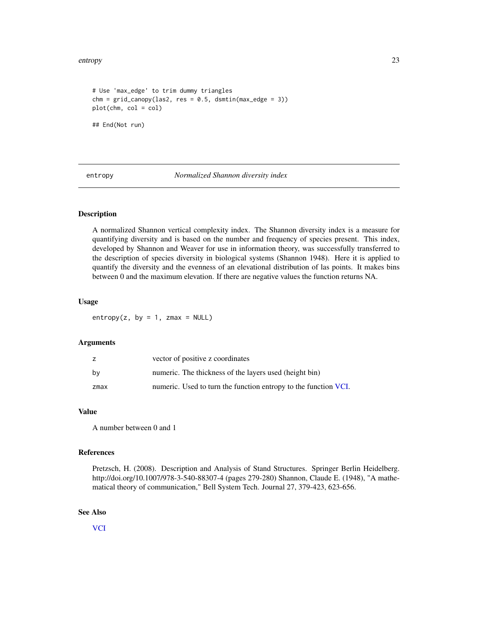#### <span id="page-22-0"></span>entropy 23

```
# Use 'max_edge' to trim dummy triangles
chm = grid\_canopy(las2, res = 0.5, dsmin(max\_edge = 3))plot(chm, col = col)
## End(Not run)
```
<span id="page-22-1"></span>entropy *Normalized Shannon diversity index*

# **Description**

A normalized Shannon vertical complexity index. The Shannon diversity index is a measure for quantifying diversity and is based on the number and frequency of species present. This index, developed by Shannon and Weaver for use in information theory, was successfully transferred to the description of species diversity in biological systems (Shannon 1948). Here it is applied to quantify the diversity and the evenness of an elevational distribution of las points. It makes bins between 0 and the maximum elevation. If there are negative values the function returns NA.

# Usage

entropy(z, by = 1, zmax = NULL)

# Arguments

|      | vector of positive z coordinates                                |
|------|-----------------------------------------------------------------|
| bv   | numeric. The thickness of the layers used (height bin)          |
| zmax | numeric. Used to turn the function entropy to the function VCI. |

#### Value

A number between 0 and 1

# References

Pretzsch, H. (2008). Description and Analysis of Stand Structures. Springer Berlin Heidelberg. http://doi.org/10.1007/978-3-540-88307-4 (pages 279-280) Shannon, Claude E. (1948), "A mathematical theory of communication," Bell System Tech. Journal 27, 379-423, 623-656.

#### See Also

**[VCI](#page-117-1)**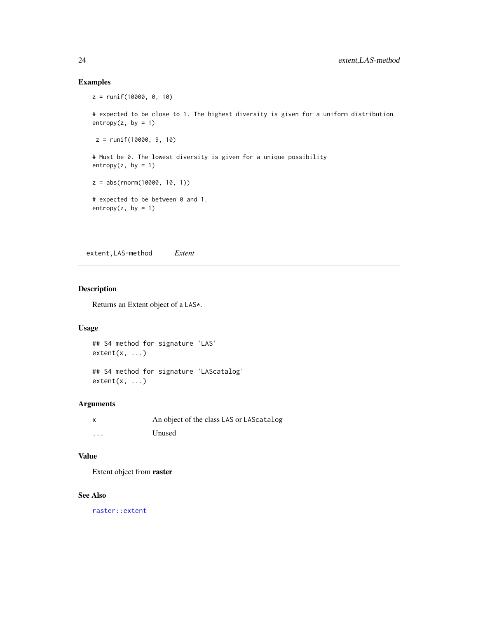# Examples

```
z = runif(10000, 0, 10)
# expected to be close to 1. The highest diversity is given for a uniform distribution
entropy(z, by = 1)z = runif(10000, 9, 10)
# Must be 0. The lowest diversity is given for a unique possibility
entropy(z, by = 1)z = abs(rnorm(10000, 10, 1))
# expected to be between 0 and 1.
entropy(z, by = 1)
```
extent,LAS-method *Extent*

# Description

Returns an Extent object of a LAS\*.

# Usage

## S4 method for signature 'LAS'  $extent(x, \ldots)$ 

## S4 method for signature 'LAScatalog'  $extent(x, \ldots)$ 

# Arguments

| x        | An object of the class LAS or LAS catalog |
|----------|-------------------------------------------|
| $\cdots$ | Unused                                    |

# Value

Extent object from raster

# See Also

[raster::extent](#page-0-0)

<span id="page-23-0"></span>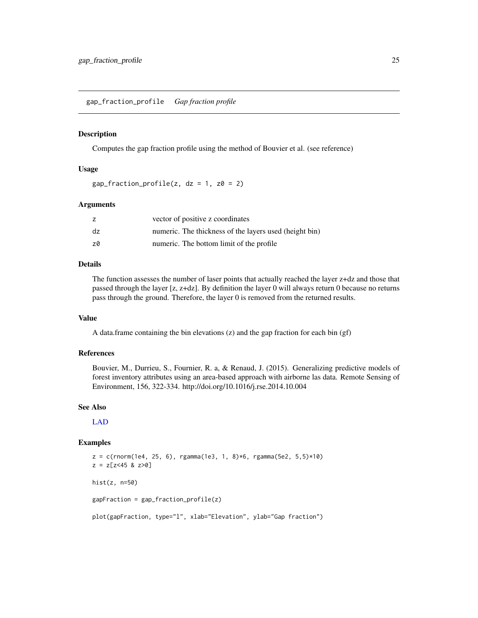<span id="page-24-0"></span>gap\_fraction\_profile *Gap fraction profile*

### **Description**

Computes the gap fraction profile using the method of Bouvier et al. (see reference)

# Usage

 $gap_fraction_profile(z, dz = 1, z0 = 2)$ 

# Arguments

| z  | vector of positive z coordinates                       |
|----|--------------------------------------------------------|
| dz | numeric. The thickness of the layers used (height bin) |
| z0 | numeric. The bottom limit of the profile               |

# Details

The function assesses the number of laser points that actually reached the layer z+dz and those that passed through the layer [z, z+dz]. By definition the layer 0 will always return 0 because no returns pass through the ground. Therefore, the layer 0 is removed from the returned results.

# Value

A data.frame containing the bin elevations (z) and the gap fraction for each bin (gf)

# References

Bouvier, M., Durrieu, S., Fournier, R. a, & Renaud, J. (2015). Generalizing predictive models of forest inventory attributes using an area-based approach with airborne las data. Remote Sensing of Environment, 156, 322-334. http://doi.org/10.1016/j.rse.2014.10.004

# See Also

[LAD](#page-38-1)

# Examples

 $z = c(rnorm(1e4, 25, 6), rgamma(1e3, 1, 8)*6, rgamma(5e2, 5,5)*10)$  $z = z[z<45 \& z>0]$ hist(z, n=50) gapFraction = gap\_fraction\_profile(z) plot(gapFraction, type="l", xlab="Elevation", ylab="Gap fraction")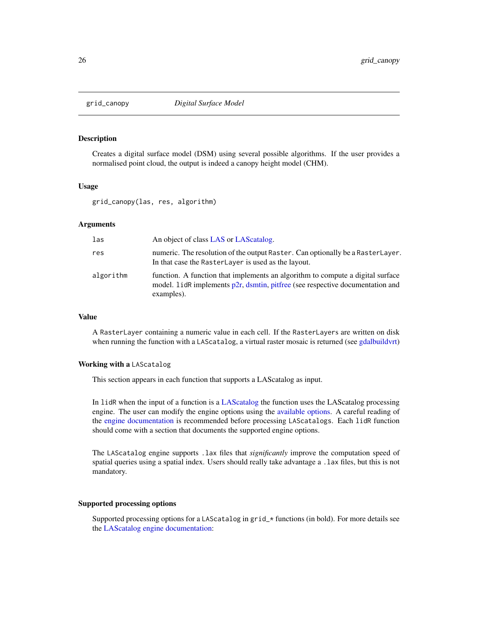<span id="page-25-1"></span><span id="page-25-0"></span>

# **Description**

Creates a digital surface model (DSM) using several possible algorithms. If the user provides a normalised point cloud, the output is indeed a canopy height model (CHM).

#### Usage

grid\_canopy(las, res, algorithm)

# Arguments

| las       | An object of class LAS or LAS catalog.                                                                                                                                           |
|-----------|----------------------------------------------------------------------------------------------------------------------------------------------------------------------------------|
| res       | numeric. The resolution of the output Raster. Can optionally be a RasterLayer.<br>In that case the RasterLayer is used as the layout.                                            |
| algorithm | function. A function that implements an algorithm to compute a digital surface<br>model. LidR implements $p2r$ , dsmtin, pitfree (see respective documentation and<br>examples). |

# Value

A RasterLayer containing a numeric value in each cell. If the RasterLayers are written on disk when running the function with a LAScatalog, a virtual raster mosaic is returned (see [gdalbuildvrt\)](#page-0-0)

# Working with a LAScatalog

This section appears in each function that supports a LAScatalog as input.

In lidR when the input of a function is a [LAScatalog](#page-0-0) the function uses the LAScatalog processing engine. The user can modify the engine options using the [available options.](#page-0-0) A careful reading of the [engine documentation](#page-0-0) is recommended before processing LAScatalogs. Each lidR function should come with a section that documents the supported engine options.

The LAScatalog engine supports .lax files that *significantly* improve the computation speed of spatial queries using a spatial index. Users should really take advantage a .lax files, but this is not mandatory.

# Supported processing options

Supported processing options for a LAScatalog in grid\_\* functions (in bold). For more details see the [LAScatalog engine documentation:](#page-0-0)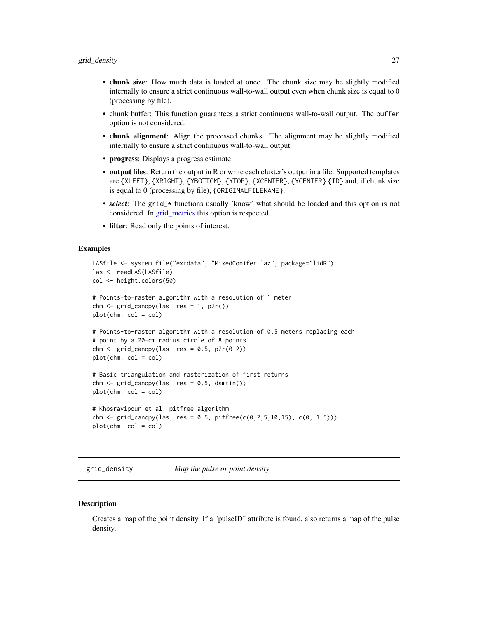- <span id="page-26-0"></span>• chunk size: How much data is loaded at once. The chunk size may be slightly modified internally to ensure a strict continuous wall-to-wall output even when chunk size is equal to 0 (processing by file).
- chunk buffer: This function guarantees a strict continuous wall-to-wall output. The buffer option is not considered.
- chunk alignment: Align the processed chunks. The alignment may be slightly modified internally to ensure a strict continuous wall-to-wall output.
- progress: Displays a progress estimate.
- output files: Return the output in R or write each cluster's output in a file. Supported templates are {XLEFT}, {XRIGHT}, {YBOTTOM}, {YTOP}, {XCENTER}, {YCENTER} {ID} and, if chunk size is equal to 0 (processing by file), {ORIGINALFILENAME}.
- **select**: The grid\_\* functions usually 'know' what should be loaded and this option is not considered. In [grid\\_metrics](#page-28-1) this option is respected.
- filter: Read only the points of interest.

# Examples

```
LASfile <- system.file("extdata", "MixedConifer.laz", package="lidR")
las <- readLAS(LASfile)
col <- height.colors(50)
# Points-to-raster algorithm with a resolution of 1 meter
\text{chm} \leq \text{grid\_canopy}(\text{las}, \text{res} = 1, \text{p2r})).plot(chm, col = col)
# Points-to-raster algorithm with a resolution of 0.5 meters replacing each
# point by a 20-cm radius circle of 8 points
chm < - grid\_canopy(las, res = 0.5, p2r(0.2))plot(chm, col = col)
# Basic triangulation and rasterization of first returns
chm < - grid_canopy(las, res = 0.5, dsmtin())
plot(chm, col = col)
# Khosravipour et al. pitfree algorithm
chm <- grid_canopy(las, res = 0.5, pitfree(c(0, 2, 5, 10, 15), c(0, 1.5)))
plot(chm, col = col)
```
grid\_density *Map the pulse or point density*

# **Description**

Creates a map of the point density. If a "pulseID" attribute is found, also returns a map of the pulse density.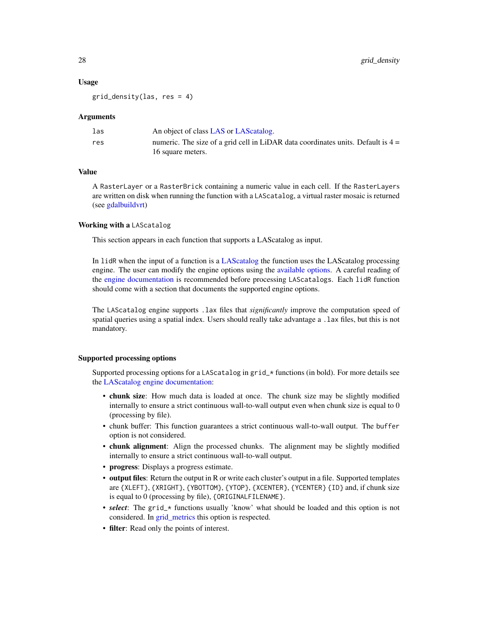#### Usage

 $grid\_density(las, res = 4)$ 

#### Arguments

| las | An object of class LAS or LAS catalog.                                             |
|-----|------------------------------------------------------------------------------------|
| res | numeric. The size of a grid cell in LiDAR data coordinates units. Default is $4 =$ |
|     | 16 square meters.                                                                  |

# Value

A RasterLayer or a RasterBrick containing a numeric value in each cell. If the RasterLayers are written on disk when running the function with a LAScatalog, a virtual raster mosaic is returned (see [gdalbuildvrt\)](#page-0-0)

# Working with a LAScatalog

This section appears in each function that supports a LAScatalog as input.

In lidR when the input of a function is a [LAScatalog](#page-0-0) the function uses the LAScatalog processing engine. The user can modify the engine options using the [available options.](#page-0-0) A careful reading of the [engine documentation](#page-0-0) is recommended before processing LAScatalogs. Each lidR function should come with a section that documents the supported engine options.

The LAScatalog engine supports .lax files that *significantly* improve the computation speed of spatial queries using a spatial index. Users should really take advantage a .lax files, but this is not mandatory.

# Supported processing options

Supported processing options for a LAScatalog in grid\_\* functions (in bold). For more details see the [LAScatalog engine documentation:](#page-0-0)

- chunk size: How much data is loaded at once. The chunk size may be slightly modified internally to ensure a strict continuous wall-to-wall output even when chunk size is equal to 0 (processing by file).
- chunk buffer: This function guarantees a strict continuous wall-to-wall output. The buffer option is not considered.
- chunk alignment: Align the processed chunks. The alignment may be slightly modified internally to ensure a strict continuous wall-to-wall output.
- progress: Displays a progress estimate.
- output files: Return the output in R or write each cluster's output in a file. Supported templates are {XLEFT}, {XRIGHT}, {YBOTTOM}, {YTOP}, {XCENTER}, {YCENTER} {ID} and, if chunk size is equal to 0 (processing by file), {ORIGINALFILENAME}.
- *select*: The grid<sub>\*</sub> functions usually 'know' what should be loaded and this option is not considered. In [grid\\_metrics](#page-28-1) this option is respected.
- filter: Read only the points of interest.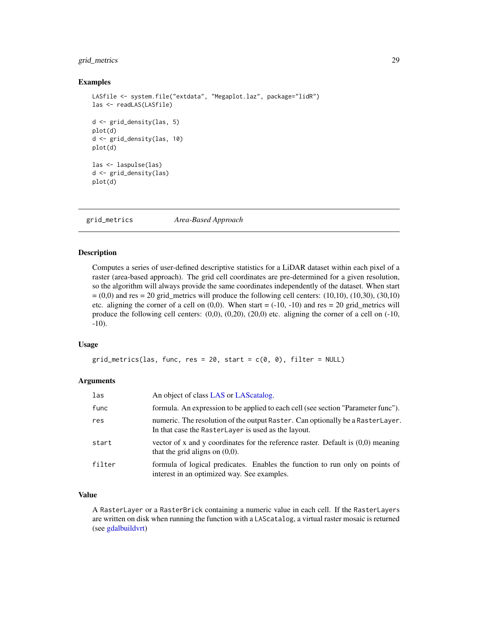# <span id="page-28-0"></span>grid\_metrics 29

# Examples

```
LASfile <- system.file("extdata", "Megaplot.laz", package="lidR")
las <- readLAS(LASfile)
d <- grid_density(las, 5)
plot(d)
d <- grid_density(las, 10)
plot(d)
las <- laspulse(las)
d <- grid_density(las)
plot(d)
```
<span id="page-28-1"></span>grid\_metrics *Area-Based Approach*

# Description

Computes a series of user-defined descriptive statistics for a LiDAR dataset within each pixel of a raster (area-based approach). The grid cell coordinates are pre-determined for a given resolution, so the algorithm will always provide the same coordinates independently of the dataset. When start  $= (0,0)$  and res = 20 grid\_metrics will produce the following cell centers:  $(10,10)$ ,  $(10,30)$ ,  $(30,10)$ etc. aligning the corner of a cell on  $(0,0)$ . When start  $= (-10, -10)$  and res  $= 20$  grid\_metrics will produce the following cell centers:  $(0,0)$ ,  $(0,20)$ ,  $(20,0)$  etc. aligning the corner of a cell on  $(-10, 0)$ -10).

# Usage

```
grid\_metrics(las, func, res = 20, start = c(0, 0), filter = NULL)
```
# Arguments

| las    | An object of class LAS or LAS catalog.                                                                                                |
|--------|---------------------------------------------------------------------------------------------------------------------------------------|
| func   | formula. An expression to be applied to each cell (see section "Parameter func").                                                     |
| res    | numeric. The resolution of the output Raster. Can optionally be a RasterLayer.<br>In that case the RasterLayer is used as the layout. |
| start  | vector of x and y coordinates for the reference raster. Default is $(0,0)$ meaning<br>that the grid aligns on $(0,0)$ .               |
| filter | formula of logical predicates. Enables the function to run only on points of<br>interest in an optimized way. See examples.           |

# Value

A RasterLayer or a RasterBrick containing a numeric value in each cell. If the RasterLayers are written on disk when running the function with a LAScatalog, a virtual raster mosaic is returned (see [gdalbuildvrt\)](#page-0-0)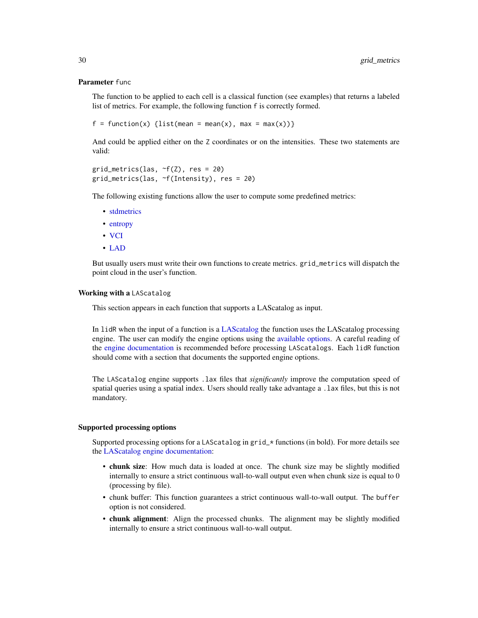#### Parameter func

The function to be applied to each cell is a classical function (see examples) that returns a labeled list of metrics. For example, the following function f is correctly formed.

```
f = function(x) {list(mean = mean(x), max = max(x))}
```
And could be applied either on the Z coordinates or on the intensities. These two statements are valid:

```
grid_metrics(las, ~f(Z), res = 20)
grid_metrics(las, ~f(Intensity), res = 20)
```
The following existing functions allow the user to compute some predefined metrics:

- [stdmetrics](#page-107-1)
- [entropy](#page-22-1)
- [VCI](#page-117-1)
- [LAD](#page-38-1)

But usually users must write their own functions to create metrics. grid\_metrics will dispatch the point cloud in the user's function.

### Working with a LAScatalog

This section appears in each function that supports a LAScatalog as input.

In lidR when the input of a function is a [LAScatalog](#page-0-0) the function uses the LAScatalog processing engine. The user can modify the engine options using the [available options.](#page-0-0) A careful reading of the [engine documentation](#page-0-0) is recommended before processing LAScatalogs. Each lidR function should come with a section that documents the supported engine options.

The LAScatalog engine supports .lax files that *significantly* improve the computation speed of spatial queries using a spatial index. Users should really take advantage a .lax files, but this is not mandatory.

#### Supported processing options

Supported processing options for a LAScatalog in grid\_\* functions (in bold). For more details see the [LAScatalog engine documentation:](#page-0-0)

- chunk size: How much data is loaded at once. The chunk size may be slightly modified internally to ensure a strict continuous wall-to-wall output even when chunk size is equal to 0 (processing by file).
- chunk buffer: This function guarantees a strict continuous wall-to-wall output. The buffer option is not considered.
- chunk alignment: Align the processed chunks. The alignment may be slightly modified internally to ensure a strict continuous wall-to-wall output.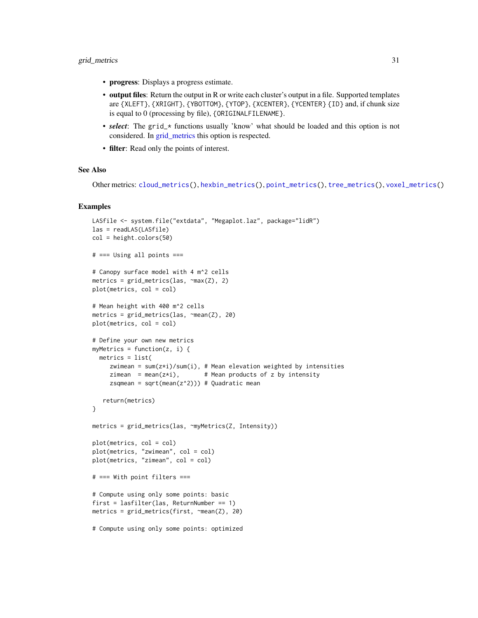# grid\_metrics 31

- progress: Displays a progress estimate.
- output files: Return the output in R or write each cluster's output in a file. Supported templates are {XLEFT}, {XRIGHT}, {YBOTTOM}, {YTOP}, {XCENTER}, {YCENTER} {ID} and, if chunk size is equal to 0 (processing by file), {ORIGINALFILENAME}.
- *select*: The grid\_\* functions usually 'know' what should be loaded and this option is not considered. In [grid\\_metrics](#page-28-1) this option is respected.
- filter: Read only the points of interest.

# See Also

```
Other metrics: cloud_metrics(), hexbin_metrics(), point_metrics(), tree_metrics(), voxel_metrics()
```
# Examples

```
LASfile <- system.file("extdata", "Megaplot.laz", package="lidR")
las = readLAS(LASfile)
col = height.colors(50)
# === Using all points ===
# Canopy surface model with 4 m^2 cells
metrics = grid\_metrics(las, \neg max(Z), 2)plot(metrics, col = col)
# Mean height with 400 m^2 cells
metrics = grid_metrics(las, ~mean(Z), 20)
plot(metrics, col = col)
# Define your own new metrics
myMetrics = function(z, i) {
  metrics = list(
     zwimean = sum(z+i)/sum(i), # Mean elevation weighted by intensities
     zimean = mean(z \star i), # Mean products of z by intensity
     zsqmean = sqrt(mean(z<sup>2</sup>))) # Quadratic mean
   return(metrics)
}
metrics = grid_metrics(las, ~myMetrics(Z, Intensity))
plot(metrics, col = col)
plot(metrics, "zwimean", col = col)
plot(metrics, "zimean", col = col)
# === With point filters ===
# Compute using only some points: basic
first = lasfilter(las, ReturnNumber == 1)
metrics = grid_metrics(first, ~mean(Z), 20)
# Compute using only some points: optimized
```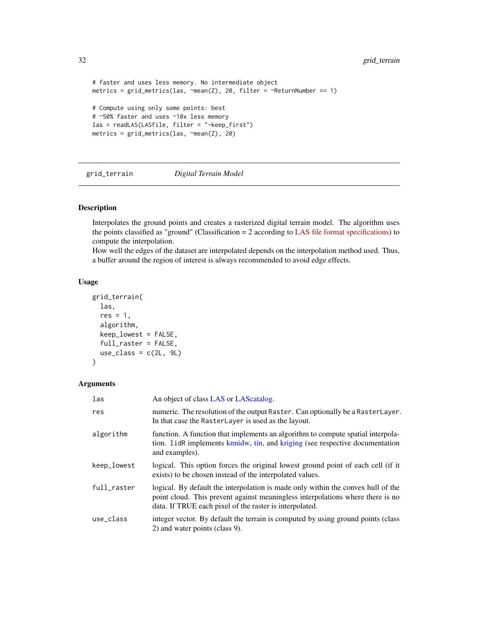```
# faster and uses less memory. No intermediate object
metrics = grid\_metrics(las, \n<math>\text{mean}(Z)</math>, 20, filter = <math>\text{returnNumber} == 1</math>)# Compute using only some points: best
# ~50% faster and uses ~10x less memory
las = readLAS(LASfile, filter = "-keep_first")
metrics = grid_metrics(las, ~mean(Z), 20)
```
grid\_terrain *Digital Terrain Model*

# Description

Interpolates the ground points and creates a rasterized digital terrain model. The algorithm uses the points classified as "ground" (Classification  $= 2$  according to [LAS file format specifications\)](http://www.asprs.org/a/society/committees/standards/LAS_1_4_r13.pdf) to compute the interpolation.

How well the edges of the dataset are interpolated depends on the interpolation method used. Thus, a buffer around the region of interest is always recommended to avoid edge effects.

#### Usage

```
grid_terrain(
  las,
  res = 1,
  algorithm,
  keep_lowest = FALSE,
  full_raster = FALSE,
  use_class = c(2L, 9L)\lambda
```
# Arguments

| las         | An object of class LAS or LAS catalog.                                                                                                                                                                                        |
|-------------|-------------------------------------------------------------------------------------------------------------------------------------------------------------------------------------------------------------------------------|
| res         | numeric. The resolution of the output Raster. Can optionally be a RasterLayer.<br>In that case the RasterLayer is used as the layout.                                                                                         |
| algorithm   | function. A function that implements an algorithm to compute spatial interpola-<br>tion. LidR implements knnidw, tin, and kriging (see respective documentation<br>and examples).                                             |
| keep_lowest | logical. This option forces the original lowest ground point of each cell (if it<br>exists) to be chosen instead of the interpolated values.                                                                                  |
| full_raster | logical. By default the interpolation is made only within the convex hull of the<br>point cloud. This prevent against meaningless interpolations where there is no<br>data. If TRUE each pixel of the raster is interpolated. |
| use_class   | integer vector. By default the terrain is computed by using ground points (class)<br>2) and water points (class 9).                                                                                                           |

<span id="page-31-0"></span>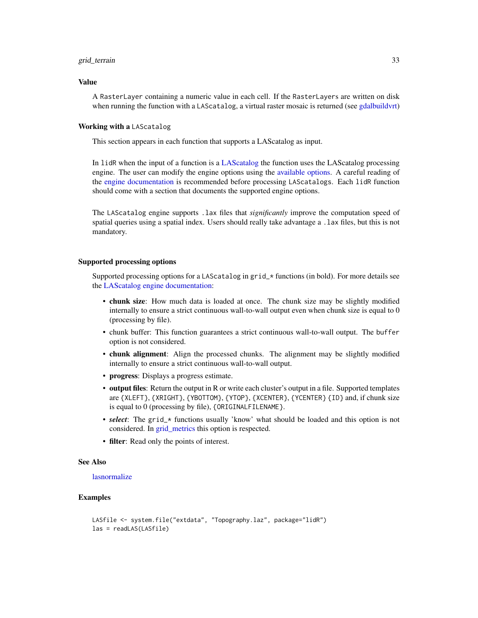#### grid\_terrain 33

# Value

A RasterLayer containing a numeric value in each cell. If the RasterLayers are written on disk when running the function with a LAScatalog, a virtual raster mosaic is returned (see [gdalbuildvrt\)](#page-0-0)

# Working with a LAScatalog

This section appears in each function that supports a LAScatalog as input.

In lidR when the input of a function is a [LAScatalog](#page-0-0) the function uses the LAScatalog processing engine. The user can modify the engine options using the [available options.](#page-0-0) A careful reading of the [engine documentation](#page-0-0) is recommended before processing LAScatalogs. Each lidR function should come with a section that documents the supported engine options.

The LAScatalog engine supports .lax files that *significantly* improve the computation speed of spatial queries using a spatial index. Users should really take advantage a .lax files, but this is not mandatory.

# Supported processing options

Supported processing options for a LAScatalog in grid\_ $\star$  functions (in bold). For more details see the [LAScatalog engine documentation:](#page-0-0)

- chunk size: How much data is loaded at once. The chunk size may be slightly modified internally to ensure a strict continuous wall-to-wall output even when chunk size is equal to 0 (processing by file).
- chunk buffer: This function guarantees a strict continuous wall-to-wall output. The buffer option is not considered.
- chunk alignment: Align the processed chunks. The alignment may be slightly modified internally to ensure a strict continuous wall-to-wall output.
- progress: Displays a progress estimate.
- output files: Return the output in R or write each cluster's output in a file. Supported templates are {XLEFT}, {XRIGHT}, {YBOTTOM}, {YTOP}, {XCENTER}, {YCENTER} {ID} and, if chunk size is equal to 0 (processing by file), {ORIGINALFILENAME}.
- *select*: The grid\_\* functions usually 'know' what should be loaded and this option is not considered. In [grid\\_metrics](#page-28-1) this option is respected.
- filter: Read only the points of interest.

# See Also

# [lasnormalize](#page-61-1)

# Examples

```
LASfile <- system.file("extdata", "Topography.laz", package="lidR")
las = readLAS(LASfile)
```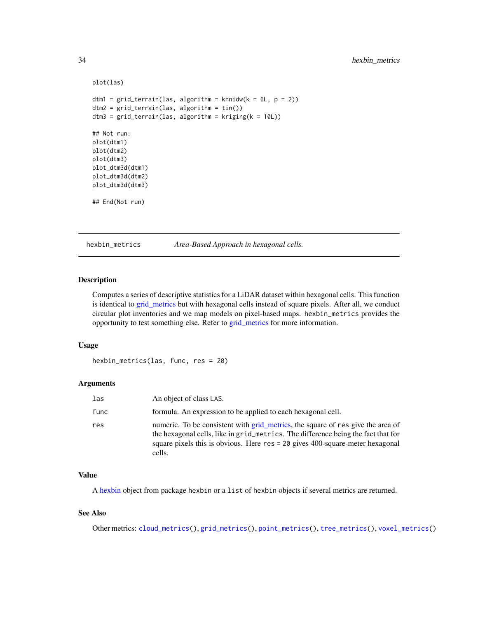```
plot(las)
dtm1 = grid_terrain(las, algorithm = knnidw(k = 6L, p = 2))
dtm2 = grid_terrain(las, algorithm = tin())
dtm3 = grid_terrain(las, algorithm = kriging(k = 10L))## Not run:
plot(dtm1)
plot(dtm2)
plot(dtm3)
plot_dtm3d(dtm1)
plot_dtm3d(dtm2)
plot_dtm3d(dtm3)
## End(Not run)
```
<span id="page-33-1"></span>hexbin\_metrics *Area-Based Approach in hexagonal cells.*

# Description

Computes a series of descriptive statistics for a LiDAR dataset within hexagonal cells. This function is identical to [grid\\_metrics](#page-28-1) but with hexagonal cells instead of square pixels. After all, we conduct circular plot inventories and we map models on pixel-based maps. hexbin\_metrics provides the opportunity to test something else. Refer to [grid\\_metrics](#page-28-1) for more information.

#### Usage

hexbin\_metrics(las, func, res = 20)

# Arguments

| las  | An object of class LAS.                                                                                                                                                                                                                                           |
|------|-------------------------------------------------------------------------------------------------------------------------------------------------------------------------------------------------------------------------------------------------------------------|
| func | formula. An expression to be applied to each hexagonal cell.                                                                                                                                                                                                      |
| res  | numeric. To be consistent with grid metrics, the square of res give the area of<br>the hexagonal cells, like in grid_metrics. The difference being the fact that for<br>square pixels this is obvious. Here $res = 20$ gives 400-square-meter hexagonal<br>cells. |

# Value

A [hexbin](#page-0-0) object from package hexbin or a list of hexbin objects if several metrics are returned.

# See Also

Other metrics: [cloud\\_metrics\(](#page-16-1)), [grid\\_metrics\(](#page-28-1)), [point\\_metrics\(](#page-90-1)), [tree\\_metrics\(](#page-114-1)), [voxel\\_metrics\(](#page-118-1))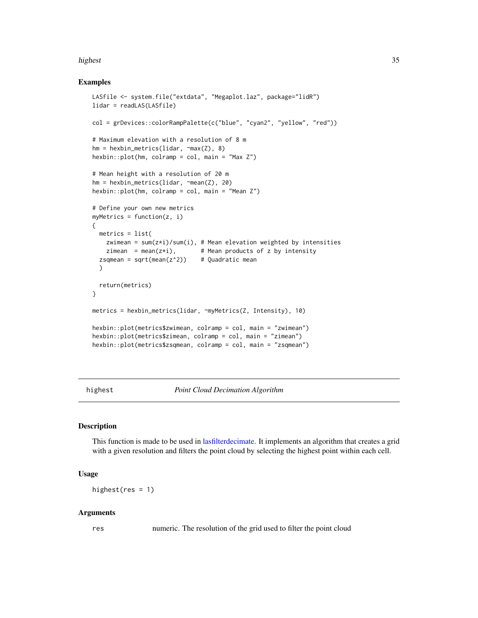#### <span id="page-34-0"></span>highest 35

# Examples

```
LASfile <- system.file("extdata", "Megaplot.laz", package="lidR")
lidar = readLAS(LASfile)
col = grDevices::colorRampPalette(c("blue", "cyan2", "yellow", "red"))
# Maximum elevation with a resolution of 8 m
hm = hexbin_metrics(lidar, ~max(Z), 8)
hexbin::plot(hm, colramp = col, main = "Max Z")
# Mean height with a resolution of 20 m
hm = hexbin_metrics(lidar, ~mean(Z), 20)
hexbin::plot(hm, colramp = col, main = "Mean Z")# Define your own new metrics
myMetrics = function(z, i){
  metrics = list(
   zwimean = sum(z+i)/sum(i), # Mean elevation weighted by intensities
   zimean = mean(z \star i), # Mean products of z by intensity
  zsqmean = sqrt(mean(z<sup>2</sup>)) # Quadratic mean
  )
  return(metrics)
}
metrics = hexbin_metrics(lidar, ~myMetrics(Z, Intensity), 10)
hexbin::plot(metrics$zwimean, colramp = col, main = "zwimean")
hexbin::plot(metrics$zimean, colramp = col, main = "zimean")
hexbin::plot(metrics$zsqmean, colramp = col, main = "zsqmean")
```
<span id="page-34-1"></span>highest *Point Cloud Decimation Algorithm*

# Description

This function is made to be used in [lasfilterdecimate.](#page-52-1) It implements an algorithm that creates a grid with a given resolution and filters the point cloud by selecting the highest point within each cell.

# Usage

highest( $res = 1$ )

#### Arguments

res numeric. The resolution of the grid used to filter the point cloud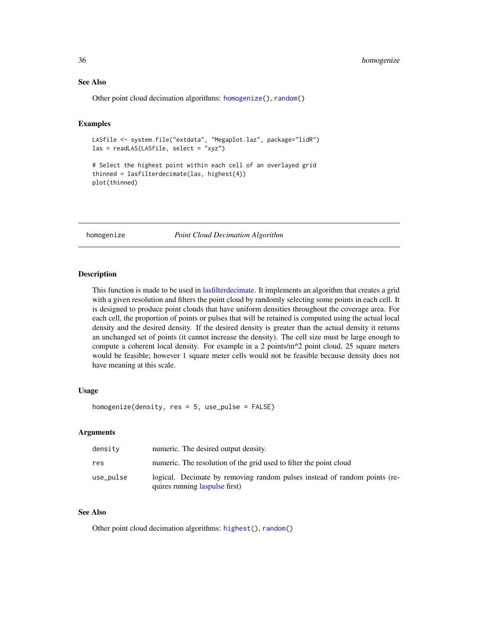# <span id="page-35-0"></span>See Also

Other point cloud decimation algorithms: [homogenize\(](#page-35-1)), [random\(](#page-96-1))

# Examples

```
LASfile <- system.file("extdata", "Megaplot.laz", package="lidR")
las = readLAS(LASfile, select = "xyz")
```
# Select the highest point within each cell of an overlayed grid thinned = lasfilterdecimate(las, highest(4)) plot(thinned)

<span id="page-35-1"></span>homogenize *Point Cloud Decimation Algorithm*

# Description

This function is made to be used in [lasfilterdecimate.](#page-52-1) It implements an algorithm that creates a grid with a given resolution and filters the point cloud by randomly selecting some points in each cell. It is designed to produce point clouds that have uniform densities throughout the coverage area. For each cell, the proportion of points or pulses that will be retained is computed using the actual local density and the desired density. If the desired density is greater than the actual density it returns an unchanged set of points (it cannot increase the density). The cell size must be large enough to compute a coherent local density. For example in a 2 points/ $m^2$  point cloud, 25 square meters would be feasible; however 1 square meter cells would not be feasible because density does not have meaning at this scale.

#### Usage

homogenize(density, res = 5, use\_pulse = FALSE)

#### Arguments

| density   | numeric. The desired output density.                                                                        |
|-----------|-------------------------------------------------------------------------------------------------------------|
| res       | numeric. The resolution of the grid used to filter the point cloud                                          |
| use_pulse | logical. Decimate by removing random pulses instead of random points (re-<br>quires running laspulse first) |

# See Also

Other point cloud decimation algorithms: [highest\(](#page-34-1)), [random\(](#page-96-1))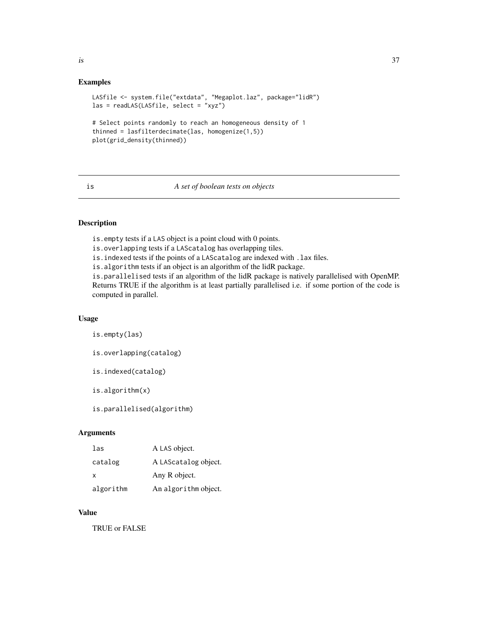### Examples

```
LASfile <- system.file("extdata", "Megaplot.laz", package="lidR")
las = readLAS(LASfile, select = "xyz")
# Select points randomly to reach an homogeneous density of 1
thinned = lasfilterdecimate(las, homogenize(1,5))
plot(grid_density(thinned))
```
#### is *A set of boolean tests on objects*

# Description

is.empty tests if a LAS object is a point cloud with 0 points.

is.overlapping tests if a LAScatalog has overlapping tiles.

is.indexed tests if the points of a LAScatalog are indexed with .lax files.

is.algorithm tests if an object is an algorithm of the lidR package.

is.parallelised tests if an algorithm of the lidR package is natively parallelised with OpenMP. Returns TRUE if the algorithm is at least partially parallelised i.e. if some portion of the code is computed in parallel.

### Usage

is.empty(las)

is.overlapping(catalog)

is.indexed(catalog)

is.algorithm(x)

is.parallelised(algorithm)

# Arguments

| las       | A LAS object.        |
|-----------|----------------------|
| catalog   | A LAScatalog object. |
| x         | Any R object.        |
| algorithm | An algorithm object. |

### Value

TRUE or FALSE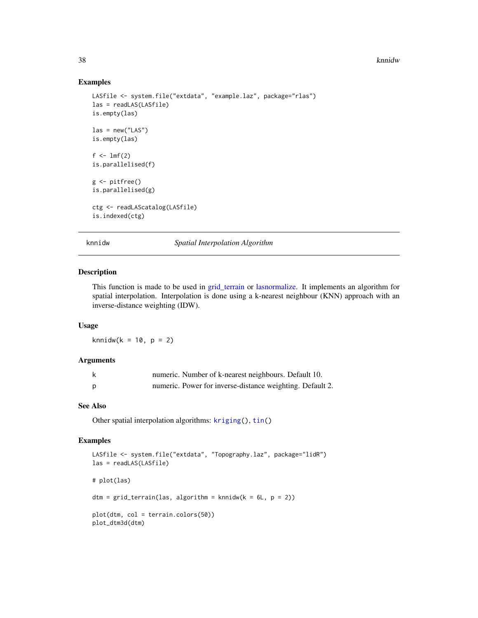#### 38 knnidw

### Examples

```
LASfile <- system.file("extdata", "example.laz", package="rlas")
las = readLAS(LASfile)
is.empty(las)
\text{las} = \text{new("LAS")}is.empty(las)
f \leftarrow \text{lmf}(2)is.parallelised(f)
g <- pitfree()
is.parallelised(g)
ctg <- readLAScatalog(LASfile)
is.indexed(ctg)
```
<span id="page-37-0"></span>

knnidw *Spatial Interpolation Algorithm*

#### Description

This function is made to be used in [grid\\_terrain](#page-31-0) or [lasnormalize.](#page-61-0) It implements an algorithm for spatial interpolation. Interpolation is done using a k-nearest neighbour (KNN) approach with an inverse-distance weighting (IDW).

### Usage

knnidw( $k = 10$ ,  $p = 2$ )

### Arguments

| numeric. Number of k-nearest neighbours. Default 10.      |
|-----------------------------------------------------------|
| numeric. Power for inverse-distance weighting. Default 2. |

### See Also

Other spatial interpolation algorithms: [kriging\(](#page-38-0)), [tin\(](#page-110-0))

### Examples

```
LASfile <- system.file("extdata", "Topography.laz", package="lidR")
las = readLAS(LASfile)
# plot(las)
dtm = grid_{\text{t}}(las, algorithm = knmidw(k = 6L, p = 2))plot(dtm, col = terrain.colors(50))
plot_dtm3d(dtm)
```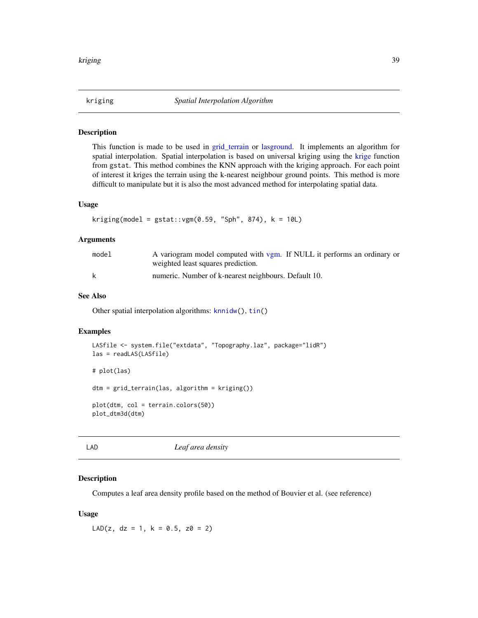<span id="page-38-0"></span>

#### Description

This function is made to be used in [grid\\_terrain](#page-31-0) or [lasground.](#page-57-0) It implements an algorithm for spatial interpolation. Spatial interpolation is based on universal kriging using the [krige](#page-0-0) function from gstat. This method combines the KNN approach with the kriging approach. For each point of interest it kriges the terrain using the k-nearest neighbour ground points. This method is more difficult to manipulate but it is also the most advanced method for interpolating spatial data.

# Usage

```
kriging(model = gstat::vgm(0.59, "Sph", 874), k = 10L)
```
# Arguments

| model | A variogram model computed with vgm. If NULL it performs an ordinary or |
|-------|-------------------------------------------------------------------------|
|       | weighted least squares prediction.                                      |
| k     | numeric. Number of k-nearest neighbours. Default 10.                    |

# See Also

Other spatial interpolation algorithms: [knnidw\(](#page-37-0)), [tin\(](#page-110-0))

### Examples

```
LASfile <- system.file("extdata", "Topography.laz", package="lidR")
las = readLAS(LASfile)
# plot(las)
dtm = grid_terrain(las, algorithm = kriging())
plot(dtm, col = terrain.colors(50))
plot_dtm3d(dtm)
```
LAD *Leaf area density*

### Description

Computes a leaf area density profile based on the method of Bouvier et al. (see reference)

### Usage

LAD(z,  $dz = 1$ ,  $k = 0.5$ ,  $z0 = 2$ )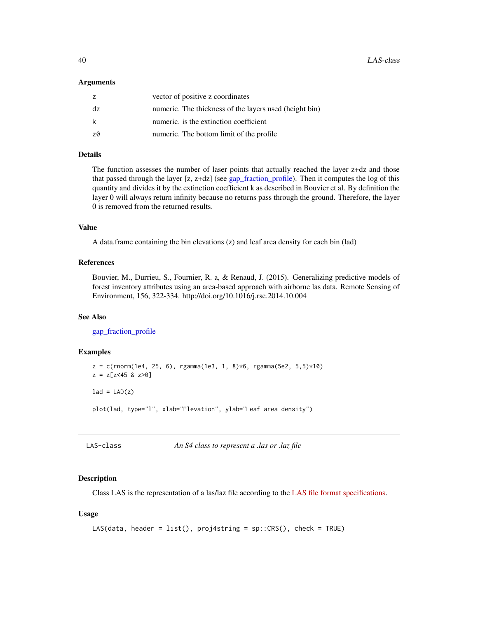### Arguments

|     | vector of positive z coordinates                       |
|-----|--------------------------------------------------------|
| dz  | numeric. The thickness of the layers used (height bin) |
| -k  | numeric, is the extinction coefficient                 |
| -70 | numeric. The bottom limit of the profile               |

# Details

The function assesses the number of laser points that actually reached the layer z+dz and those that passed through the layer [z, z+dz] (see [gap\\_fraction\\_profile\)](#page-24-0). Then it computes the log of this quantity and divides it by the extinction coefficient k as described in Bouvier et al. By definition the layer 0 will always return infinity because no returns pass through the ground. Therefore, the layer 0 is removed from the returned results.

# Value

A data.frame containing the bin elevations (z) and leaf area density for each bin (lad)

# References

Bouvier, M., Durrieu, S., Fournier, R. a, & Renaud, J. (2015). Generalizing predictive models of forest inventory attributes using an area-based approach with airborne las data. Remote Sensing of Environment, 156, 322-334. http://doi.org/10.1016/j.rse.2014.10.004

### See Also

[gap\\_fraction\\_profile](#page-24-0)

### Examples

```
z = c(rnorm(1e4, 25, 6), rgamma(1e3, 1, 8)*6, rgamma(5e2, 5,5)*10)
z = z[z<45 \& z>0]lad = LAD(z)
```
plot(lad, type="l", xlab="Elevation", ylab="Leaf area density")

LAS-class *An S4 class to represent a .las or .laz file*

### <span id="page-39-0"></span>Description

Class LAS is the representation of a las/laz file according to the [LAS file format specifications.](http://www.asprs.org/a/society/committees/standards/LAS_1_4_r13.pdf)

### Usage

```
LAS(data, header = list(), proj4string = sp::CRS(), check = TRUE)
```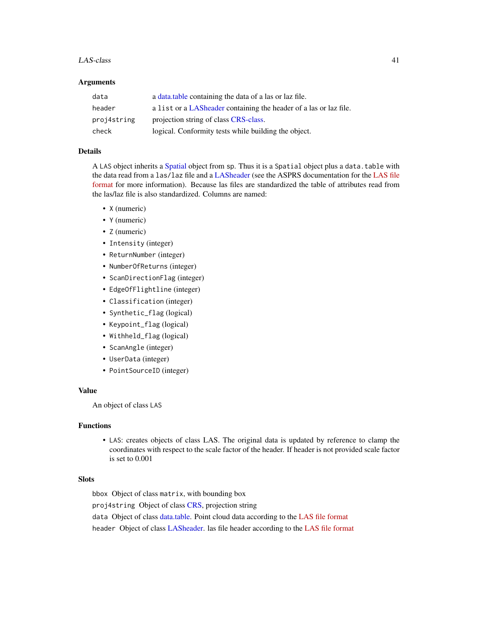### $LAS\text{-}class$  41

### Arguments

| data        | a data table containing the data of a las or laz file.            |
|-------------|-------------------------------------------------------------------|
| header      | a list or a LASheader containing the header of a las or laz file. |
| proj4string | projection string of class CRS-class.                             |
| check       | logical. Conformity tests while building the object.              |

# Details

A LAS object inherits a [Spatial](#page-0-0) object from sp. Thus it is a Spatial object plus a data.table with the data read from a las/laz file and a [LASheader](#page-59-0) (see the ASPRS documentation for the [LAS file](http://www.asprs.org/a/society/committees/standards/LAS_1_4_r13.pdf) [format](http://www.asprs.org/a/society/committees/standards/LAS_1_4_r13.pdf) for more information). Because las files are standardized the table of attributes read from the las/laz file is also standardized. Columns are named:

- X (numeric)
- Y (numeric)
- Z (numeric)
- Intensity (integer)
- ReturnNumber (integer)
- NumberOfReturns (integer)
- ScanDirectionFlag (integer)
- EdgeOfFlightline (integer)
- Classification (integer)
- Synthetic\_flag (logical)
- Keypoint\_flag (logical)
- Withheld\_flag (logical)
- ScanAngle (integer)
- UserData (integer)
- PointSourceID (integer)

# Value

An object of class LAS

### Functions

• LAS: creates objects of class LAS. The original data is updated by reference to clamp the coordinates with respect to the scale factor of the header. If header is not provided scale factor is set to 0.001

## Slots

bbox Object of class matrix, with bounding box

proj4string Object of class [CRS,](#page-0-0) projection string

data Object of class [data.table.](#page-0-0) Point cloud data according to the [LAS file format](http://www.asprs.org/a/society/committees/standards/LAS_1_4_r13.pdf)

header Object of class [LASheader.](#page-59-0) las file header according to the [LAS file format](http://www.asprs.org/a/society/committees/standards/LAS_1_4_r13.pdf)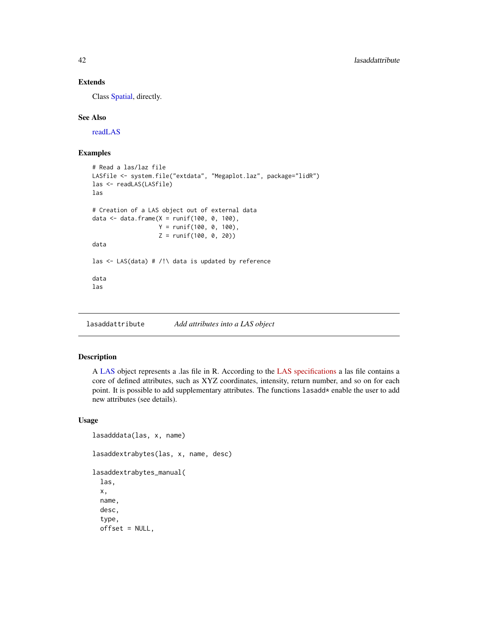# Extends

Class [Spatial,](#page-0-0) directly.

### See Also

[readLAS](#page-97-0)

# Examples

```
# Read a las/laz file
LASfile <- system.file("extdata", "Megaplot.laz", package="lidR")
las <- readLAS(LASfile)
las
# Creation of a LAS object out of external data
data <- data.frame(X = runif(100, 0, 100),
                   Y = runif(100, 0, 100),
                   Z = runif(100, 0, 20))
data
las \leq LAS(data) # /!\ data is updated by reference
data
las
```
lasaddattribute *Add attributes into a LAS object*

# Description

A [LAS](#page-39-0) object represents a .las file in R. According to the [LAS specifications](https://www.asprs.org/a/society/committees/standards/LAS_1_4_r13.pdf) a las file contains a core of defined attributes, such as XYZ coordinates, intensity, return number, and so on for each point. It is possible to add supplementary attributes. The functions lasadd\* enable the user to add new attributes (see details).

## Usage

```
lasadddata(las, x, name)
lasaddextrabytes(las, x, name, desc)
lasaddextrabytes_manual(
  las,
  x,
  name,
  desc,
  type,
  offset = NULL,
```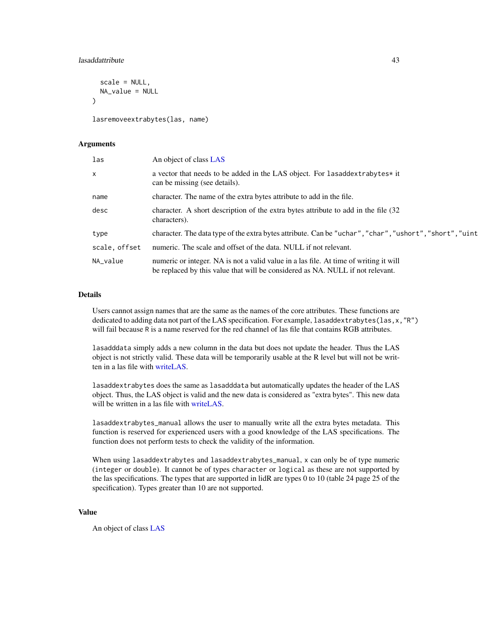## lasaddattribute 43

```
scale = NULL,
 NA_value = NULL
)
```
lasremoveextrabytes(las, name)

### Arguments

| las           | An object of class LAS                                                                                                                                                  |
|---------------|-------------------------------------------------------------------------------------------------------------------------------------------------------------------------|
| $\times$      | a vector that needs to be added in the LAS object. For lasaddextrabytes* it<br>can be missing (see details).                                                            |
| name          | character. The name of the extra bytes attribute to add in the file.                                                                                                    |
| desc          | character. A short description of the extra bytes attribute to add in the file (32<br>characters).                                                                      |
| type          | character. The data type of the extra bytes attribute. Can be "uchar", "char", "ushort", "short", "uint                                                                 |
| scale, offset | numeric. The scale and offset of the data. NULL if not relevant.                                                                                                        |
| NA_value      | numeric or integer. NA is not a valid value in a las file. At time of writing it will<br>be replaced by this value that will be considered as NA. NULL if not relevant. |

### Details

Users cannot assign names that are the same as the names of the core attributes. These functions are dedicated to adding data not part of the LAS specification. For example, lasaddextrabytes(las,x,"R") will fail because R is a name reserved for the red channel of las file that contains RGB attributes.

lasadddata simply adds a new column in the data but does not update the header. Thus the LAS object is not strictly valid. These data will be temporarily usable at the R level but will not be written in a las file with [writeLAS.](#page-123-0)

lasaddextrabytes does the same as lasadddata but automatically updates the header of the LAS object. Thus, the LAS object is valid and the new data is considered as "extra bytes". This new data will be written in a las file with [writeLAS.](#page-123-0)

lasaddextrabytes\_manual allows the user to manually write all the extra bytes metadata. This function is reserved for experienced users with a good knowledge of the LAS specifications. The function does not perform tests to check the validity of the information.

When using lasaddextrabytes and lasaddextrabytes\_manual, x can only be of type numeric (integer or double). It cannot be of types character or logical as these are not supported by the las specifications. The types that are supported in lidR are types 0 to 10 (table 24 page 25 of the specification). Types greater than 10 are not supported.

#### Value

An object of class [LAS](#page-39-0)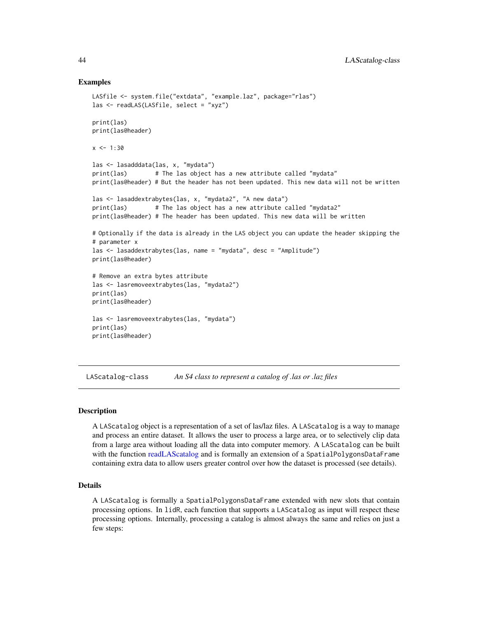### Examples

```
LASfile <- system.file("extdata", "example.laz", package="rlas")
las <- readLAS(LASfile, select = "xyz")
print(las)
print(las@header)
x < -1:30las <- lasadddata(las, x, "mydata")
print(las) # The las object has a new attribute called "mydata"
print(las@header) # But the header has not been updated. This new data will not be written
las <- lasaddextrabytes(las, x, "mydata2", "A new data")
print(las) # The las object has a new attribute called "mydata2"
print(las@header) # The header has been updated. This new data will be written
# Optionally if the data is already in the LAS object you can update the header skipping the
# parameter x
las <- lasaddextrabytes(las, name = "mydata", desc = "Amplitude")
print(las@header)
# Remove an extra bytes attribute
las <- lasremoveextrabytes(las, "mydata2")
print(las)
print(las@header)
las <- lasremoveextrabytes(las, "mydata")
print(las)
print(las@header)
```
<span id="page-43-0"></span>LAScatalog-class *An S4 class to represent a catalog of .las or .laz files*

### Description

A LAScatalog object is a representation of a set of las/laz files. A LAScatalog is a way to manage and process an entire dataset. It allows the user to process a large area, or to selectively clip data from a large area without loading all the data into computer memory. A LAScatalog can be built with the function [readLAScatalog](#page-98-0) and is formally an extension of a SpatialPolygonsDataFrame containing extra data to allow users greater control over how the dataset is processed (see details).

# Details

A LAScatalog is formally a SpatialPolygonsDataFrame extended with new slots that contain processing options. In lidR, each function that supports a LAScatalog as input will respect these processing options. Internally, processing a catalog is almost always the same and relies on just a few steps: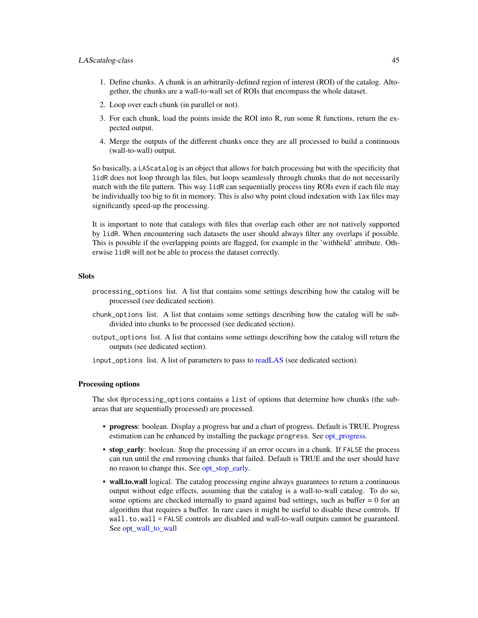### LAScatalog-class 45

- 1. Define chunks. A chunk is an arbitrarily-defined region of interest (ROI) of the catalog. Altogether, the chunks are a wall-to-wall set of ROIs that encompass the whole dataset.
- 2. Loop over each chunk (in parallel or not).
- 3. For each chunk, load the points inside the ROI into R, run some R functions, return the expected output.
- 4. Merge the outputs of the different chunks once they are all processed to build a continuous (wall-to-wall) output.

So basically, a LAScatalog is an object that allows for batch processing but with the specificity that lidR does not loop through las files, but loops seamlessly through chunks that do not necessarily match with the file pattern. This way lidR can sequentially process tiny ROIs even if each file may be individually too big to fit in memory. This is also why point cloud indexation with lax files may significantly speed-up the processing.

It is important to note that catalogs with files that overlap each other are not natively supported by lidR. When encountering such datasets the user should always filter any overlaps if possible. This is possible if the overlapping points are flagged, for example in the 'withheld' attribute. Otherwise lidR will not be able to process the dataset correctly.

### **Slots**

- processing\_options list. A list that contains some settings describing how the catalog will be processed (see dedicated section).
- chunk\_options list. A list that contains some settings describing how the catalog will be subdivided into chunks to be processed (see dedicated section).
- output\_options list. A list that contains some settings describing how the catalog will return the outputs (see dedicated section).

input\_options list. A list of parameters to pass to [readLAS](#page-97-0) (see dedicated section).

## Processing options

The slot @processing\_options contains a list of options that determine how chunks (the subareas that are sequentially processed) are processed.

- progress: boolean. Display a progress bar and a chart of progress. Default is TRUE. Progress estimation can be enhanced by installing the package progress. See [opt\\_progress.](#page-12-0)
- stop\_early: boolean. Stop the processing if an error occurs in a chunk. If FALSE the process can run until the end removing chunks that failed. Default is TRUE and the user should have no reason to change this. See [opt\\_stop\\_early.](#page-12-0)
- wall.to.wall logical. The catalog processing engine always guarantees to return a continuous output without edge effects, assuming that the catalog is a wall-to-wall catalog. To do so, some options are checked internally to guard against bad settings, such as buffer  $= 0$  for an algorithm that requires a buffer. In rare cases it might be useful to disable these controls. If wall.to.wall = FALSE controls are disabled and wall-to-wall outputs cannot be guaranteed. See [opt\\_wall\\_to\\_wall](#page-12-0)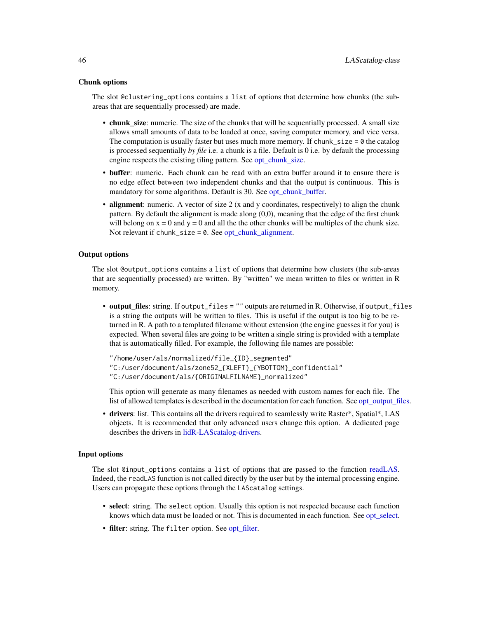#### Chunk options

The slot @clustering\_options contains a list of options that determine how chunks (the subareas that are sequentially processed) are made.

- chunk\_size: numeric. The size of the chunks that will be sequentially processed. A small size allows small amounts of data to be loaded at once, saving computer memory, and vice versa. The computation is usually faster but uses much more memory. If chunk\_size =  $\theta$  the catalog is processed sequentially *by file* i.e. a chunk is a file. Default is 0 i.e. by default the processing engine respects the existing tiling pattern. See [opt\\_chunk\\_size.](#page-12-0)
- buffer: numeric. Each chunk can be read with an extra buffer around it to ensure there is no edge effect between two independent chunks and that the output is continuous. This is mandatory for some algorithms. Default is 30. See [opt\\_chunk\\_buffer.](#page-12-0)
- alignment: numeric. A vector of size 2 (x and y coordinates, respectively) to align the chunk pattern. By default the alignment is made along (0,0), meaning that the edge of the first chunk will belong on  $x = 0$  and  $y = 0$  and all the the other chunks will be multiples of the chunk size. Not relevant if chunk\_size =  $0$ . See [opt\\_chunk\\_alignment.](#page-12-0)

# Output options

The slot @output\_options contains a list of options that determine how clusters (the sub-areas that are sequentially processed) are written. By "written" we mean written to files or written in R memory.

• output\_files: string. If output\_files = "" outputs are returned in R. Otherwise, if output\_files is a string the outputs will be written to files. This is useful if the output is too big to be returned in R. A path to a templated filename without extension (the engine guesses it for you) is expected. When several files are going to be written a single string is provided with a template that is automatically filled. For example, the following file names are possible:

"/home/user/als/normalized/file\_{ID}\_segmented" "C:/user/document/als/zone52\_{XLEFT}\_{YBOTTOM}\_confidential" "C:/user/document/als/{ORIGINALFILNAME}\_normalized"

This option will generate as many filenames as needed with custom names for each file. The list of allowed templates is described in the documentation for each function. See opt output files.

• drivers: list. This contains all the drivers required to seamlessly write Raster\*, Spatial\*, LAS objects. It is recommended that only advanced users change this option. A dedicated page describes the drivers in [lidR-LAScatalog-drivers.](#page-74-0)

# Input options

The slot @input\_options contains a list of options that are passed to the function [readLAS.](#page-97-0) Indeed, the readLAS function is not called directly by the user but by the internal processing engine. Users can propagate these options through the LAScatalog settings.

- select: string. The select option. Usually this option is not respected because each function knows which data must be loaded or not. This is documented in each function. See opt select.
- filter: string. The filter option. See [opt\\_filter.](#page-12-0)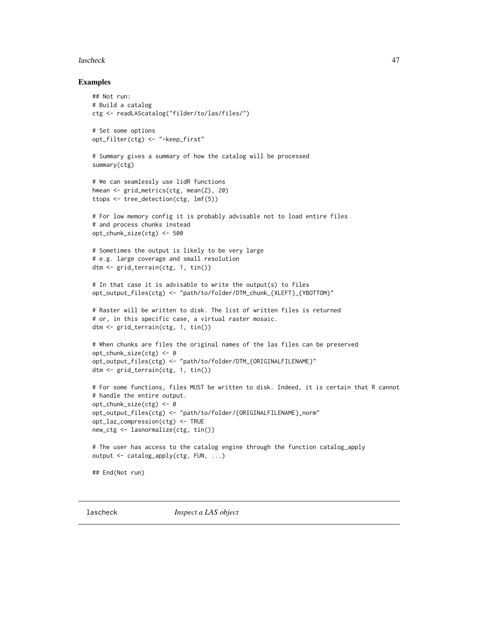### lascheck 47

### Examples

```
## Not run:
# Build a catalog
ctg <- readLAScatalog("filder/to/las/files/")
# Set some options
opt_filter(ctg) <- "-keep_first"
# Summary gives a summary of how the catalog will be processed
summary(ctg)
# We can seamlessly use lidR functions
hmean <- grid_metrics(ctg, mean(Z), 20)
ttops <- tree_detection(ctg, lmf(5))
# For low memory config it is probably advisable not to load entire files
# and process chunks instead
opt_chunk_size(ctg) <- 500
# Sometimes the output is likely to be very large
# e.g. large coverage and small resolution
dtm <- grid_terrain(ctg, 1, tin())
# In that case it is advisable to write the output(s) to files
opt_output_files(ctg) <- "path/to/folder/DTM_chunk_{XLEFT}_{YBOTTOM}"
# Raster will be written to disk. The list of written files is returned
# or, in this specific case, a virtual raster mosaic.
dtm <- grid_terrain(ctg, 1, tin())
# When chunks are files the original names of the las files can be preserved
opt_chunk_size(ctg) <- 0
opt_output_files(ctg) <- "path/to/folder/DTM_{ORIGINALFILENAME}"
dtm <- grid_terrain(ctg, 1, tin())
# For some functions, files MUST be written to disk. Indeed, it is certain that R cannot
# handle the entire output.
opt_chunk_size(ctg) <- 0
opt_output_files(ctg) <- "path/to/folder/{ORIGINALFILENAME}_norm"
opt_laz_compression(ctg) <- TRUE
new_ctg <- lasnormalize(ctg, tin())
# The user has access to the catalog engine through the function catalog_apply
output <- catalog_apply(ctg, FUN, ...)
## End(Not run)
```
lascheck *Inspect a LAS object*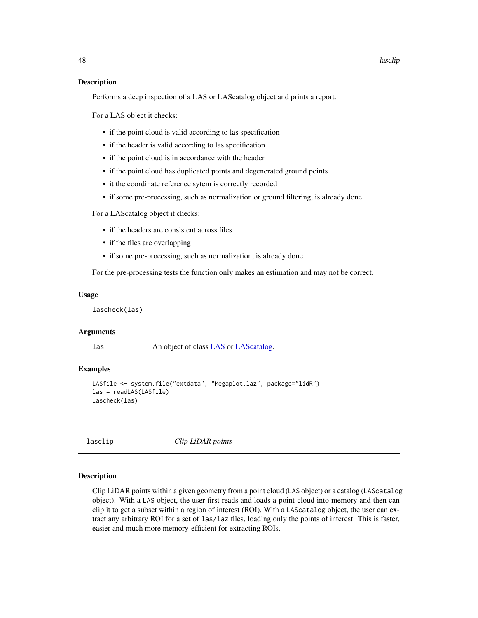### Description

Performs a deep inspection of a LAS or LAScatalog object and prints a report.

For a LAS object it checks:

- if the point cloud is valid according to las specification
- if the header is valid according to las specification
- if the point cloud is in accordance with the header
- if the point cloud has duplicated points and degenerated ground points
- it the coordinate reference sytem is correctly recorded
- if some pre-processing, such as normalization or ground filtering, is already done.

For a LAScatalog object it checks:

- if the headers are consistent across files
- if the files are overlapping
- if some pre-processing, such as normalization, is already done.

For the pre-processing tests the function only makes an estimation and may not be correct.

### Usage

lascheck(las)

#### **Arguments**

las An object of class [LAS](#page-39-0) or [LAScatalog.](#page-0-0)

# Examples

```
LASfile <- system.file("extdata", "Megaplot.laz", package="lidR")
las = readLAS(LASfile)
lascheck(las)
```
lasclip *Clip LiDAR points*

### Description

Clip LiDAR points within a given geometry from a point cloud (LAS object) or a catalog (LAScatalog object). With a LAS object, the user first reads and loads a point-cloud into memory and then can clip it to get a subset within a region of interest (ROI). With a LAScatalog object, the user can extract any arbitrary ROI for a set of las/laz files, loading only the points of interest. This is faster, easier and much more memory-efficient for extracting ROIs.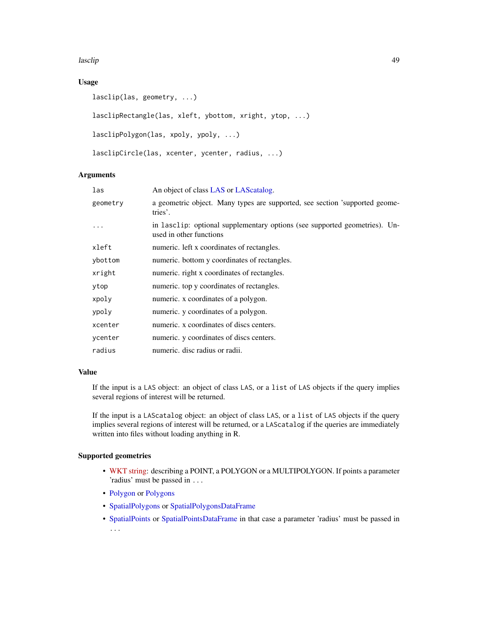lasclip **1996** and 2008 and 2008 and 2008 and 2008 and 2008 and 2008 and 2008 and 2008 and 2008 and 2008 and 20

# Usage

```
lasclip(las, geometry, ...)
lasclipRectangle(las, xleft, ybottom, xright, ytop, ...)
lasclipPolygon(las, xpoly, ypoly, ...)
lasclipCircle(las, xcenter, ycenter, radius, ...)
```
### Arguments

| las      | An object of class LAS or LAS catalog.                                                                |
|----------|-------------------------------------------------------------------------------------------------------|
| geometry | a geometric object. Many types are supported, see section 'supported geome-<br>tries'.                |
|          | in lasclip: optional supplementary options (see supported geometries). Un-<br>used in other functions |
| xleft    | numeric. left x coordinates of rectangles.                                                            |
| ybottom  | numeric. bottom y coordinates of rectangles.                                                          |
| xright   | numeric. right x coordinates of rectangles.                                                           |
| ytop     | numeric. top y coordinates of rectangles.                                                             |
| xpoly    | numeric. x coordinates of a polygon.                                                                  |
| ypoly    | numeric. y coordinates of a polygon.                                                                  |
| xcenter  | numeric. x coordinates of discs centers.                                                              |
| ycenter  | numeric. y coordinates of discs centers.                                                              |
| radius   | numeric, disc radius or radii.                                                                        |

### Value

If the input is a LAS object: an object of class LAS, or a list of LAS objects if the query implies several regions of interest will be returned.

If the input is a LAScatalog object: an object of class LAS, or a list of LAS objects if the query implies several regions of interest will be returned, or a LAScatalog if the queries are immediately written into files without loading anything in R.

# Supported geometries

- [WKT string:](https://en.wikipedia.org/wiki/Well-known_text) describing a POINT, a POLYGON or a MULTIPOLYGON. If points a parameter 'radius' must be passed in ...
- [Polygon](#page-0-0) or [Polygons](#page-0-0)
- [SpatialPolygons](#page-0-0) or [SpatialPolygonsDataFrame](#page-0-0)
- [SpatialPoints](#page-0-0) or [SpatialPointsDataFrame](#page-0-0) in that case a parameter 'radius' must be passed in ...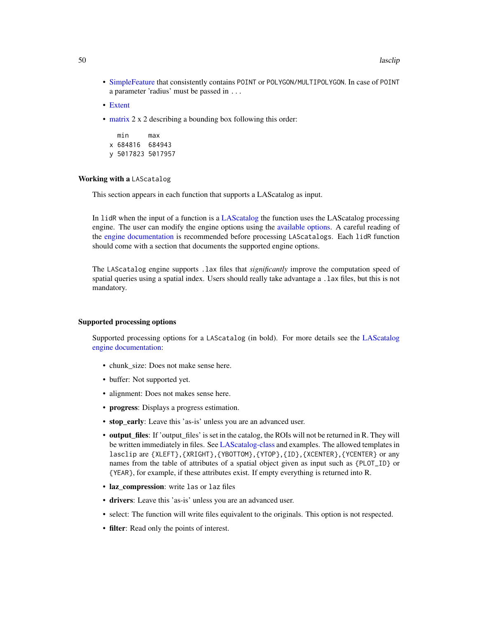- [SimpleFeature](#page-0-0) that consistently contains POINT or POLYGON/MULTIPOLYGON. In case of POINT a parameter 'radius' must be passed in ...
- [Extent](#page-0-0)
- [matrix](#page-0-0) 2 x 2 describing a bounding box following this order:

min max x 684816 684943 y 5017823 5017957

### Working with a LAScatalog

This section appears in each function that supports a LAScatalog as input.

In lidR when the input of a function is a [LAScatalog](#page-0-0) the function uses the LAScatalog processing engine. The user can modify the engine options using the [available options.](#page-0-0) A careful reading of the [engine documentation](#page-0-0) is recommended before processing LAScatalogs. Each lidR function should come with a section that documents the supported engine options.

The LAScatalog engine supports .lax files that *significantly* improve the computation speed of spatial queries using a spatial index. Users should really take advantage a .lax files, but this is not mandatory.

#### Supported processing options

Supported processing options for a LAScatalog (in bold). For more details see the [LAScatalog](#page-0-0) [engine documentation:](#page-0-0)

- chunk size: Does not make sense here.
- buffer: Not supported yet.
- alignment: Does not makes sense here.
- progress: Displays a progress estimation.
- stop\_early: Leave this 'as-is' unless you are an advanced user.
- output\_files: If 'output\_files' is set in the catalog, the ROIs will not be returned in R. They will be written immediately in files. See [LAScatalog-class](#page-43-0) and examples. The allowed templates in lasclip are {XLEFT},{XRIGHT},{YBOTTOM},{YTOP},{ID},{XCENTER},{YCENTER} or any names from the table of attributes of a spatial object given as input such as {PLOT\_ID} or {YEAR}, for example, if these attributes exist. If empty everything is returned into R.
- laz compression: write las or laz files
- drivers: Leave this 'as-is' unless you are an advanced user.
- select: The function will write files equivalent to the originals. This option is not respected.
- filter: Read only the points of interest.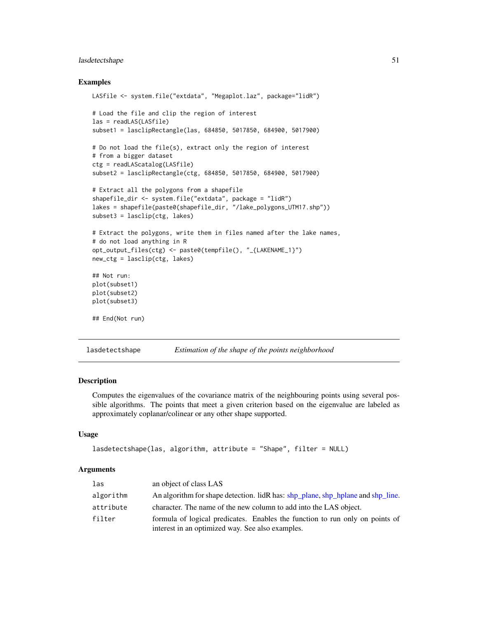# lasdetectshape 51

### Examples

```
LASfile <- system.file("extdata", "Megaplot.laz", package="lidR")
# Load the file and clip the region of interest
las = readLAS(LASfile)
subset1 = lasclipRectangle(las, 684850, 5017850, 684900, 5017900)
# Do not load the file(s), extract only the region of interest
# from a bigger dataset
ctg = readLAScatalog(LASfile)
subset2 = lasclipRectangle(ctg, 684850, 5017850, 684900, 5017900)
# Extract all the polygons from a shapefile
shapefile_dir <- system.file("extdata", package = "lidR")
lakes = shapefile(paste0(shapefile_dir, "/lake_polygons_UTM17.shp"))
subset3 = lasclip(ctg, lakes)
# Extract the polygons, write them in files named after the lake names,
# do not load anything in R
opt_output_files(ctg) <- paste0(tempfile(), "_{LAKENAME_1}")
new_ctg = lasclip(ctg, lakes)
## Not run:
plot(subset1)
plot(subset2)
plot(subset3)
## End(Not run)
```
lasdetectshape *Estimation of the shape of the points neighborhood*

### **Description**

Computes the eigenvalues of the covariance matrix of the neighbouring points using several possible algorithms. The points that meet a given criterion based on the eigenvalue are labeled as approximately coplanar/colinear or any other shape supported.

### Usage

```
lasdetectshape(las, algorithm, attribute = "Shape", filter = NULL)
```
#### Arguments

| las       | an object of class LAS                                                                                                           |
|-----------|----------------------------------------------------------------------------------------------------------------------------------|
| algorithm | An algorithm for shape detection. lidR has: shp_plane, shp_hplane and shp_line.                                                  |
| attribute | character. The name of the new column to add into the LAS object.                                                                |
| filter    | formula of logical predicates. Enables the function to run only on points of<br>interest in an optimized way. See also examples. |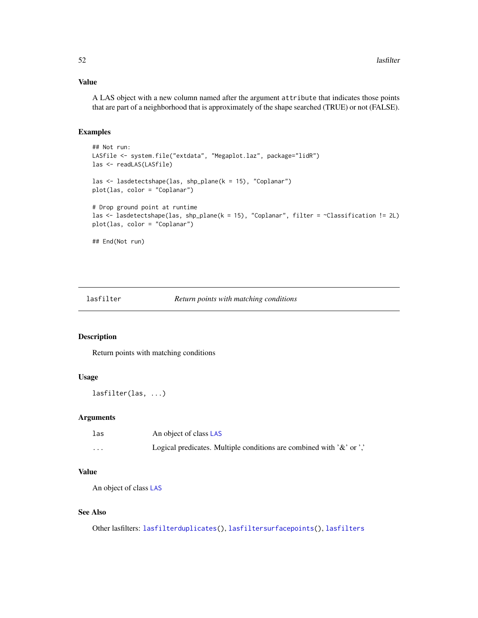### Value

A LAS object with a new column named after the argument attribute that indicates those points that are part of a neighborhood that is approximately of the shape searched (TRUE) or not (FALSE).

### Examples

```
## Not run:
LASfile <- system.file("extdata", "Megaplot.laz", package="lidR")
las <- readLAS(LASfile)
las <- lasdetectshape(las, shp_plane(k = 15), "Coplanar")
plot(las, color = "Coplanar")
# Drop ground point at runtime
las <- lasdetectshape(las, shp_plane(k = 15), "Coplanar", filter = ~Classification != 2L)
plot(las, color = "Coplanar")
## End(Not run)
```
<span id="page-51-0"></span>lasfilter *Return points with matching conditions*

### Description

Return points with matching conditions

# Usage

lasfilter(las, ...)

#### Arguments

| las      | An object of class LAS                                                      |
|----------|-----------------------------------------------------------------------------|
| $\cdots$ | Logical predicates. Multiple conditions are combined with $\&$ or $\cdot$ . |

# Value

An object of class [LAS](#page-39-0)

### See Also

Other lasfilters: [lasfilterduplicates\(](#page-53-0)), [lasfiltersurfacepoints\(](#page-56-0)), [lasfilters](#page-55-0)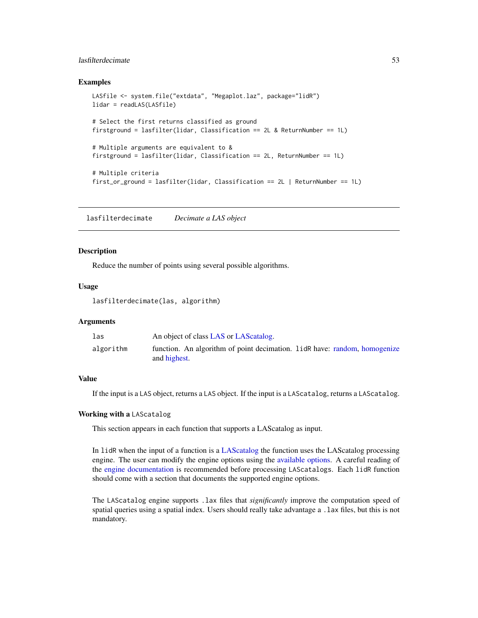# lasfilterdecimate 53

### Examples

```
LASfile <- system.file("extdata", "Megaplot.laz", package="lidR")
lidar = readLAS(LASfile)
# Select the first returns classified as ground
firstground = lasfilter(lidar, Classification == 2L & ReturnNumber == 1L)
# Multiple arguments are equivalent to &
firstground = lasfilter(lidar, Classification == 2L, ReturnNumber == 1L)
# Multiple criteria
first_or_ground = lasfilter(lidar, Classification == 2L | ReturnNumber == 1L)
```
lasfilterdecimate *Decimate a LAS object*

### Description

Reduce the number of points using several possible algorithms.

### Usage

lasfilterdecimate(las, algorithm)

# Arguments

| las       | An object of class LAS or LAS catalog.                                                      |
|-----------|---------------------------------------------------------------------------------------------|
| algorithm | function. An algorithm of point decimation. 1 id R have: random, homogenize<br>and highest. |

### Value

If the input is a LAS object, returns a LAS object. If the input is a LAScatalog, returns a LAScatalog.

### Working with a LAScatalog

This section appears in each function that supports a LAScatalog as input.

In lidR when the input of a function is a [LAScatalog](#page-0-0) the function uses the LAScatalog processing engine. The user can modify the engine options using the [available options.](#page-0-0) A careful reading of the [engine documentation](#page-0-0) is recommended before processing LAScatalogs. Each lidR function should come with a section that documents the supported engine options.

The LAScatalog engine supports .lax files that *significantly* improve the computation speed of spatial queries using a spatial index. Users should really take advantage a .lax files, but this is not mandatory.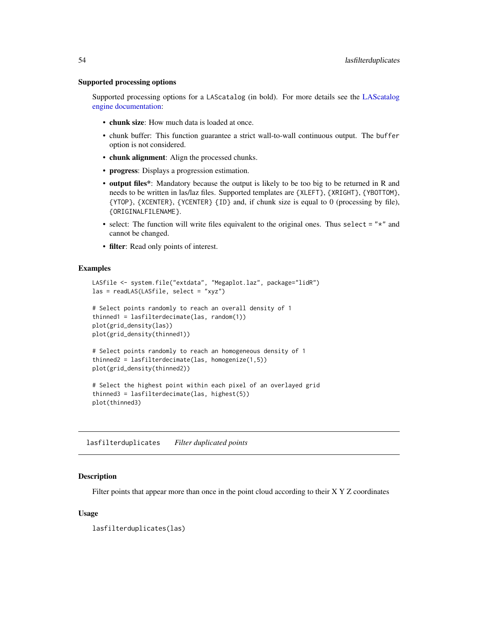### Supported processing options

Supported processing options for a LAScatalog (in bold). For more details see the [LAScatalog](#page-0-0) [engine documentation:](#page-0-0)

- chunk size: How much data is loaded at once.
- chunk buffer: This function guarantee a strict wall-to-wall continuous output. The buffer option is not considered.
- chunk alignment: Align the processed chunks.
- progress: Displays a progression estimation.
- output files\*: Mandatory because the output is likely to be too big to be returned in R and needs to be written in las/laz files. Supported templates are {XLEFT}, {XRIGHT}, {YBOTTOM}, {YTOP}, {XCENTER}, {YCENTER} {ID} and, if chunk size is equal to 0 (processing by file), {ORIGINALFILENAME}.
- select: The function will write files equivalent to the original ones. Thus select  $=$  " $\star$ " and cannot be changed.
- filter: Read only points of interest.

### Examples

```
LASfile <- system.file("extdata", "Megaplot.laz", package="lidR")
las = readLAS(LASfile, select = "xyz")
# Select points randomly to reach an overall density of 1
thinned1 = lasfilterdecimate(las, random(1))
plot(grid_density(las))
plot(grid_density(thinned1))
# Select points randomly to reach an homogeneous density of 1
thinned2 = lasfilterdecimate(las, homogenize(1,5))
plot(grid_density(thinned2))
# Select the highest point within each pixel of an overlayed grid
thinned3 = lasfilterdecimate(las, highest(5))
plot(thinned3)
```
<span id="page-53-0"></span>lasfilterduplicates *Filter duplicated points*

#### Description

Filter points that appear more than once in the point cloud according to their X Y Z coordinates

### Usage

lasfilterduplicates(las)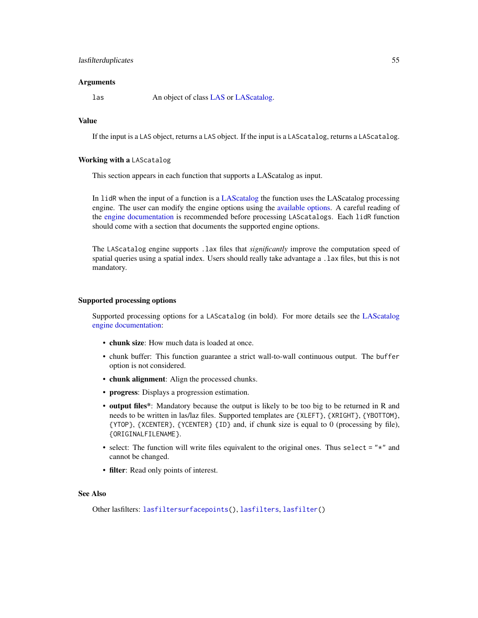### lasfilterduplicates 55

### Arguments

las An object of class [LAS](#page-39-0) or [LAScatalog.](#page-0-0)

# Value

If the input is a LAS object, returns a LAS object. If the input is a LAScatalog, returns a LAScatalog.

### Working with a LAScatalog

This section appears in each function that supports a LAScatalog as input.

In lidR when the input of a function is a [LAScatalog](#page-0-0) the function uses the LAScatalog processing engine. The user can modify the engine options using the [available options.](#page-0-0) A careful reading of the [engine documentation](#page-0-0) is recommended before processing LAScatalogs. Each lidR function should come with a section that documents the supported engine options.

The LAScatalog engine supports .lax files that *significantly* improve the computation speed of spatial queries using a spatial index. Users should really take advantage a .lax files, but this is not mandatory.

### Supported processing options

Supported processing options for a LAScatalog (in bold). For more details see the [LAScatalog](#page-0-0) [engine documentation:](#page-0-0)

- chunk size: How much data is loaded at once.
- chunk buffer: This function guarantee a strict wall-to-wall continuous output. The buffer option is not considered.
- chunk alignment: Align the processed chunks.
- progress: Displays a progression estimation.
- output files\*: Mandatory because the output is likely to be too big to be returned in R and needs to be written in las/laz files. Supported templates are {XLEFT}, {XRIGHT}, {YBOTTOM}, {YTOP}, {XCENTER}, {YCENTER} {ID} and, if chunk size is equal to 0 (processing by file), {ORIGINALFILENAME}.
- select: The function will write files equivalent to the original ones. Thus select  $=$  " $\star$ " and cannot be changed.
- filter: Read only points of interest.

# See Also

Other lasfilters: [lasfiltersurfacepoints\(](#page-56-0)), [lasfilters](#page-55-0), [lasfilter\(](#page-51-0))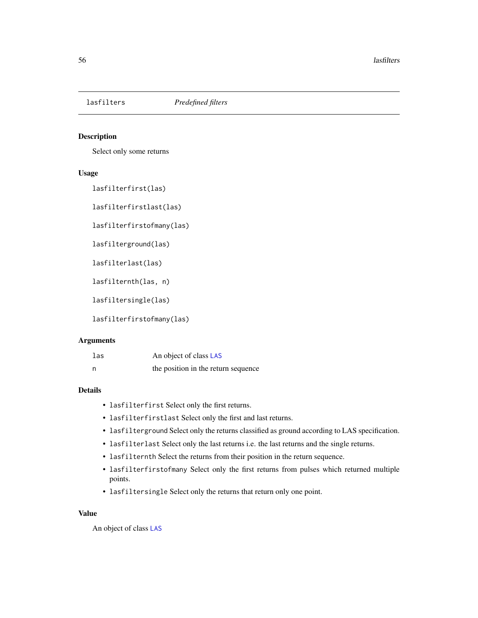<span id="page-55-0"></span>

# Description

Select only some returns

#### Usage

lasfilterfirst(las)

lasfilterfirstlast(las)

lasfilterfirstofmany(las)

lasfilterground(las)

lasfilterlast(las)

lasfilternth(las, n)

lasfiltersingle(las)

lasfilterfirstofmany(las)

### Arguments

| las | An object of class LAS              |
|-----|-------------------------------------|
| - n | the position in the return sequence |

# Details

- lasfilterfirst Select only the first returns.
- lasfilterfirstlast Select only the first and last returns.
- lasfilterground Select only the returns classified as ground according to LAS specification.
- lasfilterlast Select only the last returns i.e. the last returns and the single returns.
- lasfilternth Select the returns from their position in the return sequence.
- lasfilterfirstofmany Select only the first returns from pulses which returned multiple points.
- lasfiltersingle Select only the returns that return only one point.

### Value

An object of class [LAS](#page-39-0)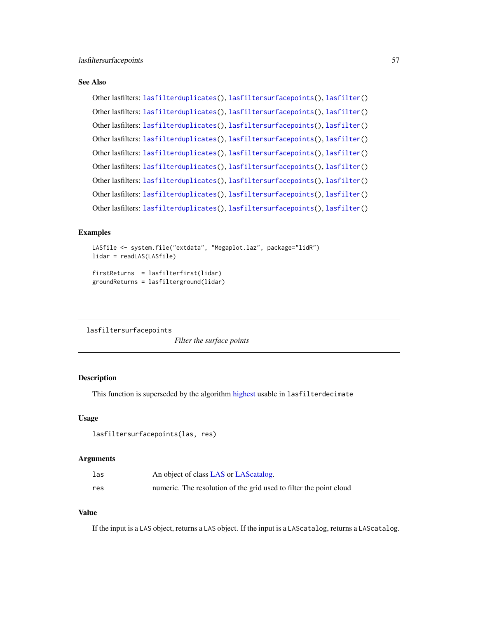### See Also

```
Other lasfilters: lasfilterduplicates(), lasfiltersurfacepoints(), lasfilter()
Other lasfilters: lasfilterduplicates(), lasfiltersurfacepoints(), lasfilter()
Other lasfilters: lasfilterduplicates(), lasfiltersurfacepoints(), lasfilter()
Other lasfilters: lasfilterduplicates(), lasfiltersurfacepoints(), lasfilter()
Other lasfilters: lasfilterduplicates(), lasfiltersurfacepoints(), lasfilter()
Other lasfilters: lasfilterduplicates(), lasfiltersurfacepoints(), lasfilter()
Other lasfilters: lasfilterduplicates(), lasfiltersurfacepoints(), lasfilter()
Other lasfilters: lasfilterduplicates(), lasfiltersurfacepoints(), lasfilter()
Other lasfilters: lasfilterduplicates(), lasfiltersurfacepoints(), lasfilter()
```
### Examples

```
LASfile <- system.file("extdata", "Megaplot.laz", package="lidR")
lidar = readLAS(LASfile)
firstReturns = lasfilterfirst(lidar)
groundReturns = lasfilterground(lidar)
```
<span id="page-56-0"></span>lasfiltersurfacepoints

*Filter the surface points*

# Description

This function is superseded by the algorithm [highest](#page-34-0) usable in lasfilterdecimate

### Usage

```
lasfiltersurfacepoints(las, res)
```
### Arguments

| las | An object of class LAS or LAS catalog.                             |
|-----|--------------------------------------------------------------------|
| res | numeric. The resolution of the grid used to filter the point cloud |

### Value

If the input is a LAS object, returns a LAS object. If the input is a LAScatalog, returns a LAScatalog.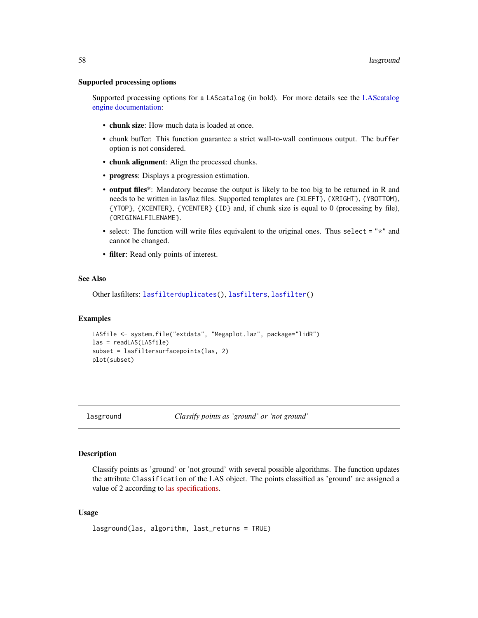### Supported processing options

Supported processing options for a LAScatalog (in bold). For more details see the [LAScatalog](#page-0-0) [engine documentation:](#page-0-0)

- chunk size: How much data is loaded at once.
- chunk buffer: This function guarantee a strict wall-to-wall continuous output. The buffer option is not considered.
- chunk alignment: Align the processed chunks.
- progress: Displays a progression estimation.
- output files\*: Mandatory because the output is likely to be too big to be returned in R and needs to be written in las/laz files. Supported templates are {XLEFT}, {XRIGHT}, {YBOTTOM}, {YTOP}, {XCENTER}, {YCENTER} {ID} and, if chunk size is equal to 0 (processing by file), {ORIGINALFILENAME}.
- select: The function will write files equivalent to the original ones. Thus select  $=$  " $\star$ " and cannot be changed.
- filter: Read only points of interest.

### See Also

Other lasfilters: [lasfilterduplicates\(](#page-53-0)), [lasfilters](#page-55-0), [lasfilter\(](#page-51-0))

#### Examples

```
LASfile <- system.file("extdata", "Megaplot.laz", package="lidR")
las = readLAS(LASfile)
subset = lasfiltersurfacepoints(las, 2)
plot(subset)
```
<span id="page-57-0"></span>lasground *Classify points as 'ground' or 'not ground'*

### Description

Classify points as 'ground' or 'not ground' with several possible algorithms. The function updates the attribute Classification of the LAS object. The points classified as 'ground' are assigned a value of 2 according to [las specifications.](http://www.asprs.org/a/society/committees/standards/LAS_1_4_r13.pdf)

### Usage

```
lasground(las, algorithm, last_returns = TRUE)
```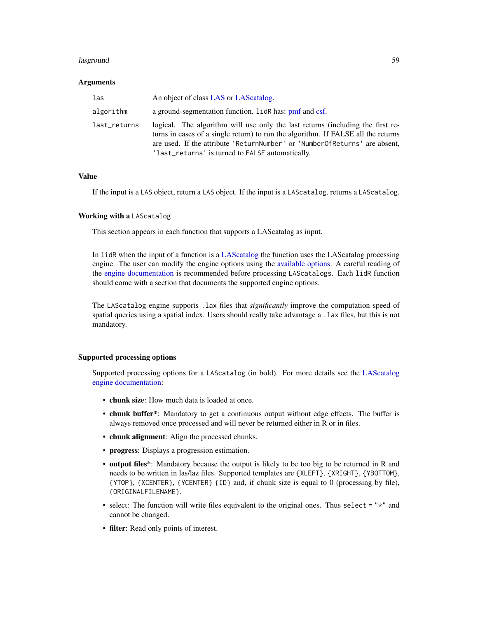### lasground 59 and 59 and 59 and 59 and 59 and 59 and 59 and 59 and 59 and 59 and 59 and 59 and 59 and 59 and 59

### Arguments

| las          | An object of class LAS or LAS catalog.                                                                                                                                                                                                                                                                |
|--------------|-------------------------------------------------------------------------------------------------------------------------------------------------------------------------------------------------------------------------------------------------------------------------------------------------------|
| algorithm    | a ground-segmentation function. LidR has: pmf and csf.                                                                                                                                                                                                                                                |
| last_returns | logical. The algorithm will use only the last returns (including the first re-<br>turns in cases of a single return) to run the algorithm. If FALSE all the returns<br>are used. If the attribute 'ReturnNumber' or 'NumberOfReturns' are absent,<br>'last_returns' is turned to FALSE automatically. |

#### Value

If the input is a LAS object, return a LAS object. If the input is a LAScatalog, returns a LAScatalog.

#### Working with a LAScatalog

This section appears in each function that supports a LAScatalog as input.

In lidR when the input of a function is a [LAScatalog](#page-0-0) the function uses the LAScatalog processing engine. The user can modify the engine options using the [available options.](#page-0-0) A careful reading of the [engine documentation](#page-0-0) is recommended before processing LAScatalogs. Each lidR function should come with a section that documents the supported engine options.

The LAScatalog engine supports .lax files that *significantly* improve the computation speed of spatial queries using a spatial index. Users should really take advantage a .lax files, but this is not mandatory.

### Supported processing options

Supported processing options for a LAScatalog (in bold). For more details see the [LAScatalog](#page-0-0) [engine documentation:](#page-0-0)

- chunk size: How much data is loaded at once.
- chunk buffer\*: Mandatory to get a continuous output without edge effects. The buffer is always removed once processed and will never be returned either in R or in files.
- chunk alignment: Align the processed chunks.
- progress: Displays a progression estimation.
- output files\*: Mandatory because the output is likely to be too big to be returned in R and needs to be written in las/laz files. Supported templates are {XLEFT}, {XRIGHT}, {YBOTTOM}, {YTOP}, {XCENTER}, {YCENTER} {ID} and, if chunk size is equal to 0 (processing by file), {ORIGINALFILENAME}.
- select: The function will write files equivalent to the original ones. Thus select  $=$  " $\star$ " and cannot be changed.
- filter: Read only points of interest.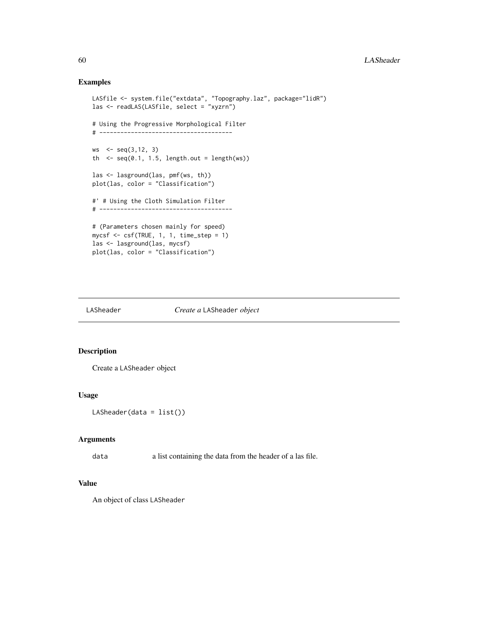# Examples

```
LASfile <- system.file("extdata", "Topography.laz", package="lidR")
las <- readLAS(LASfile, select = "xyzrn")
# Using the Progressive Morphological Filter
# --------------------------------------
ws <- seq(3,12, 3)
th \leq seq(0.1, 1.5, length.out = length(ws))
las <- lasground(las, pmf(ws, th))
plot(las, color = "Classification")
#' # Using the Cloth Simulation Filter
# --------------------------------------
# (Parameters chosen mainly for speed)
mycsf <- csf(TRUE, 1, 1, time_step = 1)
las <- lasground(las, mycsf)
plot(las, color = "Classification")
```
#### <span id="page-59-0"></span>LASheader *Create a* LASheader *object*

# Description

Create a LASheader object

### Usage

```
LASheader(data = list())
```
### Arguments

data a list containing the data from the header of a las file.

# Value

An object of class LASheader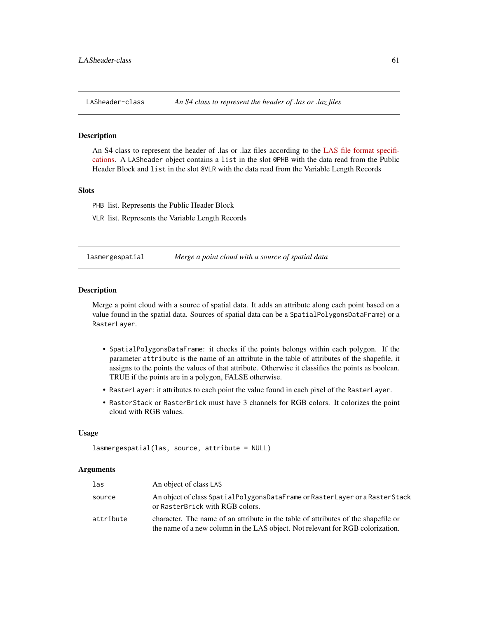### Description

An S4 class to represent the header of .las or .laz files according to the [LAS file format specifi](http://www.asprs.org/a/society/committees/standards/LAS_1_4_r13.pdf)[cations.](http://www.asprs.org/a/society/committees/standards/LAS_1_4_r13.pdf) A LASheader object contains a list in the slot @PHB with the data read from the Public Header Block and list in the slot @VLR with the data read from the Variable Length Records

## **Slots**

PHB list. Represents the Public Header Block

VLR list. Represents the Variable Length Records

lasmergespatial *Merge a point cloud with a source of spatial data*

### Description

Merge a point cloud with a source of spatial data. It adds an attribute along each point based on a value found in the spatial data. Sources of spatial data can be a SpatialPolygonsDataFrame) or a RasterLayer.

- SpatialPolygonsDataFrame: it checks if the points belongs within each polygon. If the parameter attribute is the name of an attribute in the table of attributes of the shapefile, it assigns to the points the values of that attribute. Otherwise it classifies the points as boolean. TRUE if the points are in a polygon, FALSE otherwise.
- RasterLayer: it attributes to each point the value found in each pixel of the RasterLayer.
- RasterStack or RasterBrick must have 3 channels for RGB colors. It colorizes the point cloud with RGB values.

#### Usage

```
lasmergespatial(las, source, attribute = NULL)
```
### Arguments

| las       | An object of class LAS                                                                                                                                               |
|-----------|----------------------------------------------------------------------------------------------------------------------------------------------------------------------|
| source    | An object of class SpatialPolygonsDataFrame or RasterLayer or a RasterStack<br>or RasterBrick with RGB colors.                                                       |
| attribute | character. The name of an attribute in the table of attributes of the shapefile or<br>the name of a new column in the LAS object. Not relevant for RGB colorization. |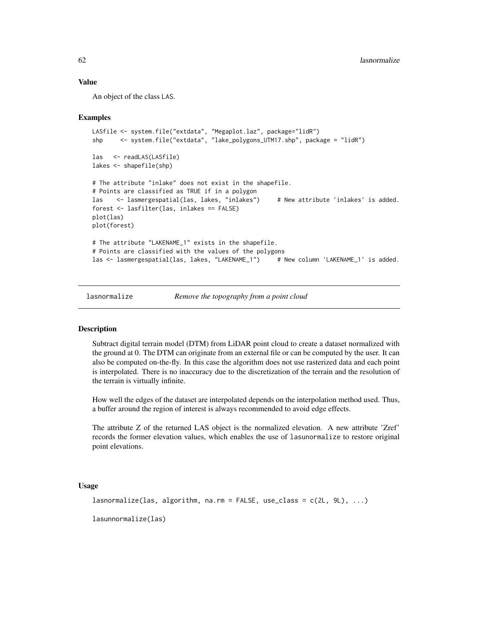### Value

An object of the class LAS.

### Examples

```
LASfile <- system.file("extdata", "Megaplot.laz", package="lidR")
shp <- system.file("extdata", "lake_polygons_UTM17.shp", package = "lidR")
las <- readLAS(LASfile)
lakes <- shapefile(shp)
# The attribute "inlake" does not exist in the shapefile.
# Points are classified as TRUE if in a polygon
las <- lasmergespatial(las, lakes, "inlakes") # New attribute 'inlakes' is added.
forest <- lasfilter(las, inlakes == FALSE)
plot(las)
plot(forest)
# The attribute "LAKENAME_1" exists in the shapefile.
# Points are classified with the values of the polygons
las <- lasmergespatial(las, lakes, "LAKENAME_1") # New column 'LAKENAME_1' is added.
```
<span id="page-61-0"></span>

lasnormalize *Remove the topography from a point cloud*

### Description

Subtract digital terrain model (DTM) from LiDAR point cloud to create a dataset normalized with the ground at 0. The DTM can originate from an external file or can be computed by the user. It can also be computed on-the-fly. In this case the algorithm does not use rasterized data and each point is interpolated. There is no inaccuracy due to the discretization of the terrain and the resolution of the terrain is virtually infinite.

How well the edges of the dataset are interpolated depends on the interpolation method used. Thus, a buffer around the region of interest is always recommended to avoid edge effects.

The attribute Z of the returned LAS object is the normalized elevation. A new attribute 'Zref' records the former elevation values, which enables the use of lasunormalize to restore original point elevations.

#### Usage

```
lasnormalize(las, algorithm, na.rm = FALSE, use_class = c(2L, 9L), ...)
```
lasunnormalize(las)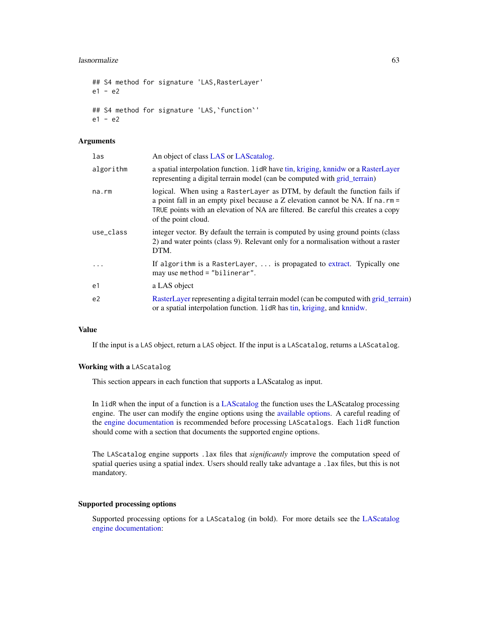### lasnormalize 63

```
## S4 method for signature 'LAS,RasterLayer'
e1 - e2
## S4 method for signature 'LAS,`function`'
e1 - e2
```
# Arguments

| las            | An object of class LAS or LAS catalog.                                                                                                                                                                                                                                    |
|----------------|---------------------------------------------------------------------------------------------------------------------------------------------------------------------------------------------------------------------------------------------------------------------------|
| algorithm      | a spatial interpolation function. 1idR have tin, kriging, knnidw or a RasterLayer<br>representing a digital terrain model (can be computed with grid_terrain)                                                                                                             |
| $na$ . $rm$    | logical. When using a RasterLayer as DTM, by default the function fails if<br>a point fall in an empty pixel because a Z elevation cannot be NA. If na. $rm =$<br>TRUE points with an elevation of NA are filtered. Be careful this creates a copy<br>of the point cloud. |
| use class      | integer vector. By default the terrain is computed by using ground points (class)<br>2) and water points (class 9). Relevant only for a normalisation without a raster<br>DTM.                                                                                            |
| $\ddots$       | If algorithm is a RasterLayer,  is propagated to extract. Typically one<br>may use method = $"bilinear".$                                                                                                                                                                 |
| e1             | a LAS object                                                                                                                                                                                                                                                              |
| e <sub>2</sub> | RasterLayer representing a digital terrain model (can be computed with grid_terrain)<br>or a spatial interpolation function. 1idR has tin, kriging, and knnidw.                                                                                                           |

# Value

If the input is a LAS object, return a LAS object. If the input is a LAScatalog, returns a LAScatalog.

#### Working with a LAScatalog

This section appears in each function that supports a LAScatalog as input.

In lidR when the input of a function is a [LAScatalog](#page-0-0) the function uses the LAScatalog processing engine. The user can modify the engine options using the [available options.](#page-0-0) A careful reading of the [engine documentation](#page-0-0) is recommended before processing LAScatalogs. Each lidR function should come with a section that documents the supported engine options.

The LAScatalog engine supports .lax files that *significantly* improve the computation speed of spatial queries using a spatial index. Users should really take advantage a .lax files, but this is not mandatory.

### Supported processing options

Supported processing options for a LAScatalog (in bold). For more details see the [LAScatalog](#page-0-0) [engine documentation:](#page-0-0)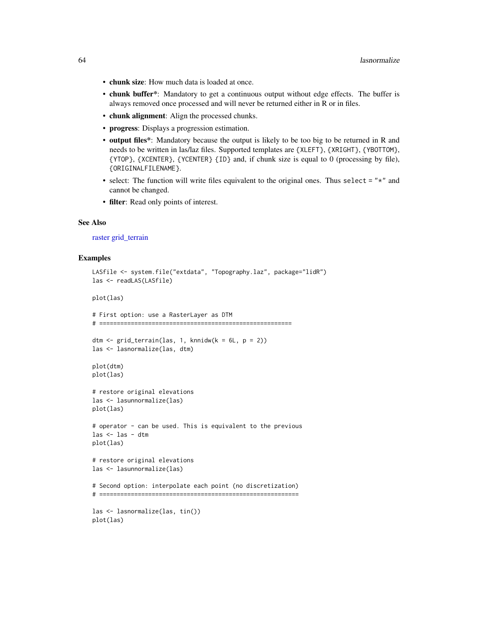- chunk size: How much data is loaded at once.
- chunk buffer\*: Mandatory to get a continuous output without edge effects. The buffer is always removed once processed and will never be returned either in R or in files.
- chunk alignment: Align the processed chunks.
- progress: Displays a progression estimation.
- output files\*: Mandatory because the output is likely to be too big to be returned in R and needs to be written in las/laz files. Supported templates are {XLEFT}, {XRIGHT}, {YBOTTOM}, {YTOP}, {XCENTER}, {YCENTER} {ID} and, if chunk size is equal to 0 (processing by file), {ORIGINALFILENAME}.
- select: The function will write files equivalent to the original ones. Thus select  $=$  " $\star$ " and cannot be changed.
- filter: Read only points of interest.

# See Also

[raster](#page-0-0) [grid\\_terrain](#page-31-0)

#### Examples

```
LASfile <- system.file("extdata", "Topography.laz", package="lidR")
las <- readLAS(LASfile)
plot(las)
# First option: use a RasterLayer as DTM
# =======================================================
dtm \le grid_terrain(las, 1, knnidw(k = 6L, p = 2))
las <- lasnormalize(las, dtm)
plot(dtm)
plot(las)
# restore original elevations
las <- lasunnormalize(las)
plot(las)
# operator - can be used. This is equivalent to the previous
las <- las - dtm
plot(las)
# restore original elevations
las <- lasunnormalize(las)
# Second option: interpolate each point (no discretization)
# =========================================================
las <- lasnormalize(las, tin())
plot(las)
```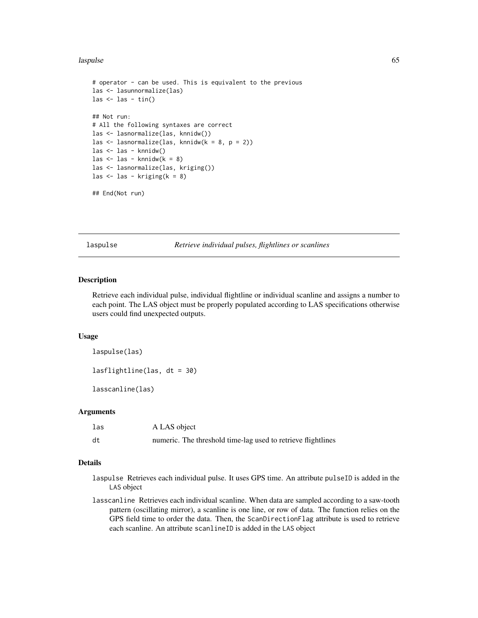#### laspulse 65

```
# operator - can be used. This is equivalent to the previous
las <- lasunnormalize(las)
las \leftarrow las - tin()
## Not run:
# All the following syntaxes are correct
las <- lasnormalize(las, knnidw())
las <- lasnormalize(las, knnidw(k = 8, p = 2))
las <- las - knnidw()
las \le las - knnidw(k = 8)
las <- lasnormalize(las, kriging())
las \le las - kriging(k = 8)
```
## End(Not run)

laspulse *Retrieve individual pulses, flightlines or scanlines*

### Description

Retrieve each individual pulse, individual flightline or individual scanline and assigns a number to each point. The LAS object must be properly populated according to LAS specifications otherwise users could find unexpected outputs.

#### Usage

laspulse(las)

lasflightline(las, dt = 30)

lasscanline(las)

### Arguments

| las | A LAS object                                                 |
|-----|--------------------------------------------------------------|
| dt  | numeric. The threshold time-lag used to retrieve flightlines |

# Details

- laspulse Retrieves each individual pulse. It uses GPS time. An attribute pulseID is added in the LAS object
- lasscanline Retrieves each individual scanline. When data are sampled according to a saw-tooth pattern (oscillating mirror), a scanline is one line, or row of data. The function relies on the GPS field time to order the data. Then, the ScanDirectionFlag attribute is used to retrieve each scanline. An attribute scanlineID is added in the LAS object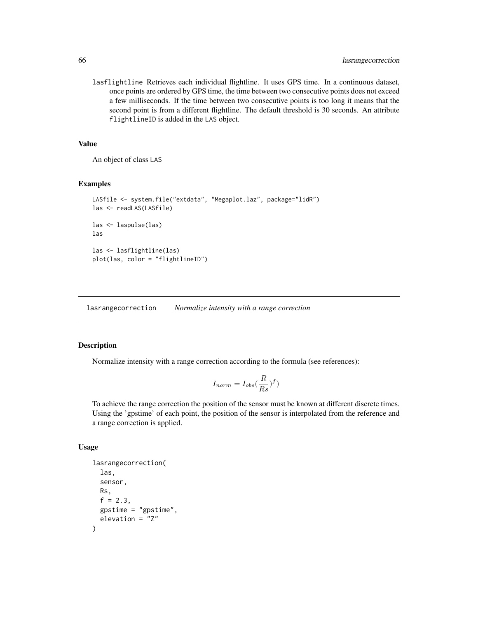lasflightline Retrieves each individual flightline. It uses GPS time. In a continuous dataset, once points are ordered by GPS time, the time between two consecutive points does not exceed a few milliseconds. If the time between two consecutive points is too long it means that the second point is from a different flightline. The default threshold is 30 seconds. An attribute flightlineID is added in the LAS object.

### Value

An object of class LAS

## Examples

```
LASfile <- system.file("extdata", "Megaplot.laz", package="lidR")
las <- readLAS(LASfile)
las <- laspulse(las)
las
las <- lasflightline(las)
plot(las, color = "flightlineID")
```
lasrangecorrection *Normalize intensity with a range correction*

### Description

Normalize intensity with a range correction according to the formula (see references):

$$
I_{norm} = I_{obs}(\frac{R}{Rs})^f)
$$

To achieve the range correction the position of the sensor must be known at different discrete times. Using the 'gpstime' of each point, the position of the sensor is interpolated from the reference and a range correction is applied.

#### Usage

```
lasrangecorrection(
  las,
  sensor,
 Rs,
  f = 2.3,
  gpstime = "gpstime",
  elevation = "Z"
)
```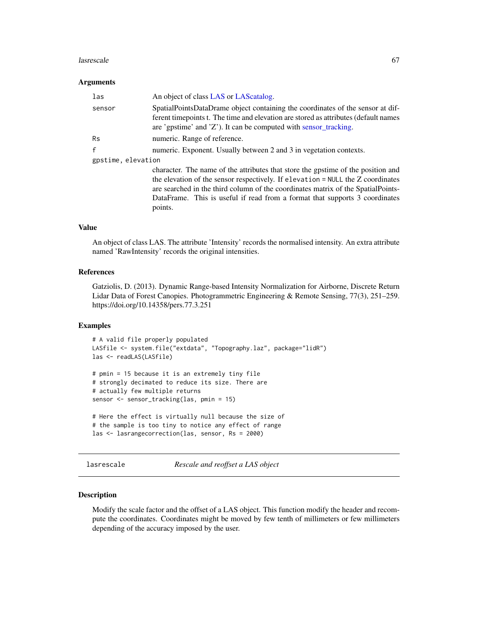#### lasrescale 67

### Arguments

| las                | An object of class LAS or LAS catalog.                                                                                                                                                                                                                                                                                                            |
|--------------------|---------------------------------------------------------------------------------------------------------------------------------------------------------------------------------------------------------------------------------------------------------------------------------------------------------------------------------------------------|
| sensor             | SpatialPointsDataDrame object containing the coordinates of the sensor at dif-<br>ferent time points t. The time and elevation are stored as attributes (default names<br>are 'gpstime' and 'Z'). It can be computed with sensor_tracking.                                                                                                        |
| <b>Rs</b>          | numeric. Range of reference.                                                                                                                                                                                                                                                                                                                      |
| f                  | numeric. Exponent. Usually between 2 and 3 in vegetation contexts.                                                                                                                                                                                                                                                                                |
| gpstime, elevation |                                                                                                                                                                                                                                                                                                                                                   |
|                    | character. The name of the attributes that store the gpstime of the position and<br>the elevation of the sensor respectively. If elevation = NULL the Z coordinates<br>are searched in the third column of the coordinates matrix of the SpatialPoints-<br>DataFrame. This is useful if read from a format that supports 3 coordinates<br>points. |

# Value

An object of class LAS. The attribute 'Intensity' records the normalised intensity. An extra attribute named 'RawIntensity' records the original intensities.

### References

Gatziolis, D. (2013). Dynamic Range-based Intensity Normalization for Airborne, Discrete Return Lidar Data of Forest Canopies. Photogrammetric Engineering & Remote Sensing, 77(3), 251–259. https://doi.org/10.14358/pers.77.3.251

### Examples

```
# A valid file properly populated
LASfile <- system.file("extdata", "Topography.laz", package="lidR")
las <- readLAS(LASfile)
# pmin = 15 because it is an extremely tiny file
# strongly decimated to reduce its size. There are
# actually few multiple returns
sensor <- sensor_tracking(las, pmin = 15)
# Here the effect is virtually null because the size of
# the sample is too tiny to notice any effect of range
las <- lasrangecorrection(las, sensor, Rs = 2000)
```
lasrescale *Rescale and reoffset a LAS object*

### Description

Modify the scale factor and the offset of a LAS object. This function modify the header and recompute the coordinates. Coordinates might be moved by few tenth of millimeters or few millimeters depending of the accuracy imposed by the user.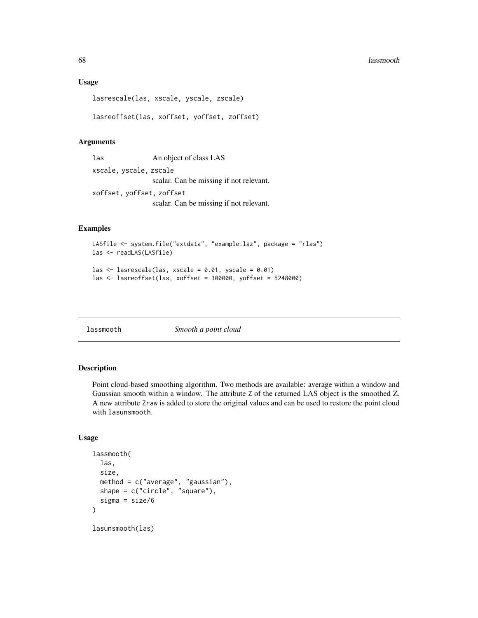#### 68 lassmooth and the contract of the contract of the contract of the contract of the contract of the contract of the contract of the contract of the contract of the contract of the contract of the contract of the contract

### Usage

lasrescale(las, xscale, yscale, zscale)

lasreoffset(las, xoffset, yoffset, zoffset)

### Arguments

las An object of class LAS xscale, yscale, zscale scalar. Can be missing if not relevant. xoffset, yoffset, zoffset

scalar. Can be missing if not relevant.

### Examples

```
LASfile <- system.file("extdata", "example.laz", package = "rlas")
las <- readLAS(LASfile)
las \le lasrescale(las, xscale = 0.01, yscale = 0.01)
las <- lasreoffset(las, xoffset = 300000, yoffset = 5248000)
```
lassmooth *Smooth a point cloud*

# Description

Point cloud-based smoothing algorithm. Two methods are available: average within a window and Gaussian smooth within a window. The attribute Z of the returned LAS object is the smoothed Z. A new attribute Zraw is added to store the original values and can be used to restore the point cloud with lasunsmooth.

# Usage

```
lassmooth(
  las,
  size,
  method = c("average", "gaussian"),
  shape = c("circle", "square"),
  sigma = size/6
)
lasunsmooth(las)
```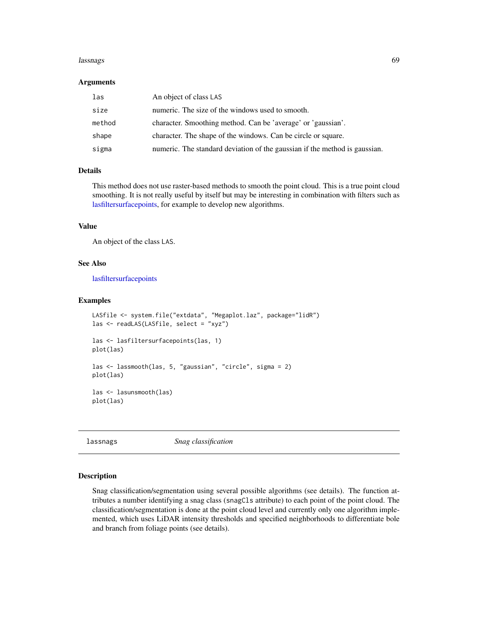#### lassnags 69

#### Arguments

| las    | An object of class LAS                                                     |
|--------|----------------------------------------------------------------------------|
| size   | numeric. The size of the windows used to smooth.                           |
| method | character. Smoothing method. Can be 'average' or 'gaussian'.               |
| shape  | character. The shape of the windows. Can be circle or square.              |
| sigma  | numeric. The standard deviation of the gaussian if the method is gaussian. |

## Details

This method does not use raster-based methods to smooth the point cloud. This is a true point cloud smoothing. It is not really useful by itself but may be interesting in combination with filters such as [lasfiltersurfacepoints,](#page-56-0) for example to develop new algorithms.

### Value

An object of the class LAS.

### See Also

[lasfiltersurfacepoints](#page-56-0)

### Examples

```
LASfile <- system.file("extdata", "Megaplot.laz", package="lidR")
las <- readLAS(LASfile, select = "xyz")
las <- lasfiltersurfacepoints(las, 1)
plot(las)
las <- lassmooth(las, 5, "gaussian", "circle", sigma = 2)
plot(las)
las <- lasunsmooth(las)
plot(las)
```
lassnags *Snag classification*

### Description

Snag classification/segmentation using several possible algorithms (see details). The function attributes a number identifying a snag class (snagCls attribute) to each point of the point cloud. The classification/segmentation is done at the point cloud level and currently only one algorithm implemented, which uses LiDAR intensity thresholds and specified neighborhoods to differentiate bole and branch from foliage points (see details).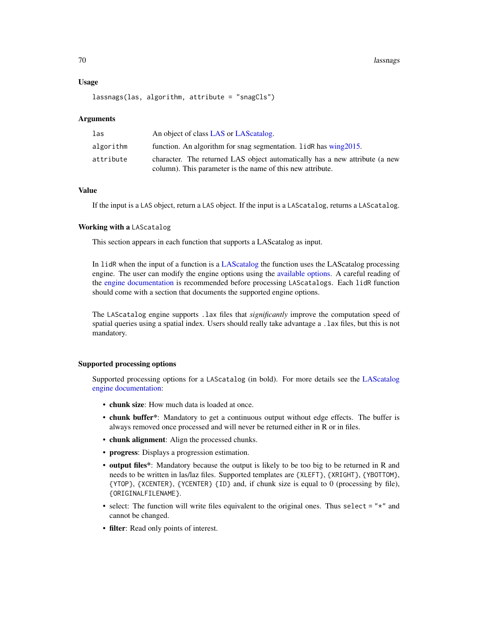### Usage

```
lassnags(las, algorithm, attribute = "snagCls")
```
#### Arguments

| las       | An object of class LAS or LAS catalog.                                                                                                    |
|-----------|-------------------------------------------------------------------------------------------------------------------------------------------|
| algorithm | function. An algorithm for snag segmentation. 1idR has wing2015.                                                                          |
| attribute | character. The returned LAS object automatically has a new attribute (a new<br>column). This parameter is the name of this new attribute. |

## Value

If the input is a LAS object, return a LAS object. If the input is a LAScatalog, returns a LAScatalog.

# Working with a LAScatalog

This section appears in each function that supports a LAScatalog as input.

In lidR when the input of a function is a [LAScatalog](#page-0-0) the function uses the LAScatalog processing engine. The user can modify the engine options using the [available options.](#page-0-0) A careful reading of the [engine documentation](#page-0-0) is recommended before processing LAScatalogs. Each lidR function should come with a section that documents the supported engine options.

The LAScatalog engine supports .lax files that *significantly* improve the computation speed of spatial queries using a spatial index. Users should really take advantage a .lax files, but this is not mandatory.

### Supported processing options

Supported processing options for a LAScatalog (in bold). For more details see the [LAScatalog](#page-0-0) [engine documentation:](#page-0-0)

- chunk size: How much data is loaded at once.
- chunk buffer\*: Mandatory to get a continuous output without edge effects. The buffer is always removed once processed and will never be returned either in R or in files.
- chunk alignment: Align the processed chunks.
- progress: Displays a progression estimation.
- output files\*: Mandatory because the output is likely to be too big to be returned in R and needs to be written in las/laz files. Supported templates are {XLEFT}, {XRIGHT}, {YBOTTOM}, {YTOP}, {XCENTER}, {YCENTER} {ID} and, if chunk size is equal to 0 (processing by file), {ORIGINALFILENAME}.
- select: The function will write files equivalent to the original ones. Thus select  $=$  " $\star$ " and cannot be changed.
- filter: Read only points of interest.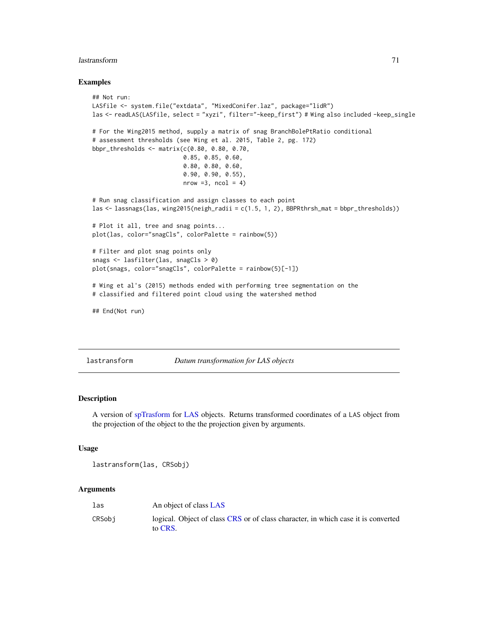#### lastransform 71

### Examples

```
## Not run:
LASfile <- system.file("extdata", "MixedConifer.laz", package="lidR")
las <- readLAS(LASfile, select = "xyzi", filter="-keep_first") # Wing also included -keep_single
# For the Wing2015 method, supply a matrix of snag BranchBolePtRatio conditional
# assessment thresholds (see Wing et al. 2015, Table 2, pg. 172)
bbpr_thresholds <- matrix(c(0.80, 0.80, 0.70,
                          0.85, 0.85, 0.60,
                          0.80, 0.80, 0.60,
                          0.90, 0.90, 0.55),
                          nrow = 3, ncol = 4# Run snag classification and assign classes to each point
las <- lassnags(las, wing2015(neigh_radii = c(1.5, 1, 2), BBPRthrsh_mat = bbpr_thresholds))
# Plot it all, tree and snag points...
plot(las, color="snagCls", colorPalette = rainbow(5))
# Filter and plot snag points only
snags <- lasfilter(las, snagCls > 0)
plot(snags, color="snagCls", colorPalette = rainbow(5)[-1])
# Wing et al's (2015) methods ended with performing tree segmentation on the
# classified and filtered point cloud using the watershed method
## End(Not run)
```
lastransform *Datum transformation for LAS objects*

# Description

A version of [spTrasform](#page-0-0) for [LAS](#page-39-0) objects. Returns transformed coordinates of a LAS object from the projection of the object to the the projection given by arguments.

### Usage

```
lastransform(las, CRSobj)
```
# Arguments

| las    | An object of class LAS                                                                       |
|--------|----------------------------------------------------------------------------------------------|
| CRSobi | logical. Object of class CRS or of class character, in which case it is converted<br>to CRS. |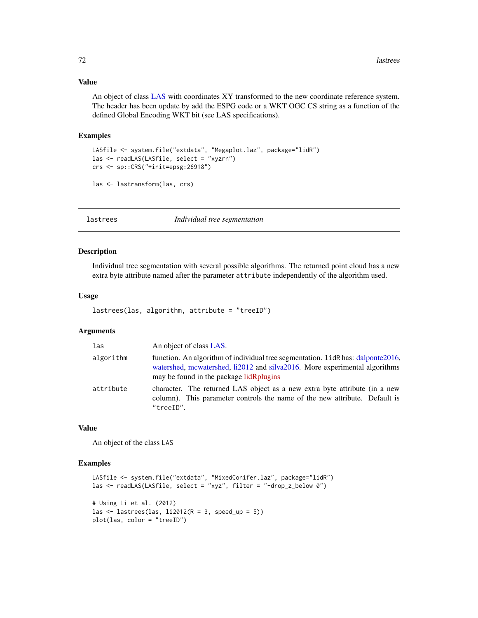# Value

An object of class [LAS](#page-39-0) with coordinates XY transformed to the new coordinate reference system. The header has been update by add the ESPG code or a WKT OGC CS string as a function of the defined Global Encoding WKT bit (see LAS specifications).

### Examples

```
LASfile <- system.file("extdata", "Megaplot.laz", package="lidR")
las <- readLAS(LASfile, select = "xyzrn")
crs <- sp::CRS("+init=epsg:26918")
las <- lastransform(las, crs)
```
lastrees *Individual tree segmentation*

### Description

Individual tree segmentation with several possible algorithms. The returned point cloud has a new extra byte attribute named after the parameter attribute independently of the algorithm used.

### Usage

```
lastrees(las, algorithm, attribute = "treeID")
```
### Arguments

| las       | An object of class LAS.                                                                                                                                                                                    |
|-----------|------------------------------------------------------------------------------------------------------------------------------------------------------------------------------------------------------------|
| algorithm | function. An algorithm of individual tree segmentation. 1 idR has: dalponte 2016,<br>watershed, mcwatershed, li2012 and silva2016. More experimental algorithms<br>may be found in the package lidRplugins |
| attribute | character. The returned LAS object as a new extra byte attribute (in a new<br>column). This parameter controls the name of the new attribute. Default is<br>"treeID".                                      |

### Value

An object of the class LAS

#### Examples

```
LASfile <- system.file("extdata", "MixedConifer.laz", package="lidR")
las <- readLAS(LASfile, select = "xyz", filter = "-drop_z_below 0")
# Using Li et al. (2012)
las \le lastrees(las, li2012(R = 3, speed_up = 5))
plot(las, color = "treeID")
```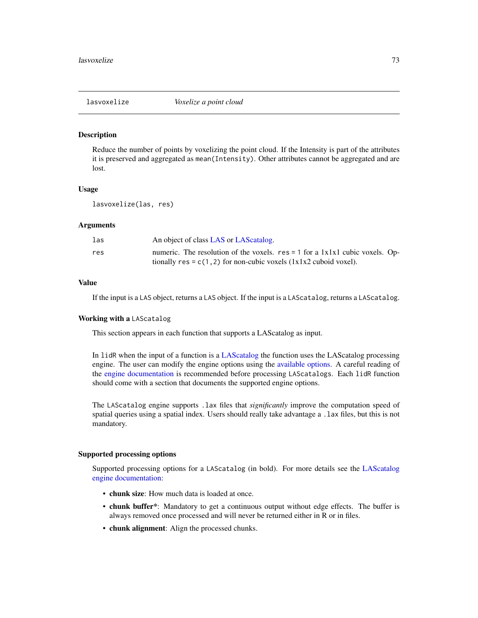#### Description

Reduce the number of points by voxelizing the point cloud. If the Intensity is part of the attributes it is preserved and aggregated as mean(Intensity). Other attributes cannot be aggregated and are lost.

## Usage

lasvoxelize(las, res)

# Arguments

| las | An object of class LAS or LAS catalog.                                                                                                                             |
|-----|--------------------------------------------------------------------------------------------------------------------------------------------------------------------|
| res | numeric. The resolution of the voxels. $res = 1$ for a $1x1x1$ cubic voxels. Op-<br>tionally $res = c(1, 2)$ for non-cubic voxels $(1x1x2 \text{ cuboid voxel})$ . |

# Value

If the input is a LAS object, returns a LAS object. If the input is a LAScatalog, returns a LAScatalog.

## Working with a LAScatalog

This section appears in each function that supports a LAScatalog as input.

In lidR when the input of a function is a [LAScatalog](#page-0-0) the function uses the LAScatalog processing engine. The user can modify the engine options using the [available options.](#page-0-0) A careful reading of the [engine documentation](#page-0-0) is recommended before processing LAScatalogs. Each lidR function should come with a section that documents the supported engine options.

The LAScatalog engine supports .lax files that *significantly* improve the computation speed of spatial queries using a spatial index. Users should really take advantage a .lax files, but this is not mandatory.

## Supported processing options

Supported processing options for a LAScatalog (in bold). For more details see the [LAScatalog](#page-0-0) [engine documentation:](#page-0-0)

- chunk size: How much data is loaded at once.
- chunk buffer\*: Mandatory to get a continuous output without edge effects. The buffer is always removed once processed and will never be returned either in R or in files.
- chunk alignment: Align the processed chunks.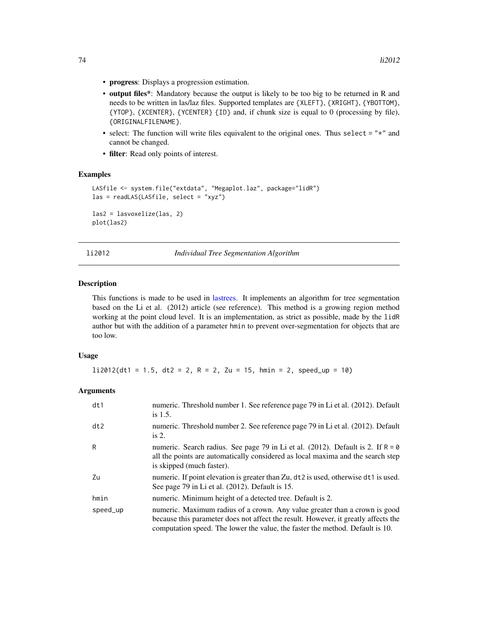- progress: Displays a progression estimation.
- output files\*: Mandatory because the output is likely to be too big to be returned in R and needs to be written in las/laz files. Supported templates are {XLEFT}, {XRIGHT}, {YBOTTOM}, {YTOP}, {XCENTER}, {YCENTER} {ID} and, if chunk size is equal to 0 (processing by file), {ORIGINALFILENAME}.
- select: The function will write files equivalent to the original ones. Thus select  $=$  " $\star$ " and cannot be changed.
- filter: Read only points of interest.

#### Examples

```
LASfile <- system.file("extdata", "Megaplot.laz", package="lidR")
las = readLAS(LASfile, select = "xyz")
las2 = lasvoxelize(las, 2)
plot(las2)
```
<span id="page-73-0"></span>li2012 *Individual Tree Segmentation Algorithm*

#### Description

This functions is made to be used in [lastrees.](#page-71-0) It implements an algorithm for tree segmentation based on the Li et al. (2012) article (see reference). This method is a growing region method working at the point cloud level. It is an implementation, as strict as possible, made by the lidR author but with the addition of a parameter hmin to prevent over-segmentation for objects that are too low.

## Usage

 $li2012(dt1 = 1.5, dt2 = 2, R = 2, Zu = 15, hmin = 2, speed_up = 10)$ 

| dt1      | numeric. Threshold number 1. See reference page 79 in Li et al. (2012). Default<br>is $1.5$ .                                                                                                                                                     |
|----------|---------------------------------------------------------------------------------------------------------------------------------------------------------------------------------------------------------------------------------------------------|
| dt2      | numeric. Threshold number 2. See reference page 79 in Li et al. (2012). Default<br>is $2$ .                                                                                                                                                       |
| R        | numeric. Search radius. See page 79 in Li et al. (2012). Default is 2. If $R = \emptyset$<br>all the points are automatically considered as local maxima and the search step<br>is skipped (much faster).                                         |
| Zu       | numeric. If point elevation is greater than Zu, dt2 is used, otherwise dt1 is used.<br>See page 79 in Li et al. (2012). Default is 15.                                                                                                            |
| hmin     | numeric. Minimum height of a detected tree. Default is 2.                                                                                                                                                                                         |
| speed_up | numeric. Maximum radius of a crown. Any value greater than a crown is good<br>because this parameter does not affect the result. However, it greatly affects the<br>computation speed. The lower the value, the faster the method. Default is 10. |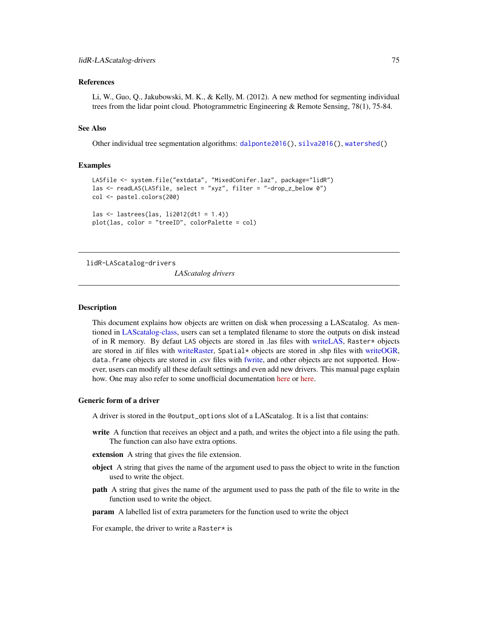## References

Li, W., Guo, Q., Jakubowski, M. K., & Kelly, M. (2012). A new method for segmenting individual trees from the lidar point cloud. Photogrammetric Engineering & Remote Sensing, 78(1), 75-84.

# See Also

Other individual tree segmentation algorithms: [dalponte2016\(](#page-19-0)), [silva2016\(](#page-105-0)), [watershed\(](#page-120-0))

#### Examples

```
LASfile <- system.file("extdata", "MixedConifer.laz", package="lidR")
las <- readLAS(LASfile, select = "xyz", filter = "-drop_z_below 0")
col <- pastel.colors(200)
las <- lastrees(las, li2012(dt1 = 1.4))
plot(las, color = "treeID", colorPalette = col)
```
lidR-LAScatalog-drivers

*LAScatalog drivers*

## Description

This document explains how objects are written on disk when processing a LAScatalog. As mentioned in [LAScatalog-class,](#page-43-0) users can set a templated filename to store the outputs on disk instead of in R memory. By defaut LAS objects are stored in .las files with [writeLAS,](#page-123-0) Raster\* objects are stored in .tif files with [writeRaster,](#page-0-0) Spatial\* objects are stored in .shp files with [writeOGR,](#page-0-0) data.frame objects are stored in .csv files with [fwrite,](#page-0-0) and other objects are not supported. However, users can modify all these default settings and even add new drivers. This manual page explain how. One may also refer to some unofficial documentation [here](https://github.com/Jean-Romain/lidR/wiki/Modify-the-LAScatalog-drivers) or [here.](https://gis.stackexchange.com/questions/325367/how-to-configure-lidr-catalog-to-save-raster-files)

# Generic form of a driver

A driver is stored in the @output\_options slot of a LAScatalog. It is a list that contains:

- write A function that receives an object and a path, and writes the object into a file using the path. The function can also have extra options.
- extension A string that gives the file extension.
- object A string that gives the name of the argument used to pass the object to write in the function used to write the object.
- path A string that gives the name of the argument used to pass the path of the file to write in the function used to write the object.

param A labelled list of extra parameters for the function used to write the object

For example, the driver to write a Raster $*$  is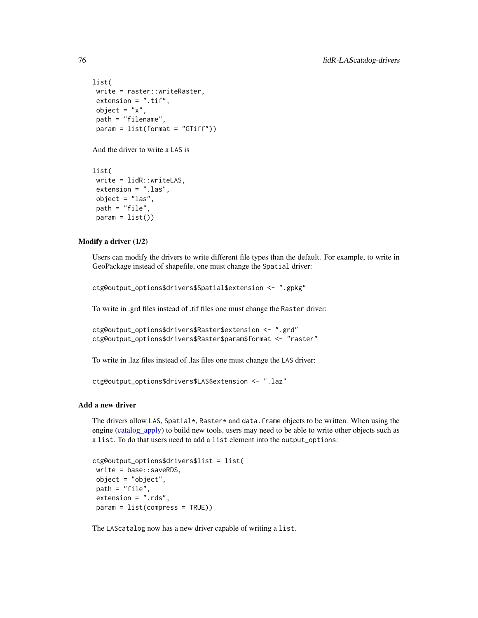```
list(
write = raster::writeRaster,
extension = ".tif",
object = "x",path = "filename",
param = list(format = "GTiff"))
```
And the driver to write a LAS is

```
list(
write = lidR::writeLAS,
extension = ".las",
object = "las",
path = "file",param = list()
```
## Modify a driver (1/2)

Users can modify the drivers to write different file types than the default. For example, to write in GeoPackage instead of shapefile, one must change the Spatial driver:

ctg@output\_options\$drivers\$Spatial\$extension <- ".gpkg"

To write in .grd files instead of .tif files one must change the Raster driver:

```
ctg@output_options$drivers$Raster$extension <- ".grd"
ctg@output_options$drivers$Raster$param$format <- "raster"
```
To write in .laz files instead of .las files one must change the LAS driver:

```
ctg@output_options$drivers$LAS$extension <- ".laz"
```
# Add a new driver

The drivers allow LAS, Spatial\*, Raster\* and data.frame objects to be written. When using the engine (catalog apply) to build new tools, users may need to be able to write other objects such as a list. To do that users need to add a list element into the output\_options:

```
ctg@output_options$drivers$list = list(
write = base::saveRDS,
object = "object",
path = "file",
extension = ".rds",
param = list(compress = TRUE))
```
The LAScatalog now has a new driver capable of writing a list.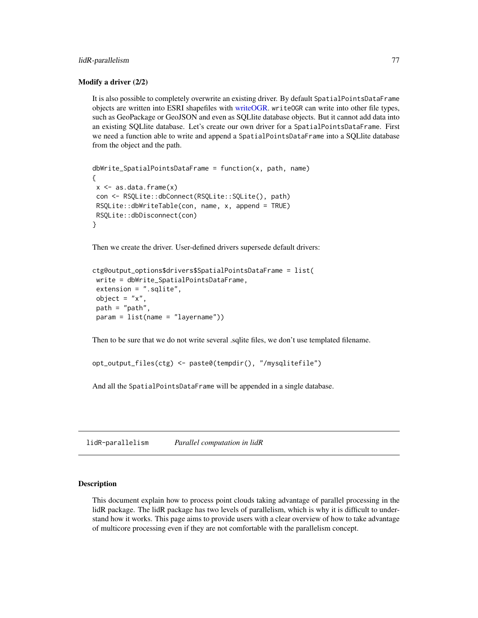# lidR-parallelism 77

## Modify a driver (2/2)

It is also possible to completely overwrite an existing driver. By default SpatialPointsDataFrame objects are written into ESRI shapefiles with [writeOGR.](#page-0-0) writeOGR can write into other file types, such as GeoPackage or GeoJSON and even as SQLlite database objects. But it cannot add data into an existing SQLlite database. Let's create our own driver for a SpatialPointsDataFrame. First we need a function able to write and append a SpatialPointsDataFrame into a SQLlite database from the object and the path.

```
dbWrite_SpatialPointsDataFrame = function(x, path, name)
{
x \leq -as.data frame(x)con <- RSQLite::dbConnect(RSQLite::SQLite(), path)
RSQLite::dbWriteTable(con, name, x, append = TRUE)
RSQLite::dbDisconnect(con)
}
```
Then we create the driver. User-defined drivers supersede default drivers:

```
ctg@output_options$drivers$SpatialPointsDataFrame = list(
write = dbWrite_SpatialPointsDataFrame,
extension = ".sqlite",
object = "x".path = "path",
param = list(name = "layername"))
```
Then to be sure that we do not write several .sqlite files, we don't use templated filename.

```
opt_output_files(ctg) <- paste0(tempdir(), "/mysqlitefile")
```
And all the SpatialPointsDataFrame will be appended in a single database.

<span id="page-76-0"></span>lidR-parallelism *Parallel computation in lidR*

## Description

This document explain how to process point clouds taking advantage of parallel processing in the lidR package. The lidR package has two levels of parallelism, which is why it is difficult to understand how it works. This page aims to provide users with a clear overview of how to take advantage of multicore processing even if they are not comfortable with the parallelism concept.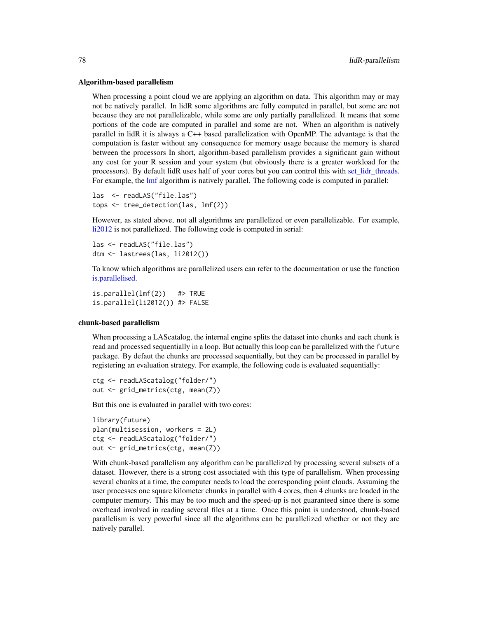#### Algorithm-based parallelism

When processing a point cloud we are applying an algorithm on data. This algorithm may or may not be natively parallel. In lidR some algorithms are fully computed in parallel, but some are not because they are not parallelizable, while some are only partially parallelized. It means that some portions of the code are computed in parallel and some are not. When an algorithm is natively parallel in lidR it is always a C++ based parallelization with OpenMP. The advantage is that the computation is faster without any consequence for memory usage because the memory is shared between the processors In short, algorithm-based parallelism provides a significant gain without any cost for your R session and your system (but obviously there is a greater workload for the processors). By default lidR uses half of your cores but you can control this with [set\\_lidr\\_threads.](#page-104-0) For example, the [lmf](#page-80-0) algorithm is natively parallel. The following code is computed in parallel:

```
las <- readLAS("file.las")
tops <- tree_detection(las, lmf(2))
```
However, as stated above, not all algorithms are parallelized or even parallelizable. For example, [li2012](#page-73-0) is not parallelized. The following code is computed in serial:

```
las <- readLAS("file.las")
dtm <- lastrees(las, li2012())
```
To know which algorithms are parallelized users can refer to the documentation or use the function [is.parallelised.](#page-36-0)

is.parallel(lmf(2)) #> TRUE is.parallel(li2012()) #> FALSE

#### chunk-based parallelism

When processing a LAScatalog, the internal engine splits the dataset into chunks and each chunk is read and processed sequentially in a loop. But actually this loop can be parallelized with the future package. By defaut the chunks are processed sequentially, but they can be processed in parallel by registering an evaluation strategy. For example, the following code is evaluated sequentially:

```
ctg <- readLAScatalog("folder/")
out <- grid_metrics(ctg, mean(Z))
```
But this one is evaluated in parallel with two cores:

```
library(future)
plan(multisession, workers = 2L)
ctg <- readLAScatalog("folder/")
out <- grid_metrics(ctg, mean(Z))
```
With chunk-based parallelism any algorithm can be parallelized by processing several subsets of a dataset. However, there is a strong cost associated with this type of parallelism. When processing several chunks at a time, the computer needs to load the corresponding point clouds. Assuming the user processes one square kilometer chunks in parallel with 4 cores, then 4 chunks are loaded in the computer memory. This may be too much and the speed-up is not guaranteed since there is some overhead involved in reading several files at a time. Once this point is understood, chunk-based parallelism is very powerful since all the algorithms can be parallelized whether or not they are natively parallel.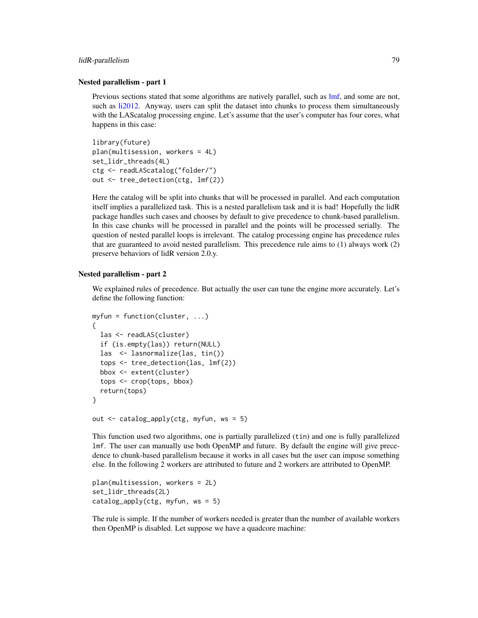#### lidR-parallelism 79

### Nested parallelism - part 1

Previous sections stated that some algorithms are natively parallel, such as [lmf,](#page-80-0) and some are not, such as [li2012.](#page-73-0) Anyway, users can split the dataset into chunks to process them simultaneously with the LAScatalog processing engine. Let's assume that the user's computer has four cores, what happens in this case:

```
library(future)
plan(multisession, workers = 4L)
set_lidr_threads(4L)
ctg <- readLAScatalog("folder/")
out <- tree_detection(ctg, lmf(2))
```
Here the catalog will be split into chunks that will be processed in parallel. And each computation itself implies a parallelized task. This is a nested parallelism task and it is bad! Hopefully the lidR package handles such cases and chooses by default to give precedence to chunk-based parallelism. In this case chunks will be processed in parallel and the points will be processed serially. The question of nested parallel loops is irrelevant. The catalog processing engine has precedence rules that are guaranteed to avoid nested parallelism. This precedence rule aims to (1) always work (2) preserve behaviors of lidR version 2.0.y.

# Nested parallelism - part 2

We explained rules of precedence. But actually the user can tune the engine more accurately. Let's define the following function:

```
myfun = function(cluster, ...)
{
  las <- readLAS(cluster)
  if (is.empty(las)) return(NULL)
  las <- lasnormalize(las, tin())
  tops <- tree_detection(las, lmf(2))
  bbox <- extent(cluster)
  tops <- crop(tops, bbox)
  return(tops)
}
out <- catalog_apply(ctg, myfun, ws = 5)
```
This function used two algorithms, one is partially parallelized (tin) and one is fully parallelized lmf. The user can manually use both OpenMP and future. By default the engine will give precedence to chunk-based parallelism because it works in all cases but the user can impose something else. In the following 2 workers are attributed to future and 2 workers are attributed to OpenMP.

```
plan(multisession, workers = 2L)
set_lidr_threads(2L)
catalog_apply(ctg, myfun, ws = 5)
```
The rule is simple. If the number of workers needed is greater than the number of available workers then OpenMP is disabled. Let suppose we have a quadcore machine: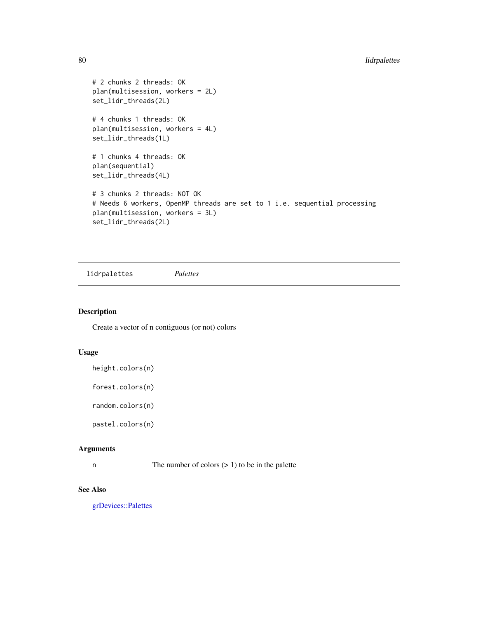```
# 2 chunks 2 threads: OK
plan(multisession, workers = 2L)
set_lidr_threads(2L)
# 4 chunks 1 threads: OK
plan(multisession, workers = 4L)
set_lidr_threads(1L)
# 1 chunks 4 threads: OK
plan(sequential)
set_lidr_threads(4L)
# 3 chunks 2 threads: NOT OK
# Needs 6 workers, OpenMP threads are set to 1 i.e. sequential processing
plan(multisession, workers = 3L)
set_lidr_threads(2L)
```
lidrpalettes *Palettes*

# <span id="page-79-0"></span>Description

Create a vector of n contiguous (or not) colors

# Usage

height.colors(n)

forest.colors(n)

random.colors(n)

pastel.colors(n)

#### Arguments

n The number of colors  $(> 1)$  to be in the palette

# See Also

[grDevices::Palettes](#page-0-0)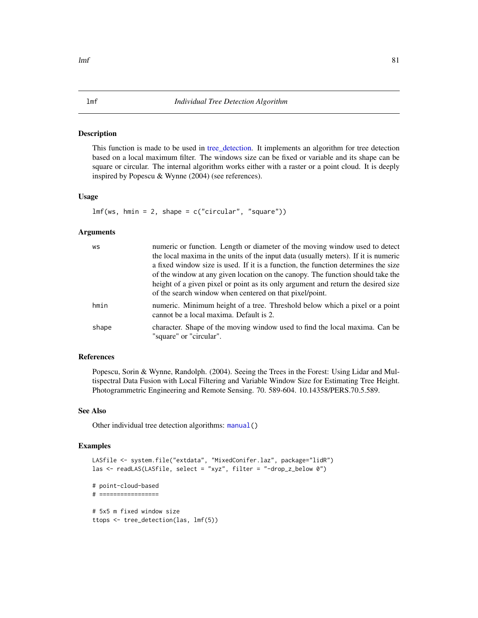## <span id="page-80-0"></span>Description

This function is made to be used in [tree\\_detection.](#page-111-0) It implements an algorithm for tree detection based on a local maximum filter. The windows size can be fixed or variable and its shape can be square or circular. The internal algorithm works either with a raster or a point cloud. It is deeply inspired by Popescu & Wynne (2004) (see references).

# Usage

 $lmf(ws, hmin = 2, shape = c("circular", "square"))$ 

## Arguments

| WS    | numeric or function. Length or diameter of the moving window used to detect<br>the local maxima in the units of the input data (usually meters). If it is numeric<br>a fixed window size is used. If it is a function, the function determines the size<br>of the window at any given location on the canopy. The function should take the<br>height of a given pixel or point as its only argument and return the desired size<br>of the search window when centered on that pixel/point. |
|-------|--------------------------------------------------------------------------------------------------------------------------------------------------------------------------------------------------------------------------------------------------------------------------------------------------------------------------------------------------------------------------------------------------------------------------------------------------------------------------------------------|
| hmin  | numeric. Minimum height of a tree. Threshold below which a pixel or a point<br>cannot be a local maxima. Default is 2.                                                                                                                                                                                                                                                                                                                                                                     |
| shape | character. Shape of the moving window used to find the local maxima. Can be<br>"square" or "circular".                                                                                                                                                                                                                                                                                                                                                                                     |

# References

Popescu, Sorin & Wynne, Randolph. (2004). Seeing the Trees in the Forest: Using Lidar and Multispectral Data Fusion with Local Filtering and Variable Window Size for Estimating Tree Height. Photogrammetric Engineering and Remote Sensing. 70. 589-604. 10.14358/PERS.70.5.589.

#### See Also

Other individual tree detection algorithms: [manual\(](#page-81-0))

```
LASfile <- system.file("extdata", "MixedConifer.laz", package="lidR")
las <- readLAS(LASfile, select = "xyz", filter = "-drop_z_below 0")
# point-cloud-based
# =================
# 5x5 m fixed window size
ttops <- tree_detection(las, lmf(5))
```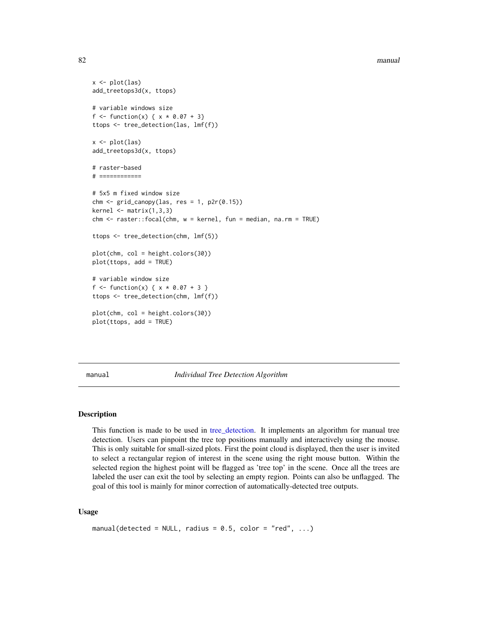#### 82 manual settlement of the contract of the contract of the contract of the contract of the contract of the contract of the contract of the contract of the contract of the contract of the contract of the contract of the co

```
x \leftarrow plot(las)add_treetops3d(x, ttops)
# variable windows size
f <- function(x) { x * 0.07 + 3}
ttops <- tree_detection(las, lmf(f))
x \leftarrow \text{plot}(las)add_treetops3d(x, ttops)
# raster-based
# ============
# 5x5 m fixed window size
chm < - grid_canopy(las, res = 1, p2r(0.15))
kernel <- matrix(1,3,3)
chm <- raster::focal(chm, w = kernel, fun = median, na.rm = TRUE)
ttops <- tree_detection(chm, lmf(5))
plot(chm, col = height.colors(30))
plot(ttops, add = TRUE)
# variable window size
f \leq-function(x) \{ x * 0.07 + 3 \}ttops <- tree_detection(chm, lmf(f))
plot(chm, col = height.colors(30))
plot(ttops, add = TRUE)
```
<span id="page-81-0"></span>manual *Individual Tree Detection Algorithm*

#### Description

This function is made to be used in [tree\\_detection.](#page-111-0) It implements an algorithm for manual tree detection. Users can pinpoint the tree top positions manually and interactively using the mouse. This is only suitable for small-sized plots. First the point cloud is displayed, then the user is invited to select a rectangular region of interest in the scene using the right mouse button. Within the selected region the highest point will be flagged as 'tree top' in the scene. Once all the trees are labeled the user can exit the tool by selecting an empty region. Points can also be unflagged. The goal of this tool is mainly for minor correction of automatically-detected tree outputs.

## Usage

```
manual(detected = NULL, radius = 0.5, color = "red", ...)
```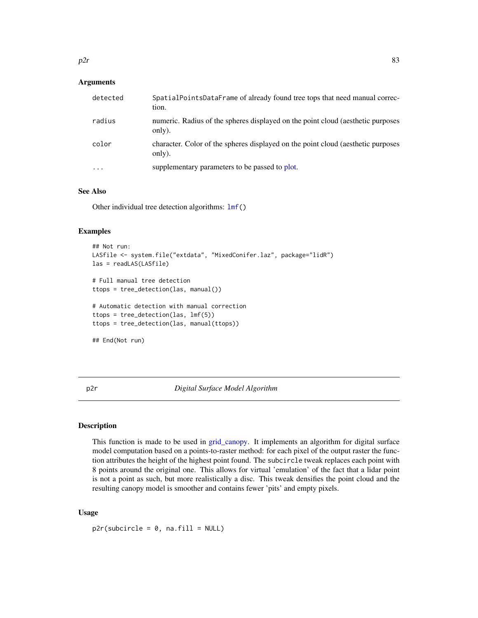# **Arguments**

| detected | SpatialPointsDataFrame of already found tree tops that need manual correc-<br>tion.        |
|----------|--------------------------------------------------------------------------------------------|
| radius   | numeric. Radius of the spheres displayed on the point cloud (aesthetic purposes<br>only).  |
| color    | character. Color of the spheres displayed on the point cloud (aesthetic purposes<br>only). |
| $\cdots$ | supplementary parameters to be passed to plot.                                             |

# See Also

Other individual tree detection algorithms:  $lmf()$  $lmf()$ 

# Examples

```
## Not run:
LASfile <- system.file("extdata", "MixedConifer.laz", package="lidR")
las = readLAS(LASfile)
# Full manual tree detection
ttops = tree_detection(las, manual())
# Automatic detection with manual correction
ttops = tree_detection(las, lmf(5))
ttops = tree_detection(las, manual(ttops))
## End(Not run)
```
<span id="page-82-0"></span>p2r *Digital Surface Model Algorithm*

# Description

This function is made to be used in [grid\\_canopy.](#page-25-0) It implements an algorithm for digital surface model computation based on a points-to-raster method: for each pixel of the output raster the function attributes the height of the highest point found. The subcircle tweak replaces each point with 8 points around the original one. This allows for virtual 'emulation' of the fact that a lidar point is not a point as such, but more realistically a disc. This tweak densifies the point cloud and the resulting canopy model is smoother and contains fewer 'pits' and empty pixels.

## Usage

 $p2r$ (subcircle = 0, na.fill = NULL)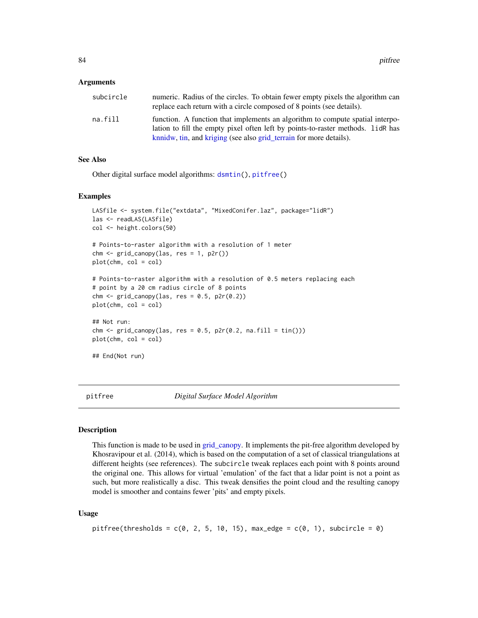#### Arguments

| subcircle | numeric. Radius of the circles. To obtain fewer empty pixels the algorithm can<br>replace each return with a circle composed of 8 points (see details).          |
|-----------|------------------------------------------------------------------------------------------------------------------------------------------------------------------|
| na.fill   | function. A function that implements an algorithm to compute spatial interpo-<br>lation to fill the empty pixel often left by points-to-raster methods. LidR has |
|           | know, tin, and kriging (see also grid_terrain for more details).                                                                                                 |

# See Also

Other digital surface model algorithms: [dsmtin\(](#page-21-0)), [pitfree\(](#page-83-0))

#### Examples

```
LASfile <- system.file("extdata", "MixedConifer.laz", package="lidR")
las <- readLAS(LASfile)
col <- height.colors(50)
# Points-to-raster algorithm with a resolution of 1 meter
chm <- grid_canopy(las, res = 1, p2r())
plot(chm, col = col)
# Points-to-raster algorithm with a resolution of 0.5 meters replacing each
# point by a 20 cm radius circle of 8 points
chm < - grid_canopy(las, res = 0.5, p2r(0.2))
plot(chm, col = col)
## Not run:
chm \le grid_canopy(las, res = 0.5, p2r(0.2, na.fill = tin()))
plot(chm, col = col)
## End(Not run)
```
<span id="page-83-0"></span>

pitfree *Digital Surface Model Algorithm*

#### **Description**

This function is made to be used in [grid\\_canopy.](#page-25-0) It implements the pit-free algorithm developed by Khosravipour et al. (2014), which is based on the computation of a set of classical triangulations at different heights (see references). The subcircle tweak replaces each point with 8 points around the original one. This allows for virtual 'emulation' of the fact that a lidar point is not a point as such, but more realistically a disc. This tweak densifies the point cloud and the resulting canopy model is smoother and contains fewer 'pits' and empty pixels.

## Usage

```
pitfree(thresholds = c(\emptyset, 2, 5, 1\emptyset, 15), max_edge = c(\emptyset, 1), subcircle = \emptyset)
```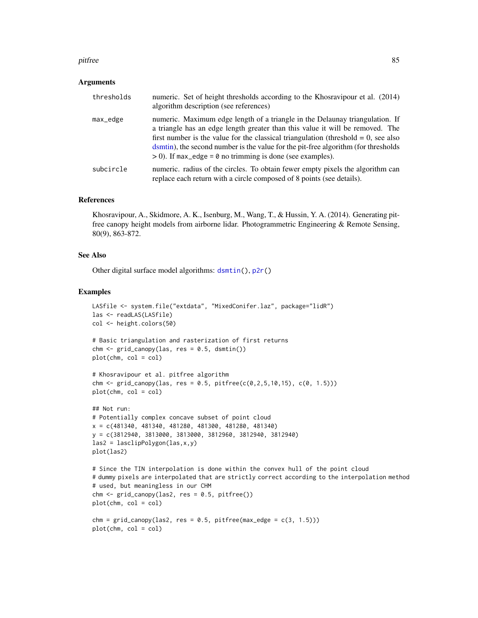#### pitfree 85

### Arguments

| thresholds | numeric. Set of height thresholds according to the Khosravipour et al. (2014)<br>algorithm description (see references)                                                                                                                                                                                                                                                                                      |
|------------|--------------------------------------------------------------------------------------------------------------------------------------------------------------------------------------------------------------------------------------------------------------------------------------------------------------------------------------------------------------------------------------------------------------|
| max_edge   | numeric. Maximum edge length of a triangle in the Delaunay triangulation. If<br>a triangle has an edge length greater than this value it will be removed. The<br>first number is the value for the classical triangulation (threshold $= 0$ , see also<br>dsmtin), the second number is the value for the pit-free algorithm (for thresholds<br>$> 0$ ). If max_edge = 0 no trimming is done (see examples). |
| subcircle  | numeric. radius of the circles. To obtain fewer empty pixels the algorithm can<br>replace each return with a circle composed of 8 points (see details).                                                                                                                                                                                                                                                      |

#### References

Khosravipour, A., Skidmore, A. K., Isenburg, M., Wang, T., & Hussin, Y. A. (2014). Generating pitfree canopy height models from airborne lidar. Photogrammetric Engineering & Remote Sensing, 80(9), 863-872.

# See Also

Other digital surface model algorithms: [dsmtin\(](#page-21-0)), [p2r\(](#page-82-0))

```
LASfile <- system.file("extdata", "MixedConifer.laz", package="lidR")
las <- readLAS(LASfile)
col <- height.colors(50)
# Basic triangulation and rasterization of first returns
chm < - grid\_canopy(las, res = 0.5, dsmin())plot(chm, col = col)
# Khosravipour et al. pitfree algorithm
chm <- grid_canopy(las, res = 0.5, pitfree(c(0, 2, 5, 10, 15), c(0, 1.5)))
plot(chm, col = col)
## Not run:
# Potentially complex concave subset of point cloud
x = c(481340, 481340, 481280, 481300, 481280, 481340)
y = c(3812940, 3813000, 3813000, 3812960, 3812940, 3812940)
\text{las2} = \text{lasclipPolygon}( \text{las}, x, y)plot(las2)
# Since the TIN interpolation is done within the convex hull of the point cloud
# dummy pixels are interpolated that are strictly correct according to the interpolation method
# used, but meaningless in our CHM
chm < - grid\_canopy(las2, res = 0.5, pitfree())
plot(chm, col = col)
chm = grid\_canopy(las2, res = 0.5, pitfree(max\_edge = c(3, 1.5)))plot(chm, col = col)
```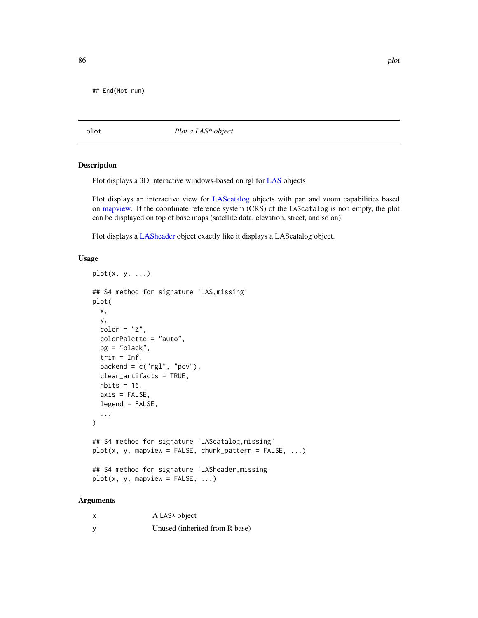## End(Not run)

<span id="page-85-0"></span>plot *Plot a LAS\* object*

## Description

Plot displays a 3D interactive windows-based on rgl for [LAS](#page-39-0) objects

Plot displays an interactive view for [LAScatalog](#page-0-0) objects with pan and zoom capabilities based on [mapview.](#page-0-0) If the coordinate reference system (CRS) of the LAScatalog is non empty, the plot can be displayed on top of base maps (satellite data, elevation, street, and so on).

Plot displays a [LASheader](#page-59-0) object exactly like it displays a LAScatalog object.

# Usage

```
plot(x, y, \ldots)## S4 method for signature 'LAS,missing'
plot(
 x,
  y,
  color = "Z",colorPalette = "auto",
  bg = "black",trim = Inf,
  backend = c("rgl", "pcv"),clear_artifacts = TRUE,
  nbits = 16,
  axis = FALSE,legend = FALSE,
  ...
\lambda## S4 method for signature 'LAScatalog,missing'
plot(x, y, mapview = FALSE, chunk_pattern = FALSE, ...)## S4 method for signature 'LASheader, missing'
plot(x, y, mapview = FALSE, ...)
```

| X        | A LAS $*$ object               |
|----------|--------------------------------|
| <b>V</b> | Unused (inherited from R base) |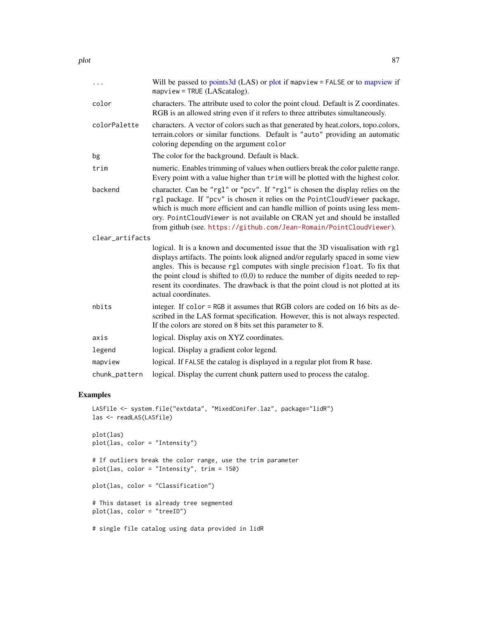| $\cdots$        | Will be passed to points 3d (LAS) or plot if map view = FALSE or to map view if<br>$mapview = TRUE (LAScatalog).$                                                                                                                                                                                                                                                                                                                                       |
|-----------------|---------------------------------------------------------------------------------------------------------------------------------------------------------------------------------------------------------------------------------------------------------------------------------------------------------------------------------------------------------------------------------------------------------------------------------------------------------|
| color           | characters. The attribute used to color the point cloud. Default is Z coordinates.<br>RGB is an allowed string even if it refers to three attributes simultaneously.                                                                                                                                                                                                                                                                                    |
| colorPalette    | characters. A vector of colors such as that generated by heat.colors, topo.colors,<br>terrain.colors or similar functions. Default is "auto" providing an automatic<br>coloring depending on the argument color                                                                                                                                                                                                                                         |
| bg              | The color for the background. Default is black.                                                                                                                                                                                                                                                                                                                                                                                                         |
| trim            | numeric. Enables trimming of values when outliers break the color palette range.<br>Every point with a value higher than trim will be plotted with the highest color.                                                                                                                                                                                                                                                                                   |
| backend         | character. Can be "rg1" or "pcv". If "rg1" is chosen the display relies on the<br>rgl package. If "pcv" is chosen it relies on the PointCloudViewer package,<br>which is much more efficient and can handle million of points using less mem-<br>ory. PointCloudViewer is not available on CRAN yet and should be installed<br>from github (see. https://github.com/Jean-Romain/PointCloudViewer).                                                      |
| clear_artifacts |                                                                                                                                                                                                                                                                                                                                                                                                                                                         |
|                 | logical. It is a known and documented issue that the 3D visualisation with rgl<br>displays artifacts. The points look aligned and/or regularly spaced in some view<br>angles. This is because rg1 computes with single precision float. To fix that<br>the point cloud is shifted to $(0,0)$ to reduce the number of digits needed to rep-<br>resent its coordinates. The drawback is that the point cloud is not plotted at its<br>actual coordinates. |
| nbits           | integer. If color = RGB it assumes that RGB colors are coded on 16 bits as de-<br>scribed in the LAS format specification. However, this is not always respected.<br>If the colors are stored on 8 bits set this parameter to 8.                                                                                                                                                                                                                        |
| axis            | logical. Display axis on XYZ coordinates.                                                                                                                                                                                                                                                                                                                                                                                                               |
| legend          | logical. Display a gradient color legend.                                                                                                                                                                                                                                                                                                                                                                                                               |
| mapview         | logical. If FALSE the catalog is displayed in a regular plot from R base.                                                                                                                                                                                                                                                                                                                                                                               |
| chunk_pattern   | logical. Display the current chunk pattern used to process the catalog.                                                                                                                                                                                                                                                                                                                                                                                 |

```
LASfile <- system.file("extdata", "MixedConifer.laz", package="lidR")
las <- readLAS(LASfile)
plot(las)
plot(las, color = "Intensity")
# If outliers break the color range, use the trim parameter
plot(las, color = "Intensity", trim = 150)
plot(las, color = "Classification")
# This dataset is already tree segmented
plot(las, color = "treeID")
# single file catalog using data provided in lidR
```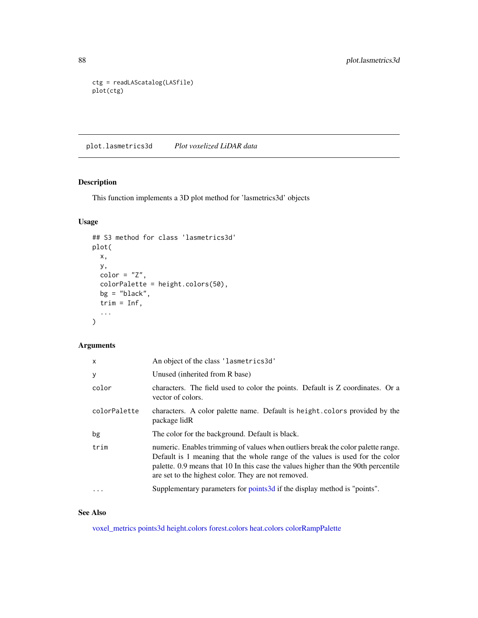```
ctg = readLAScatalog(LASfile)
plot(ctg)
```
plot.lasmetrics3d *Plot voxelized LiDAR data*

# Description

This function implements a 3D plot method for 'lasmetrics3d' objects

# Usage

```
## S3 method for class 'lasmetrics3d'
plot(
 x,
 y,
 color = "Z",colorPalette = height.colors(50),
 bg = "black",trim = Inf,
  ...
)
```
# Arguments

| x            | An object of the class 'lasmetrics3d'                                                                                                                                                                                                                                                                          |
|--------------|----------------------------------------------------------------------------------------------------------------------------------------------------------------------------------------------------------------------------------------------------------------------------------------------------------------|
| у            | Unused (inherited from R base)                                                                                                                                                                                                                                                                                 |
| color        | characters. The field used to color the points. Default is Z coordinates. Or a<br>vector of colors.                                                                                                                                                                                                            |
| colorPalette | characters. A color palette name. Default is height.colors provided by the<br>package lidR                                                                                                                                                                                                                     |
| bg           | The color for the background. Default is black.                                                                                                                                                                                                                                                                |
| trim         | numeric. Enables trimming of values when outliers break the color palette range.<br>Default is 1 meaning that the whole range of the values is used for the color<br>palette. 0.9 means that 10 In this case the values higher than the 90th percentile<br>are set to the highest color. They are not removed. |
| $\cdots$     | Supplementary parameters for points3d if the display method is "points".                                                                                                                                                                                                                                       |

# See Also

[voxel\\_metrics](#page-118-0) [points3d](#page-0-0) [height.colors](#page-79-0) [forest.colors](#page-79-0) [heat.colors](#page-0-0) [colorRampPalette](#page-0-0)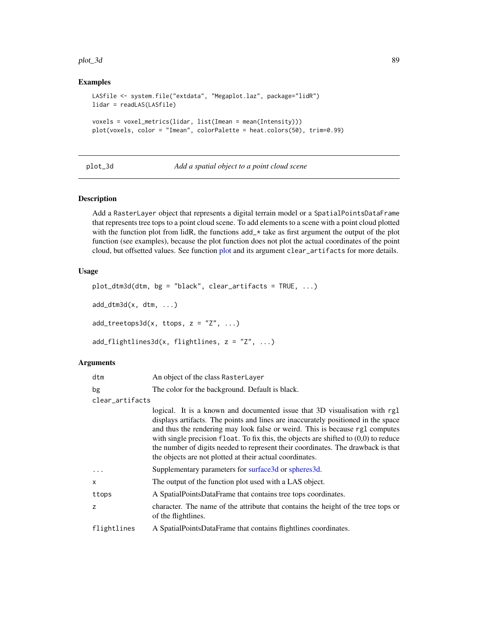#### plot\_3d 89

# Examples

```
LASfile <- system.file("extdata", "Megaplot.laz", package="lidR")
lidar = readLAS(LASfile)
voxels = voxel_metrics(lidar, list(Imean = mean(Intensity)))
plot(voxels, color = "Imean", colorPalette = heat.colors(50), trim=0.99)
```
plot\_3d *Add a spatial object to a point cloud scene*

## Description

Add a RasterLayer object that represents a digital terrain model or a SpatialPointsDataFrame that represents tree tops to a point cloud scene. To add elements to a scene with a point cloud plotted with the function plot from lidR, the functions  $add_{\mathbb{R}} \times \mathbb{R}$  take as first argument the output of the plot function (see examples), because the plot function does not plot the actual coordinates of the point cloud, but offsetted values. See function [plot](#page-85-0) and its argument clear\_artifacts for more details.

# Usage

```
plot_dtm3d(dtm, bg = "black", clear_artifacts = TRUE, ...)
add_dtm3d(x, dtm, ...)
add\_treetops3d(x, ttops, z = "Z", ...)add_flightlines3d(x, flightlines, z = "Z", ...)
```

| dtm             | An object of the class RasterLayer                                                                                                                                                                                                                                                                                                                                                                                                                                                        |
|-----------------|-------------------------------------------------------------------------------------------------------------------------------------------------------------------------------------------------------------------------------------------------------------------------------------------------------------------------------------------------------------------------------------------------------------------------------------------------------------------------------------------|
| bg              | The color for the background. Default is black.                                                                                                                                                                                                                                                                                                                                                                                                                                           |
| clear_artifacts |                                                                                                                                                                                                                                                                                                                                                                                                                                                                                           |
|                 | logical. It is a known and documented issue that 3D visualisation with rg1<br>displays artifacts. The points and lines are inaccurately positioned in the space<br>and thus the rendering may look false or weird. This is because rgl computes<br>with single precision float. To fix this, the objects are shifted to $(0,0)$ to reduce<br>the number of digits needed to represent their coordinates. The drawback is that<br>the objects are not plotted at their actual coordinates. |
| $\ddotsc$       | Supplementary parameters for surface3d or spheres3d.                                                                                                                                                                                                                                                                                                                                                                                                                                      |
| X               | The output of the function plot used with a LAS object.                                                                                                                                                                                                                                                                                                                                                                                                                                   |
| ttops           | A SpatialPointsDataFrame that contains tree tops coordinates.                                                                                                                                                                                                                                                                                                                                                                                                                             |
| Z               | character. The name of the attribute that contains the height of the tree tops or<br>of the flightlines.                                                                                                                                                                                                                                                                                                                                                                                  |
| flightlines     | A SpatialPointsDataFrame that contains flightlines coordinates.                                                                                                                                                                                                                                                                                                                                                                                                                           |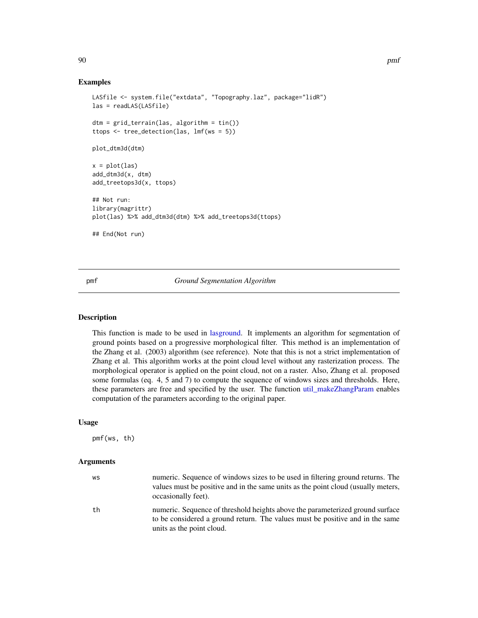## Examples

```
LASfile <- system.file("extdata", "Topography.laz", package="lidR")
las = readLAS(LASfile)
dtm = grid_terrain(las, algorithm = tin())
ttops <- tree_detection(las, lmf(ws = 5))
plot_dtm3d(dtm)
x = plot(las)add_dtm3d(x, dtm)
add_treetops3d(x, ttops)
## Not run:
library(magrittr)
plot(las) %>% add_dtm3d(dtm) %>% add_treetops3d(ttops)
## End(Not run)
```
pmf *Ground Segmentation Algorithm*

# Description

This function is made to be used in [lasground.](#page-57-0) It implements an algorithm for segmentation of ground points based on a progressive morphological filter. This method is an implementation of the Zhang et al. (2003) algorithm (see reference). Note that this is not a strict implementation of Zhang et al. This algorithm works at the point cloud level without any rasterization process. The morphological operator is applied on the point cloud, not on a raster. Also, Zhang et al. proposed some formulas (eq. 4, 5 and 7) to compute the sequence of windows sizes and thresholds. Here, these parameters are free and specified by the user. The function [util\\_makeZhangParam](#page-116-0) enables computation of the parameters according to the original paper.

### Usage

pmf(ws, th)

| WS | numeric. Sequence of windows sizes to be used in filtering ground returns. The<br>values must be positive and in the same units as the point cloud (usually meters,<br>occasionally feet).  |
|----|---------------------------------------------------------------------------------------------------------------------------------------------------------------------------------------------|
| th | numeric. Sequence of threshold heights above the parameterized ground surface<br>to be considered a ground return. The values must be positive and in the same<br>units as the point cloud. |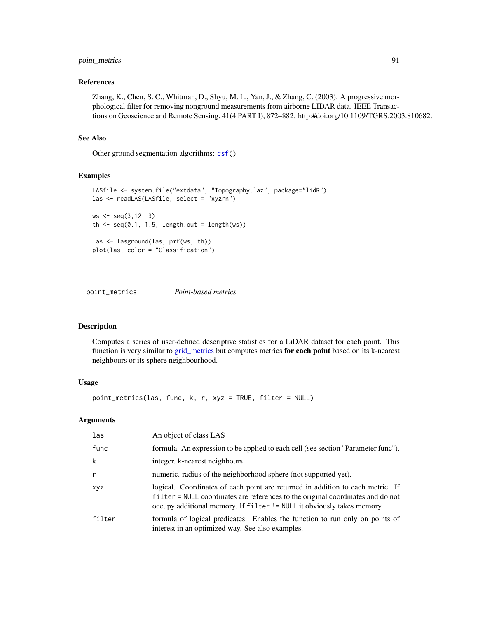# point\_metrics 91

### References

Zhang, K., Chen, S. C., Whitman, D., Shyu, M. L., Yan, J., & Zhang, C. (2003). A progressive morphological filter for removing nonground measurements from airborne LIDAR data. IEEE Transactions on Geoscience and Remote Sensing, 41(4 PART I), 872–882. http:#doi.org/10.1109/TGRS.2003.810682.

# See Also

Other ground segmentation algorithms: [csf\(](#page-17-0))

# Examples

```
LASfile <- system.file("extdata", "Topography.laz", package="lidR")
las <- readLAS(LASfile, select = "xyzrn")
ws <- seq(3, 12, 3)th \leq seq(0.1, 1.5, length.out = length(ws))
las <- lasground(las, pmf(ws, th))
plot(las, color = "Classification")
```
<span id="page-90-0"></span>point\_metrics *Point-based metrics*

# Description

Computes a series of user-defined descriptive statistics for a LiDAR dataset for each point. This function is very similar to [grid\\_metrics](#page-28-0) but computes metrics for each point based on its k-nearest neighbours or its sphere neighbourhood.

# Usage

point\_metrics(las, func, k, r, xyz = TRUE, filter = NULL)

| las          | An object of class LAS                                                                                                                                                                                                                      |
|--------------|---------------------------------------------------------------------------------------------------------------------------------------------------------------------------------------------------------------------------------------------|
| func         | formula. An expression to be applied to each cell (see section "Parameter func").                                                                                                                                                           |
| k            | integer. k-nearest neighbours                                                                                                                                                                                                               |
| $\mathsf{r}$ | numeric, radius of the neighborhood sphere (not supported yet).                                                                                                                                                                             |
| xyz          | logical. Coordinates of each point are returned in addition to each metric. If<br>filter = NULL coordinates are references to the original coordinates and do not<br>occupy additional memory. If filter != NULL it obviously takes memory. |
| filter       | formula of logical predicates. Enables the function to run only on points of<br>interest in an optimized way. See also examples.                                                                                                            |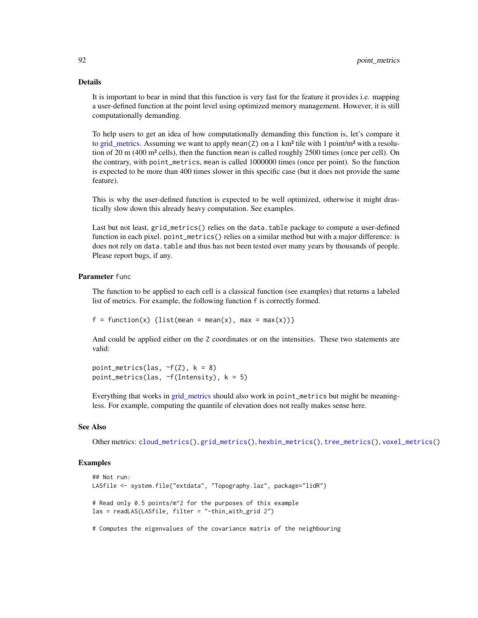#### Details

It is important to bear in mind that this function is very fast for the feature it provides i.e. mapping a user-defined function at the point level using optimized memory management. However, it is still computationally demanding.

To help users to get an idea of how computationally demanding this function is, let's compare it to [grid\\_metrics.](#page-28-0) Assuming we want to apply mean( $Z$ ) on a 1 km<sup>2</sup> tile with 1 point/m<sup>2</sup> with a resolution of 20 m (400 m² cells), then the function mean is called roughly 2500 times (once per cell). On the contrary, with point\_metrics, mean is called 1000000 times (once per point). So the function is expected to be more than 400 times slower in this specific case (but it does not provide the same feature).

This is why the user-defined function is expected to be well optimized, otherwise it might drastically slow down this already heavy computation. See examples.

Last but not least, grid\_metrics() relies on the data.table package to compute a user-defined function in each pixel. point\_metrics() relies on a similar method but with a major difference: is does not rely on data. table and thus has not been tested over many years by thousands of people. Please report bugs, if any.

# Parameter func

The function to be applied to each cell is a classical function (see examples) that returns a labeled list of metrics. For example, the following function f is correctly formed.

 $f = function(x)$  {list(mean = mean(x), max = max(x))}

And could be applied either on the Z coordinates or on the intensities. These two statements are valid:

point\_metrics(las,  $\sim f(Z)$ ,  $k = 8$ ) point\_metrics(las,  $\sim$ f(Intensity),  $k = 5$ )

Everything that works in grid metrics should also work in point\_metrics but might be meaningless. For example, computing the quantile of elevation does not really makes sense here.

#### See Also

Other metrics: [cloud\\_metrics\(](#page-16-0)), [grid\\_metrics\(](#page-28-0)), [hexbin\\_metrics\(](#page-33-0)), [tree\\_metrics\(](#page-114-0)), [voxel\\_metrics\(](#page-118-0))

# Examples

```
## Not run:
LASfile <- system.file("extdata", "Topography.laz", package="lidR")
# Read only 0.5 points/m^2 for the purposes of this example
las = readLAS(LASfile, filter = "-thin_with_grid 2")
```
# Computes the eigenvalues of the covariance matrix of the neighbouring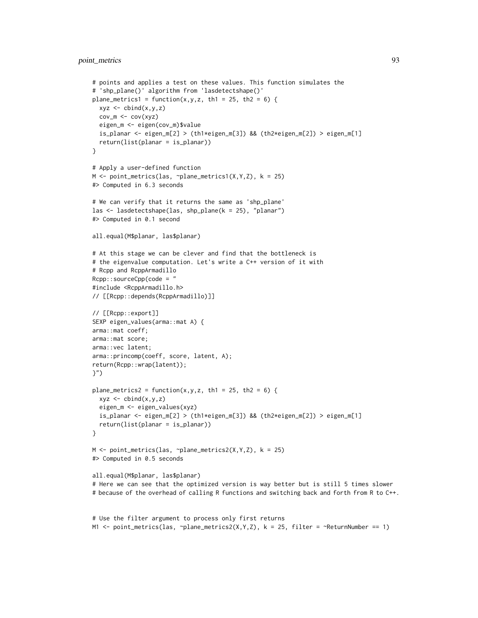```
# points and applies a test on these values. This function simulates the
# 'shp_plane()' algorithm from 'lasdetectshape()'
plane_metrics1 = function(x,y,z, th1 = 25, th2 = 6) {
 xyz \leftarrow \text{cbind}(x, y, z)cov_m \leftarrow cov(xyz)eigen_m <- eigen(cov_m)$value
  is_planar <- eigen_m[2] > (th1*eigen_m[3]) && (th2*eigen_m[2]) > eigen_m[1]
  return(list(planar = is_planar))
}
# Apply a user-defined function
M \leq point_metrics(las, \gammaplane_metrics1(X,Y,Z), k = 25)
#> Computed in 6.3 seconds
# We can verify that it returns the same as 'shp_plane'
las <- lasdetectshape(las, shp_plane(k = 25), "planar")
#> Computed in 0.1 second
all.equal(M$planar, las$planar)
# At this stage we can be clever and find that the bottleneck is
# the eigenvalue computation. Let's write a C++ version of it with
# Rcpp and RcppArmadillo
Rcpp::sourceCpp(code = "
#include <RcppArmadillo.h>
// [[Rcpp::depends(RcppArmadillo)]]
// [[Rcpp::export]]
SEXP eigen_values(arma::mat A) {
arma::mat coeff;
arma::mat score;
arma::vec latent;
arma::princomp(coeff, score, latent, A);
return(Rcpp::wrap(latent));
}")
plane_metrics2 = function(x, y, z, th1 = 25, th2 = 6) {
  xyz \leftarrow \text{cbind}(x, y, z)eigen_m <- eigen_values(xyz)
  is_planar <- eigen_m[2] > (th1*eigen_m[3]) && (th2*eigen_m[2]) > eigen_m[1]
  return(list(planar = is_planar))
}
M <- point_metrics(las, ~plane_metrics2(X,Y,Z), k = 25)
#> Computed in 0.5 seconds
all.equal(M$planar, las$planar)
# Here we can see that the optimized version is way better but is still 5 times slower
# because of the overhead of calling R functions and switching back and forth from R to C++.
```

```
# Use the filter argument to process only first returns
M1 <- point_metrics(las, \negplane_metrics2(X,Y,Z), k = 25, filter = \negReturnNumber == 1)
```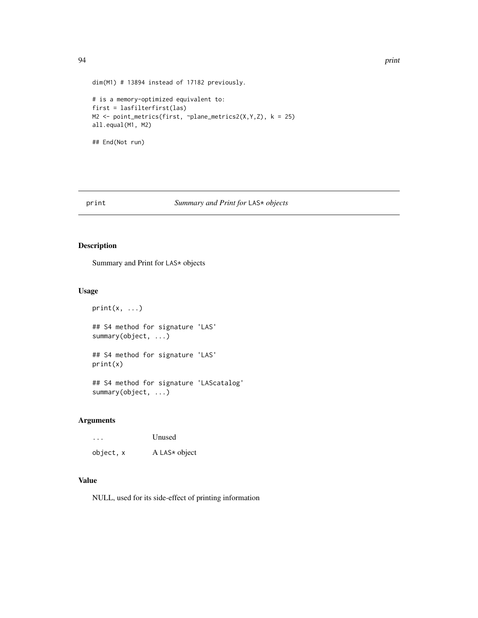```
dim(M1) # 13894 instead of 17182 previously.
# is a memory-optimized equivalent to:
first = lasfilterfirst(las)
M2 <- point_metrics(first, ~plane_metrics2(X,Y,Z), k = 25)
all.equal(M1, M2)
## End(Not run)
```
# print *Summary and Print for* LAS\* *objects*

# Description

Summary and Print for LAS\* objects

# Usage

 $print(x, \ldots)$ ## S4 method for signature 'LAS' summary(object, ...) ## S4 method for signature 'LAS' print(x) ## S4 method for signature 'LAScatalog' summary(object, ...)

# Arguments

| $\cdot$   | Unused        |
|-----------|---------------|
| object, x | A LAS* object |

# Value

NULL, used for its side-effect of printing information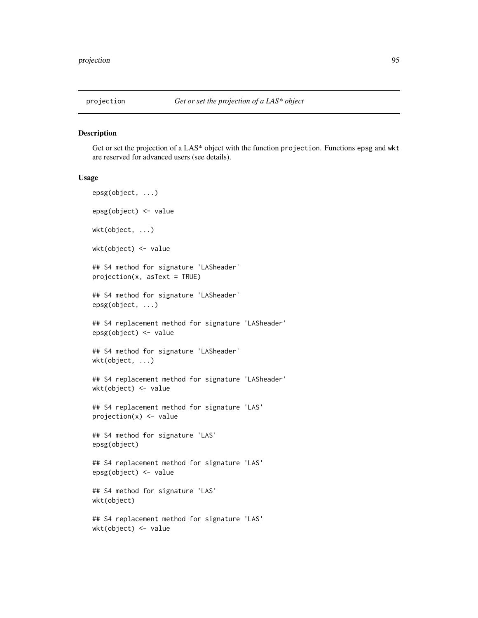#### Description

Get or set the projection of a LAS\* object with the function projection. Functions epsg and wkt are reserved for advanced users (see details).

#### Usage

```
epsg(object, ...)
epsg(object) <- value
wkt(object, ...)
wkt(object) <- value
## S4 method for signature 'LASheader'
projection(x, asText = TRUE)
## S4 method for signature 'LASheader'
epsg(object, ...)
## S4 replacement method for signature 'LASheader'
epsg(object) <- value
## S4 method for signature 'LASheader'
wkt(object, ...)
## S4 replacement method for signature 'LASheader'
wkt(object) <- value
## S4 replacement method for signature 'LAS'
projection(x) <- value
## S4 method for signature 'LAS'
epsg(object)
## S4 replacement method for signature 'LAS'
epsg(object) <- value
## S4 method for signature 'LAS'
wkt(object)
## S4 replacement method for signature 'LAS'
wkt(object) <- value
```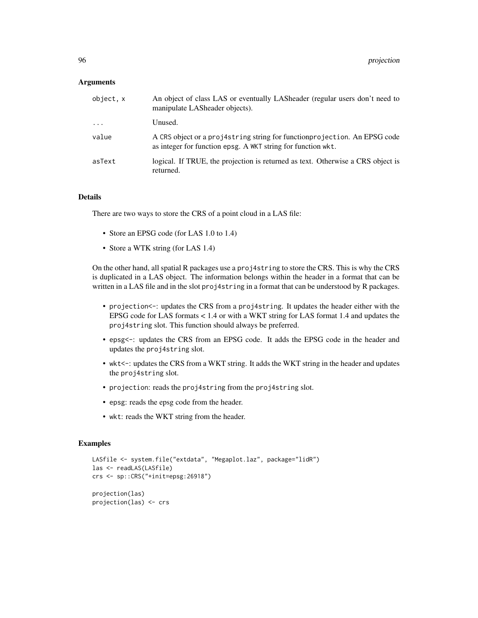### **Arguments**

| object, x | An object of class LAS or eventually LASheader (regular users don't need to<br>manipulate LASheader objects).                              |
|-----------|--------------------------------------------------------------------------------------------------------------------------------------------|
| $\ddots$  | Unused.                                                                                                                                    |
| value     | A CRS object or a proj4string string for function projection. An EPSG code<br>as integer for function epsg. A WKT string for function wkt. |
| asText    | logical. If TRUE, the projection is returned as text. Otherwise a CRS object is<br>returned.                                               |

# Details

There are two ways to store the CRS of a point cloud in a LAS file:

- Store an EPSG code (for LAS 1.0 to 1.4)
- Store a WTK string (for LAS 1.4)

On the other hand, all spatial R packages use a proj4string to store the CRS. This is why the CRS is duplicated in a LAS object. The information belongs within the header in a format that can be written in a LAS file and in the slot proj4string in a format that can be understood by R packages.

- projection <-: updates the CRS from a proj4string. It updates the header either with the EPSG code for LAS formats < 1.4 or with a WKT string for LAS format 1.4 and updates the proj4string slot. This function should always be preferred.
- epsg<-: updates the CRS from an EPSG code. It adds the EPSG code in the header and updates the proj4string slot.
- wkt<-: updates the CRS from a WKT string. It adds the WKT string in the header and updates the proj4string slot.
- projection: reads the proj4string from the proj4string slot.
- epsg: reads the epsg code from the header.
- wkt: reads the WKT string from the header.

```
LASfile <- system.file("extdata", "Megaplot.laz", package="lidR")
las <- readLAS(LASfile)
crs <- sp::CRS("+init=epsg:26918")
projection(las)
projection(las) <- crs
```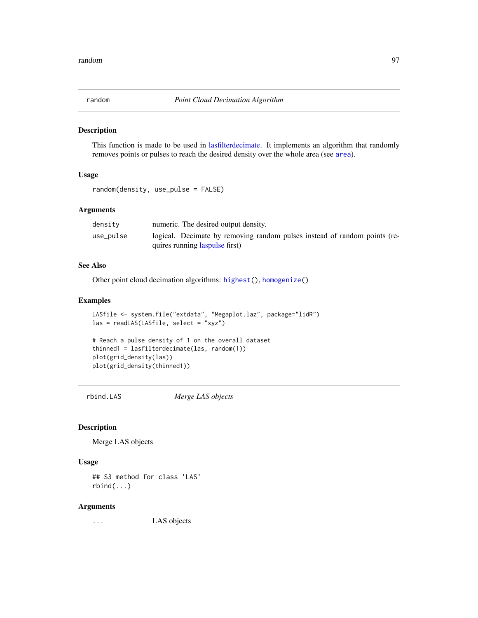#### Description

This function is made to be used in [lasfilterdecimate.](#page-52-0) It implements an algorithm that randomly removes points or pulses to reach the desired density over the whole area (see [area](#page-4-0)).

# Usage

```
random(density, use_pulse = FALSE)
```
# Arguments

| densitv   | numeric. The desired output density.                                      |
|-----------|---------------------------------------------------------------------------|
| use_pulse | logical. Decimate by removing random pulses instead of random points (re- |
|           | quires running laspulse first)                                            |

# See Also

Other point cloud decimation algorithms: [highest\(](#page-34-0)), [homogenize\(](#page-35-0))

# Examples

```
LASfile <- system.file("extdata", "Megaplot.laz", package="lidR")
las = readLAS(LASfile, select = "xyz")
```

```
# Reach a pulse density of 1 on the overall dataset
thinned1 = lasfilterdecimate(las, random(1))
plot(grid_density(las))
plot(grid_density(thinned1))
```
rbind.LAS *Merge LAS objects*

#### Description

Merge LAS objects

# Usage

## S3 method for class 'LAS' rbind(...)

# Arguments

... LAS objects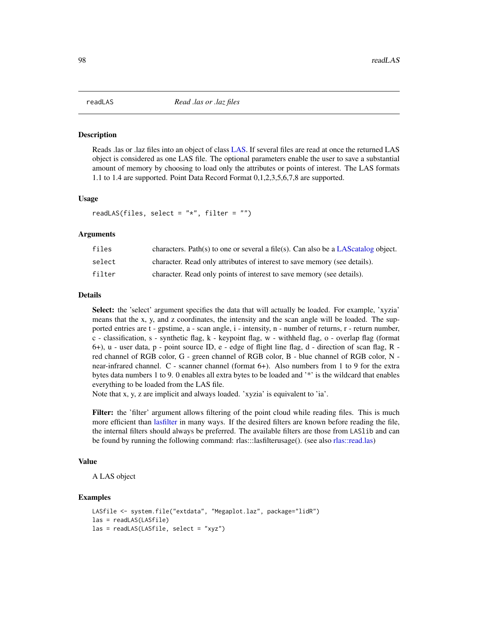#### <span id="page-97-0"></span>Description

Reads .las or .laz files into an object of class [LAS.](#page-39-0) If several files are read at once the returned LAS object is considered as one LAS file. The optional parameters enable the user to save a substantial amount of memory by choosing to load only the attributes or points of interest. The LAS formats 1.1 to 1.4 are supported. Point Data Record Format 0,1,2,3,5,6,7,8 are supported.

#### Usage

readLAS(files, select = " $*$ ", filter = "")

#### Arguments

| files  | characters. Path(s) to one or several a file(s). Can also be a LAS catalog object. |
|--------|------------------------------------------------------------------------------------|
| select | character. Read only attributes of interest to save memory (see details).          |
| filter | character. Read only points of interest to save memory (see details).              |

# Details

Select: the 'select' argument specifies the data that will actually be loaded. For example, 'xyzia' means that the x, y, and z coordinates, the intensity and the scan angle will be loaded. The supported entries are t - gpstime, a - scan angle, i - intensity, n - number of returns, r - return number, c - classification, s - synthetic flag, k - keypoint flag, w - withheld flag, o - overlap flag (format 6+), u - user data, p - point source ID, e - edge of flight line flag, d - direction of scan flag, R red channel of RGB color, G - green channel of RGB color, B - blue channel of RGB color, N near-infrared channel. C - scanner channel (format 6+). Also numbers from 1 to 9 for the extra bytes data numbers 1 to 9. 0 enables all extra bytes to be loaded and '\*' is the wildcard that enables everything to be loaded from the LAS file.

Note that x, y, z are implicit and always loaded. 'xyzia' is equivalent to 'ia'.

Filter: the 'filter' argument allows filtering of the point cloud while reading files. This is much more efficient than [lasfilter](#page-51-0) in many ways. If the desired filters are known before reading the file, the internal filters should always be preferred. The available filters are those from LASlib and can be found by running the following command: rlas:::lasfilterusage(). (see also [rlas::read.las\)](#page-0-0)

## Value

A LAS object

```
LASfile <- system.file("extdata", "Megaplot.laz", package="lidR")
las = readLAS(LASfile)
las = readLAS(LASfile, select = "xyz")
```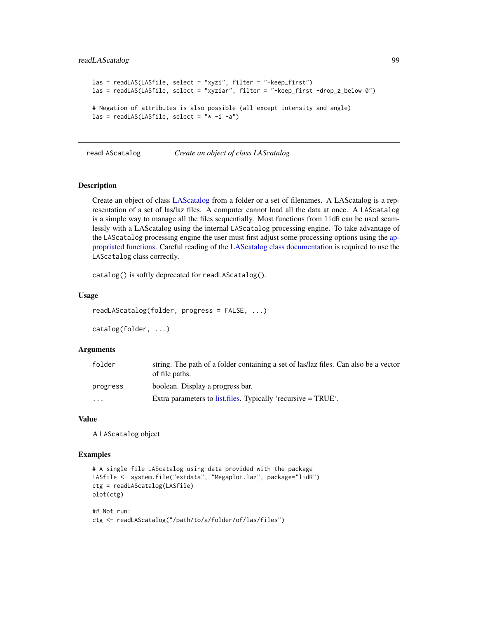# readLAScatalog 99

```
las = readLAS(LASfile, select = "xyzi", filter = "-keep_first")
las = readLAS(LASfile, select = "xyziar", filter = "-keep_first -drop_z_below 0")
# Negation of attributes is also possible (all except intensity and angle)
las = readLAS(LASfile, select = "* -i -a")
```
readLAScatalog *Create an object of class LAScatalog*

#### Description

Create an object of class [LAScatalog](#page-0-0) from a folder or a set of filenames. A LAScatalog is a representation of a set of las/laz files. A computer cannot load all the data at once. A LAScatalog is a simple way to manage all the files sequentially. Most functions from lidR can be used seamlessly with a LAScatalog using the internal LAScatalog processing engine. To take advantage of the LAScatalog processing engine the user must first adjust some processing options using the [ap](#page-0-0)[propriated functions.](#page-0-0) Careful reading of the [LAScatalog class documentation](#page-0-0) is required to use the LAScatalog class correctly.

catalog() is softly deprecated for readLAScatalog().

## Usage

```
readLAScatalog(folder, progress = FALSE, ...)
```
catalog(folder, ...)

#### Arguments

| folder   | string. The path of a folder containing a set of las/laz files. Can also be a vector<br>of file paths. |
|----------|--------------------------------------------------------------------------------------------------------|
| progress | boolean. Display a progress bar.                                                                       |
| .        | Extra parameters to list files. Typically 'recursive $= TRUE'$ .                                       |

#### Value

A LAScatalog object

```
# A single file LAScatalog using data provided with the package
LASfile <- system.file("extdata", "Megaplot.laz", package="lidR")
ctg = readLAScatalog(LASfile)
plot(ctg)
## Not run:
```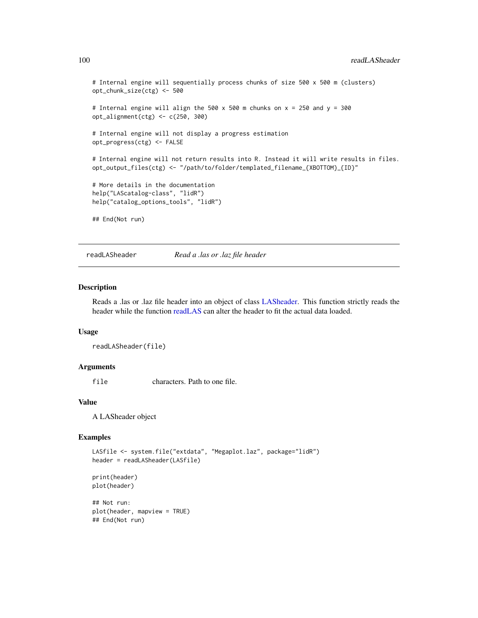```
# Internal engine will sequentially process chunks of size 500 x 500 m (clusters)
opt_chunk_size(ctg) <- 500
# Internal engine will align the 500 x 500 m chunks on x = 250 and y = 300
opt_alignment(ctg) <- c(250, 300)
# Internal engine will not display a progress estimation
opt_progress(ctg) <- FALSE
# Internal engine will not return results into R. Instead it will write results in files.
opt_output_files(ctg) <- "/path/to/folder/templated_filename_{XBOTTOM}_{ID}"
# More details in the documentation
help("LAScatalog-class", "lidR")
help("catalog_options_tools", "lidR")
## End(Not run)
```
readLASheader *Read a .las or .laz file header*

# Description

Reads a .las or .laz file header into an object of class [LASheader.](#page-59-0) This function strictly reads the header while the function [readLAS](#page-97-0) can alter the header to fit the actual data loaded.

#### Usage

```
readLASheader(file)
```
## Arguments

file characters. Path to one file.

#### Value

A LASheader object

#### Examples

```
LASfile <- system.file("extdata", "Megaplot.laz", package="lidR")
header = readLASheader(LASfile)
```
print(header) plot(header)

## Not run: plot(header, mapview = TRUE) ## End(Not run)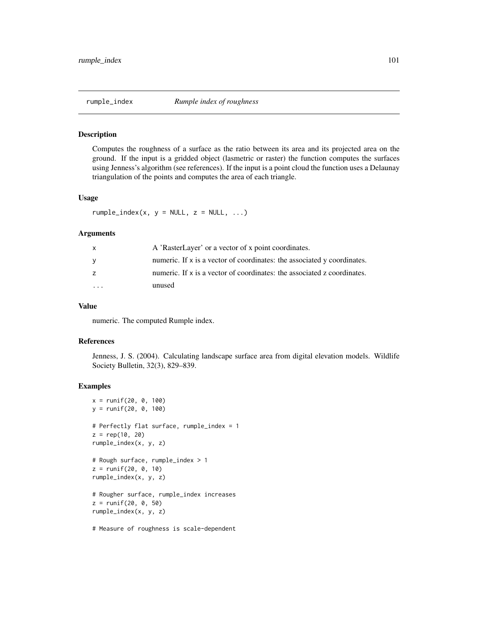#### Description

Computes the roughness of a surface as the ratio between its area and its projected area on the ground. If the input is a gridded object (lasmetric or raster) the function computes the surfaces using Jenness's algorithm (see references). If the input is a point cloud the function uses a Delaunay triangulation of the points and computes the area of each triangle.

#### Usage

 $rumple_index(x, y = NULL, z = NULL, ...)$ 

#### Arguments

| $\mathsf{X}$ | A 'RasterLayer' or a vector of x point coordinates.                       |
|--------------|---------------------------------------------------------------------------|
| <b>V</b>     | numeric. If x is a vector of coordinates: the associated y coordinates.   |
|              | numeric. If $x$ is a vector of coordinates: the associated z coordinates. |
| $\cdot$      | unused                                                                    |

# Value

numeric. The computed Rumple index.

#### References

Jenness, J. S. (2004). Calculating landscape surface area from digital elevation models. Wildlife Society Bulletin, 32(3), 829–839.

# Examples

```
x = runif(20, 0, 100)
y = runif(20, 0, 100)
# Perfectly flat surface, rumple_index = 1
z = rep(10, 20)rumple_index(x, y, z)
# Rough surface, rumple_index > 1
z = runif(20, 0, 10)
rumple_index(x, y, z)
# Rougher surface, rumple_index increases
z = runif(20, 0, 50)rumple_index(x, y, z)
```
# Measure of roughness is scale-dependent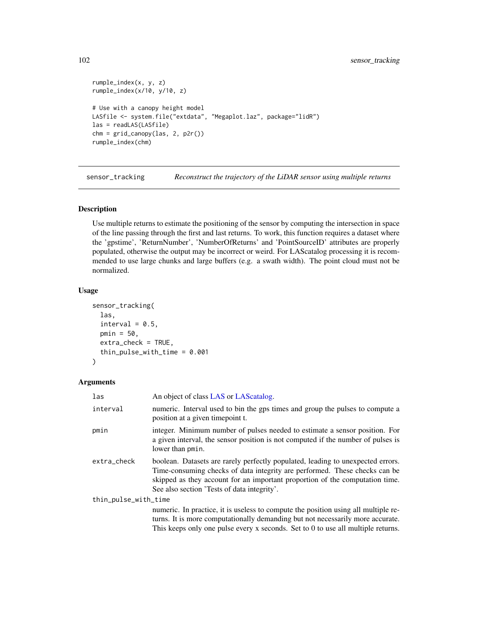```
rumple_index(x, y, z)
rumple_index(x/10, y/10, z)
# Use with a canopy height model
LASfile <- system.file("extdata", "Megaplot.laz", package="lidR")
las = readLAS(LASfile)
chm = grid\_canopy(las, 2, p2r())rumple_index(chm)
```
sensor\_tracking *Reconstruct the trajectory of the LiDAR sensor using multiple returns*

## Description

Use multiple returns to estimate the positioning of the sensor by computing the intersection in space of the line passing through the first and last returns. To work, this function requires a dataset where the 'gpstime', 'ReturnNumber', 'NumberOfReturns' and 'PointSourceID' attributes are properly populated, otherwise the output may be incorrect or weird. For LAScatalog processing it is recommended to use large chunks and large buffers (e.g. a swath width). The point cloud must not be normalized.

#### Usage

```
sensor_tracking(
  las,
  interval = 0.5,
  pmin = 50,
  extra_check = TRUE,
  thin_pulse_with_time = 0.001
)
```

| las                  | An object of class LAS or LAS catalog.                                                                                                                                                                                                                                                       |
|----------------------|----------------------------------------------------------------------------------------------------------------------------------------------------------------------------------------------------------------------------------------------------------------------------------------------|
| interval             | numeric. Interval used to bin the gps times and group the pulses to compute a<br>position at a given time point t.                                                                                                                                                                           |
| pmin                 | integer. Minimum number of pulses needed to estimate a sensor position. For<br>a given interval, the sensor position is not computed if the number of pulses is<br>lower than pmin.                                                                                                          |
| extra_check          | boolean. Datasets are rarely perfectly populated, leading to unexpected errors.<br>Time-consuming checks of data integrity are performed. These checks can be<br>skipped as they account for an important proportion of the computation time.<br>See also section 'Tests of data integrity'. |
| thin_pulse_with_time |                                                                                                                                                                                                                                                                                              |
|                      | numeric. In practice, it is useless to compute the position using all multiple re-<br>turns. It is more computationally demanding but not necessarily more accurate.<br>This keeps only one pulse every x seconds. Set to $0$ to use all multiple returns.                                   |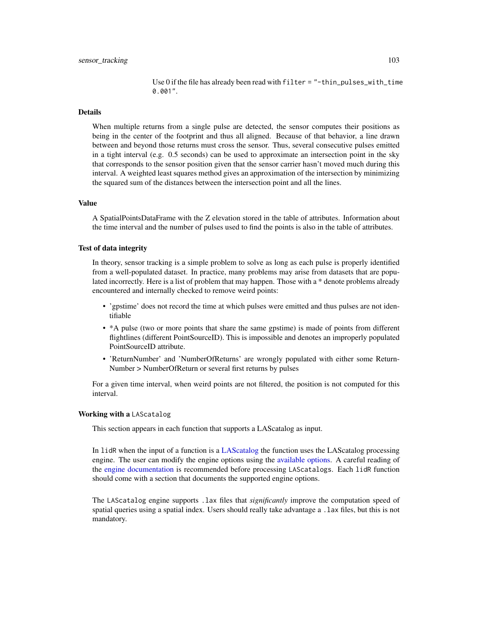Use 0 if the file has already been read with filter = "-thin\_pulses\_with\_time 0.001".

# Details

When multiple returns from a single pulse are detected, the sensor computes their positions as being in the center of the footprint and thus all aligned. Because of that behavior, a line drawn between and beyond those returns must cross the sensor. Thus, several consecutive pulses emitted in a tight interval (e.g. 0.5 seconds) can be used to approximate an intersection point in the sky that corresponds to the sensor position given that the sensor carrier hasn't moved much during this interval. A weighted least squares method gives an approximation of the intersection by minimizing the squared sum of the distances between the intersection point and all the lines.

#### Value

A SpatialPointsDataFrame with the Z elevation stored in the table of attributes. Information about the time interval and the number of pulses used to find the points is also in the table of attributes.

# Test of data integrity

In theory, sensor tracking is a simple problem to solve as long as each pulse is properly identified from a well-populated dataset. In practice, many problems may arise from datasets that are populated incorrectly. Here is a list of problem that may happen. Those with a \* denote problems already encountered and internally checked to remove weird points:

- 'gpstime' does not record the time at which pulses were emitted and thus pulses are not identifiable
- \*A pulse (two or more points that share the same gpstime) is made of points from different flightlines (different PointSourceID). This is impossible and denotes an improperly populated PointSourceID attribute.
- 'ReturnNumber' and 'NumberOfReturns' are wrongly populated with either some Return-Number > NumberOfReturn or several first returns by pulses

For a given time interval, when weird points are not filtered, the position is not computed for this interval.

# Working with a LAScatalog

This section appears in each function that supports a LAScatalog as input.

In lidR when the input of a function is a [LAScatalog](#page-0-0) the function uses the LAScatalog processing engine. The user can modify the engine options using the [available options.](#page-0-0) A careful reading of the [engine documentation](#page-0-0) is recommended before processing LAScatalogs. Each lidR function should come with a section that documents the supported engine options.

The LAScatalog engine supports .lax files that *significantly* improve the computation speed of spatial queries using a spatial index. Users should really take advantage a .lax files, but this is not mandatory.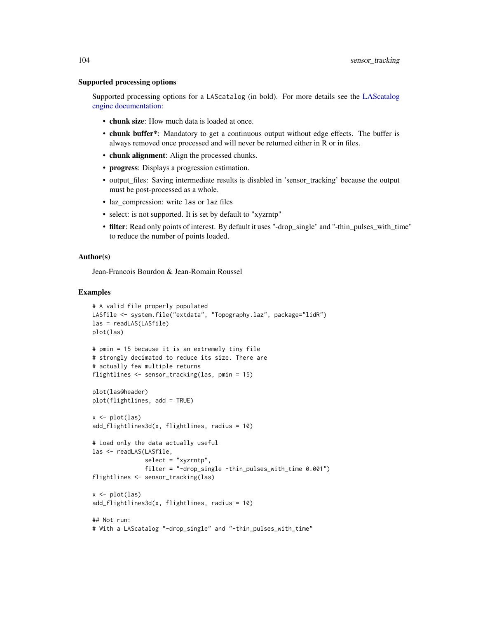#### Supported processing options

Supported processing options for a LAScatalog (in bold). For more details see the [LAScatalog](#page-0-0) [engine documentation:](#page-0-0)

- chunk size: How much data is loaded at once.
- chunk buffer\*: Mandatory to get a continuous output without edge effects. The buffer is always removed once processed and will never be returned either in R or in files.
- chunk alignment: Align the processed chunks.
- progress: Displays a progression estimation.
- output\_files: Saving intermediate results is disabled in 'sensor\_tracking' because the output must be post-processed as a whole.
- laz\_compression: write las or laz files
- select: is not supported. It is set by default to "xyzrntp"
- filter: Read only points of interest. By default it uses "-drop\_single" and "-thin\_pulses\_with\_time" to reduce the number of points loaded.

#### Author(s)

Jean-Francois Bourdon & Jean-Romain Roussel

```
# A valid file properly populated
LASfile <- system.file("extdata", "Topography.laz", package="lidR")
las = readLAS(LASfile)
plot(las)
# pmin = 15 because it is an extremely tiny file
# strongly decimated to reduce its size. There are
# actually few multiple returns
flightlines <- sensor_tracking(las, pmin = 15)
plot(las@header)
plot(flightlines, add = TRUE)
x \leftarrow \text{plot}(las)add_flightlines3d(x, flightlines, radius = 10)
# Load only the data actually useful
las <- readLAS(LASfile,
               select = "xyzrntp",
               filter = "-drop_single -thin_pulses_with_time 0.001")
flightlines <- sensor_tracking(las)
x \leftarrow \text{plot}(las)add_flightlines3d(x, flightlines, radius = 10)
## Not run:
# With a LAScatalog "-drop_single" and "-thin_pulses_with_time"
```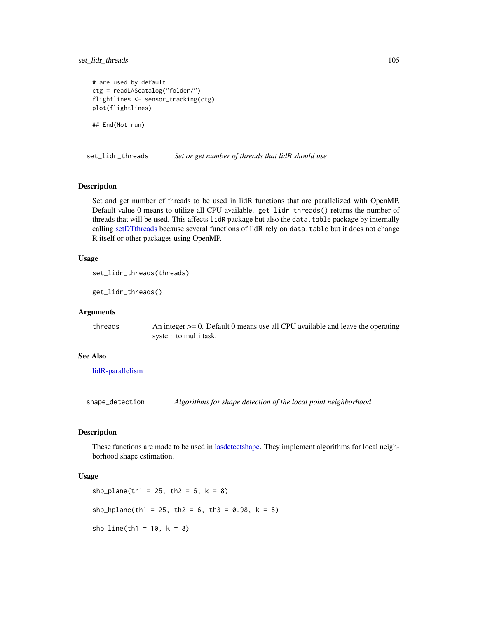# set\_lidr\_threads 105

```
# are used by default
ctg = readLAScatalog("folder/")
flightlines <- sensor_tracking(ctg)
plot(flightlines)
## End(Not run)
```
<span id="page-104-0"></span>set\_lidr\_threads *Set or get number of threads that lidR should use*

## Description

Set and get number of threads to be used in lidR functions that are parallelized with OpenMP. Default value 0 means to utilize all CPU available. get\_lidr\_threads() returns the number of threads that will be used. This affects lidR package but also the data.table package by internally calling [setDTthreads](#page-0-0) because several functions of lidR rely on data.table but it does not change R itself or other packages using OpenMP.

# Usage

```
set_lidr_threads(threads)
```
get\_lidr\_threads()

# Arguments

threads  $\Delta n$  integer  $\geq 0$ . Default 0 means use all CPU available and leave the operating system to multi task.

# See Also

[lidR-parallelism](#page-76-0)

shape\_detection *Algorithms for shape detection of the local point neighborhood*

## Description

These functions are made to be used in [lasdetectshape.](#page-50-0) They implement algorithms for local neighborhood shape estimation.

# Usage

```
shp_plane(th1 = 25, th2 = 6, k = 8)
shp_hplane(th1 = 25, th2 = 6, th3 = 0.98, k = 8)
shp_line(th1 = 10, k = 8)
```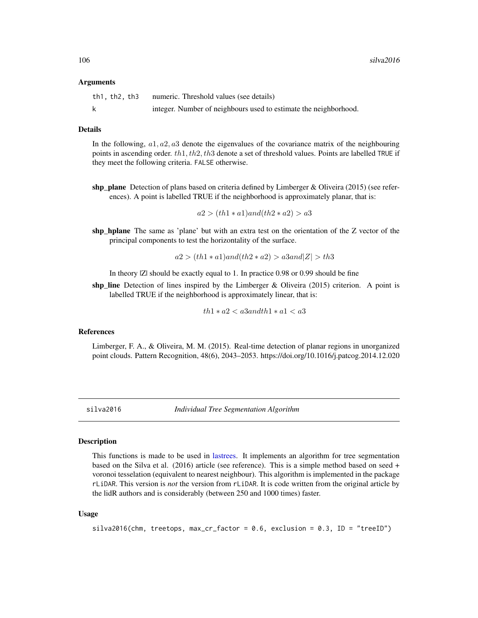#### Arguments

| th1, th2, th3 | numeric. Threshold values (see details)                          |
|---------------|------------------------------------------------------------------|
|               | integer. Number of neighbours used to estimate the neighborhood. |

#### Details

In the following,  $a1, a2, a3$  denote the eigenvalues of the covariance matrix of the neighbouring points in ascending order.  $th1, th2, th3$  denote a set of threshold values. Points are labelled TRUE if they meet the following criteria. FALSE otherwise.

shp plane Detection of plans based on criteria defined by Limberger & Oliveira (2015) (see references). A point is labelled TRUE if the neighborhood is approximately planar, that is:

 $a2 > (th1 * a1)$ and $(th2 * a2) > a3$ 

shp\_hplane The same as 'plane' but with an extra test on the orientation of the Z vector of the principal components to test the horizontality of the surface.

$$
a2 > (th1 * a1) and (th2 * a2) > a3 and |Z| > th3
$$

In theory |Z| should be exactly equal to 1. In practice 0.98 or 0.99 should be fine

shp\_line Detection of lines inspired by the Limberger & Oliveira (2015) criterion. A point is labelled TRUE if the neighborhood is approximately linear, that is:

 $th1*a2 < a3 and th1*a1 < a3$ 

# References

Limberger, F. A., & Oliveira, M. M. (2015). Real-time detection of planar regions in unorganized point clouds. Pattern Recognition, 48(6), 2043–2053. https://doi.org/10.1016/j.patcog.2014.12.020

<span id="page-105-0"></span>

silva2016 *Individual Tree Segmentation Algorithm*

#### **Description**

This functions is made to be used in [lastrees.](#page-71-0) It implements an algorithm for tree segmentation based on the Silva et al. (2016) article (see reference). This is a simple method based on seed + voronoi tesselation (equivalent to nearest neighbour). This algorithm is implemented in the package rLiDAR. This version is *not* the version from rLiDAR. It is code written from the original article by the lidR authors and is considerably (between 250 and 1000 times) faster.

#### Usage

```
silva2016(chm, treetops, max_cr_factor = 0.6, exclusion = 0.3, ID = "treeID")
```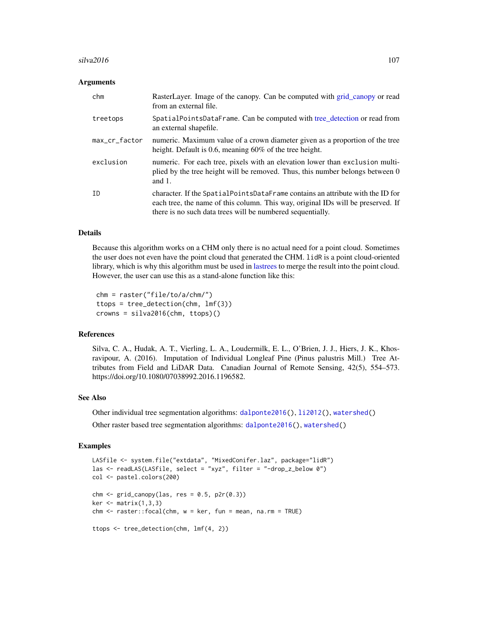#### $\frac{\text{silva}2016}{\text{m}^2}$  107

# Arguments

| chm           | RasterLayer. Image of the canopy. Can be computed with grid_canopy or read<br>from an external file.                                                                                                                             |
|---------------|----------------------------------------------------------------------------------------------------------------------------------------------------------------------------------------------------------------------------------|
| treetops      | SpatialPointsDataFrame. Can be computed with tree_detection or read from<br>an external shapefile.                                                                                                                               |
| max_cr_factor | numeric. Maximum value of a crown diameter given as a proportion of the tree<br>height. Default is 0.6, meaning $60\%$ of the tree height.                                                                                       |
| exclusion     | numeric. For each tree, pixels with an elevation lower than exclusion multi-<br>plied by the tree height will be removed. Thus, this number belongs between 0<br>and $1$ .                                                       |
| ID            | character. If the SpatialPointsDataFrame contains an attribute with the ID for<br>each tree, the name of this column. This way, original IDs will be preserved. If<br>there is no such data trees will be numbered sequentially. |

## Details

Because this algorithm works on a CHM only there is no actual need for a point cloud. Sometimes the user does not even have the point cloud that generated the CHM. lidR is a point cloud-oriented library, which is why this algorithm must be used in [lastrees](#page-71-0) to merge the result into the point cloud. However, the user can use this as a stand-alone function like this:

```
chm = raster("file/to/a/chm/")
ttops = tree_detection(chm, lmf(3))
crowns = silva2016(chm, ttops)()
```
# References

Silva, C. A., Hudak, A. T., Vierling, L. A., Loudermilk, E. L., O'Brien, J. J., Hiers, J. K., Khosravipour, A. (2016). Imputation of Individual Longleaf Pine (Pinus palustris Mill.) Tree Attributes from Field and LiDAR Data. Canadian Journal of Remote Sensing, 42(5), 554–573. https://doi.org/10.1080/07038992.2016.1196582.

# See Also

Other individual tree segmentation algorithms: [dalponte2016\(](#page-19-0)), [li2012\(](#page-73-0)), [watershed\(](#page-120-0))

Other raster based tree segmentation algorithms: [dalponte2016\(](#page-19-0)), [watershed\(](#page-120-0))

```
LASfile <- system.file("extdata", "MixedConifer.laz", package="lidR")
las <- readLAS(LASfile, select = "xyz", filter = "-drop_z_below 0")
col <- pastel.colors(200)
chm < - grid_canopy(las, res = 0.5, p2r(0.3))
ker <- matrix(1,3,3)
chm <- raster::focal(chm, w = ker, fun = mean, na.rm = TRUE)
ttops <- tree_detection(chm, lmf(4, 2))
```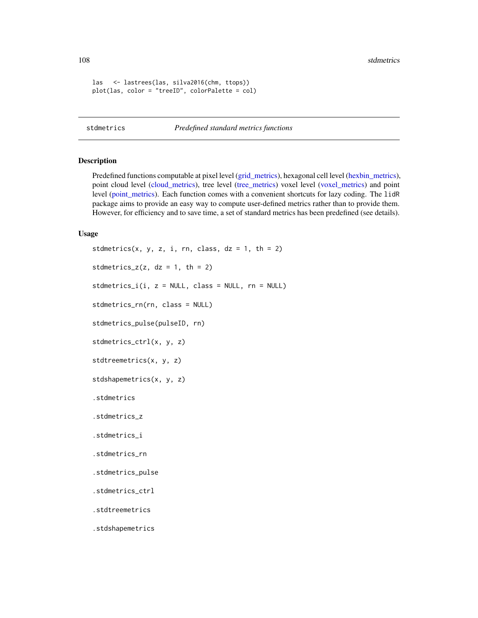108 stdmetrics and the state of the state of the state of the state of the state of the state of the state of the state of the state of the state of the state of the state of the state of the state of the state of the stat

```
las <- lastrees(las, silva2016(chm, ttops))
plot(las, color = "treeID", colorPalette = col)
```
stdmetrics *Predefined standard metrics functions*

## Description

Predefined functions computable at pixel level [\(grid\\_metrics\)](#page-28-0), hexagonal cell level [\(hexbin\\_metrics\)](#page-33-0), point cloud level [\(cloud\\_metrics\)](#page-16-0), tree level [\(tree\\_metrics\)](#page-114-0) voxel level [\(voxel\\_metrics\)](#page-118-0) and point level [\(point\\_metrics\)](#page-90-0). Each function comes with a convenient shortcuts for lazy coding. The lidR package aims to provide an easy way to compute user-defined metrics rather than to provide them. However, for efficiency and to save time, a set of standard metrics has been predefined (see details).

### Usage

```
stdmetrics(x, y, z, i, rn, class, dz = 1, th = 2)
stdmetrics_z(z, dz = 1, th = 2)stdmetrics_i(i, z = NULL, class = NULL, rn = NULL)stdmetrics_rn(rn, class = NULL)
stdmetrics_pulse(pulseID, rn)
stdmetrics_ctrl(x, y, z)
stdtreemetrics(x, y, z)
stdshapemetrics(x, y, z)
.stdmetrics
.stdmetrics_z
.stdmetrics_i
.stdmetrics_rn
.stdmetrics_pulse
.stdmetrics_ctrl
.stdtreemetrics
.stdshapemetrics
```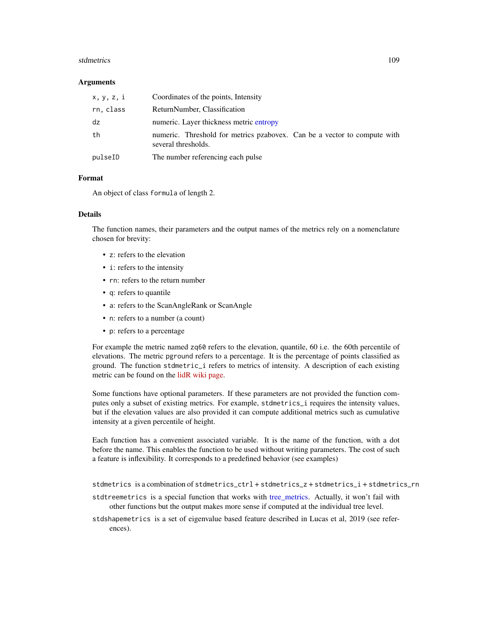#### <span id="page-108-0"></span>stdmetrics and the state of the state of the state of the state of the state of the state of the state of the state of the state of the state of the state of the state of the state of the state of the state of the state of

#### **Arguments**

| x, y, z, i | Coordinates of the points, Intensity                                                            |
|------------|-------------------------------------------------------------------------------------------------|
| rn, class  | ReturnNumber, Classification                                                                    |
| dz         | numeric. Layer thickness metric entropy                                                         |
| th         | numeric. Threshold for metrics pzabovex. Can be a vector to compute with<br>several thresholds. |
| pulseID    | The number referencing each pulse                                                               |

#### Format

An object of class formula of length 2.

# Details

The function names, their parameters and the output names of the metrics rely on a nomenclature chosen for brevity:

- z: refers to the elevation
- i: refers to the intensity
- rn: refers to the return number
- q: refers to quantile
- a: refers to the ScanAngleRank or ScanAngle
- n: refers to a number (a count)
- p: refers to a percentage

For example the metric named zq60 refers to the elevation, quantile, 60 i.e. the 60th percentile of elevations. The metric pground refers to a percentage. It is the percentage of points classified as ground. The function stdmetric\_i refers to metrics of intensity. A description of each existing metric can be found on the [lidR wiki page.](https://github.com/Jean-Romain/lidR/wiki/stdmetrics)

Some functions have optional parameters. If these parameters are not provided the function computes only a subset of existing metrics. For example, stdmetrics\_i requires the intensity values, but if the elevation values are also provided it can compute additional metrics such as cumulative intensity at a given percentile of height.

Each function has a convenient associated variable. It is the name of the function, with a dot before the name. This enables the function to be used without writing parameters. The cost of such a feature is inflexibility. It corresponds to a predefined behavior (see examples)

stdmetrics is a combination of stdmetrics\_ctrl + stdmetrics\_z + stdmetrics\_i + stdmetrics\_rn

- stdtreemetrics is a special function that works with [tree\\_metrics.](#page-114-0) Actually, it won't fail with other functions but the output makes more sense if computed at the individual tree level.
- stdshapemetrics is a set of eigenvalue based feature described in Lucas et al, 2019 (see references).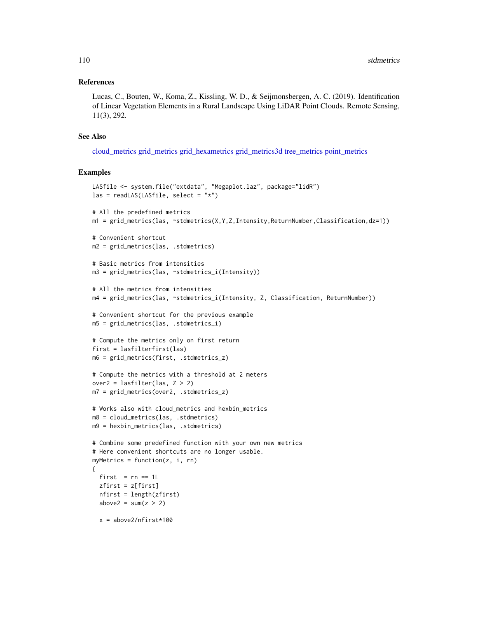#### <span id="page-109-0"></span>References

Lucas, C., Bouten, W., Koma, Z., Kissling, W. D., & Seijmonsbergen, A. C. (2019). Identification of Linear Vegetation Elements in a Rural Landscape Using LiDAR Point Clouds. Remote Sensing, 11(3), 292.

# See Also

[cloud\\_metrics](#page-16-0) [grid\\_metrics](#page-28-0) [grid\\_hexametrics](#page-20-0) [grid\\_metrics3d](#page-20-0) [tree\\_metrics](#page-114-0) [point\\_metrics](#page-90-0)

```
LASfile <- system.file("extdata", "Megaplot.laz", package="lidR")
\text{las} = \text{readLAS}(\text{LASfile}, \text{select} = "*")# All the predefined metrics
m1 = grid_metrics(las, ~stdmetrics(X,Y,Z,Intensity,ReturnNumber,Classification,dz=1))
# Convenient shortcut
m2 = grid_metrics(las, .stdmetrics)
# Basic metrics from intensities
m3 = grid_metrics(las, ~stdmetrics_i(Intensity))
# All the metrics from intensities
m4 = grid_metrics(las, ~stdmetrics_i(Intensity, Z, Classification, ReturnNumber))
# Convenient shortcut for the previous example
m5 = grid_metrics(las, .stdmetrics_i)
# Compute the metrics only on first return
first = lasfilterfirst(las)
m6 = grid_metrics(first, .stdmetrics_z)
# Compute the metrics with a threshold at 2 meters
over2 = lasfilter(las, Z > 2)
m7 = grid_metrics(over2, .stdmetrics_z)
# Works also with cloud_metrics and hexbin_metrics
m8 = cloud_metrics(las, .stdmetrics)
m9 = hexbin_metrics(las, .stdmetrics)
# Combine some predefined function with your own new metrics
# Here convenient shortcuts are no longer usable.
myMetrics = function(z, i, rn){
  first = rn == 1Lzfirst = z[first]
  nfirst = length(zfirst)
  above2 = sum(z > 2)x = above2/nfirst*100
```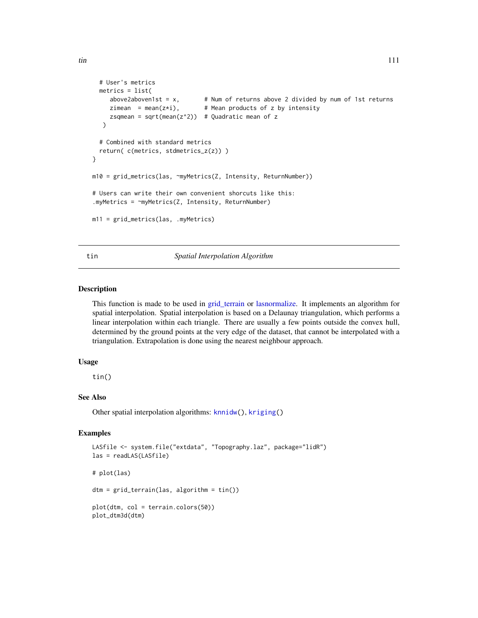```
# User's metrics
  metrics = list(
     above2aboven1st = x, # Num of returns above 2 divided by num of 1st returns
     above2abovenist = x, \pi identical contracts of z by intensity<br>zimean = mean(z*i), # Mean products of z by intensity
     zsqmean = sqrt(mean(z<sup>2</sup>)) # Quadratic mean of z
   \lambda# Combined with standard metrics
  return( c(metrics, stdmetrics_z(z)) )
}
m10 = grid_metrics(las, ~myMetrics(Z, Intensity, ReturnNumber))
# Users can write their own convenient shorcuts like this:
.myMetrics = ~myMetrics(Z, Intensity, ReturnNumber)
m11 = grid_metrics(las, .myMetrics)
```
# tin *Spatial Interpolation Algorithm*

# Description

This function is made to be used in [grid\\_terrain](#page-31-0) or [lasnormalize.](#page-61-0) It implements an algorithm for spatial interpolation. Spatial interpolation is based on a Delaunay triangulation, which performs a linear interpolation within each triangle. There are usually a few points outside the convex hull, determined by the ground points at the very edge of the dataset, that cannot be interpolated with a triangulation. Extrapolation is done using the nearest neighbour approach.

#### Usage

tin()

# See Also

Other spatial interpolation algorithms: [knnidw\(](#page-37-0)), [kriging\(](#page-38-0))

```
LASfile <- system.file("extdata", "Topography.laz", package="lidR")
las = readLAS(LASfile)
# plot(las)
dtm = grid_terrain(las, algorithm = tin())
plot(dtm, col = terrain.colors(50))
plot_dtm3d(dtm)
```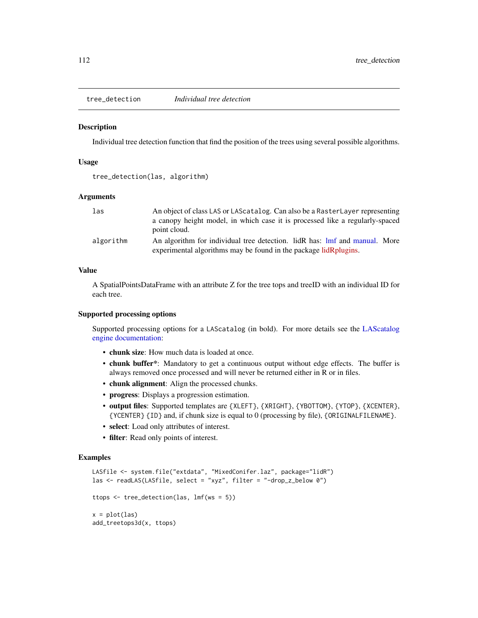<span id="page-111-1"></span><span id="page-111-0"></span>

#### Description

Individual tree detection function that find the position of the trees using several possible algorithms.

#### Usage

```
tree_detection(las, algorithm)
```
### Arguments

| las       | An object of class LAS or LAScatalog. Can also be a RasterLayer representing |
|-----------|------------------------------------------------------------------------------|
|           | a canopy height model, in which case it is processed like a regularly-spaced |
|           | point cloud.                                                                 |
| algorithm | An algorithm for individual tree detection. lidR has: lmf and manual. More   |
|           | experimental algorithms may be found in the package lidRplugins.             |

# Value

A SpatialPointsDataFrame with an attribute Z for the tree tops and treeID with an individual ID for each tree.

#### Supported processing options

Supported processing options for a LAScatalog (in bold). For more details see the [LAScatalog](#page-0-0) [engine documentation:](#page-0-0)

- chunk size: How much data is loaded at once.
- chunk buffer\*: Mandatory to get a continuous output without edge effects. The buffer is always removed once processed and will never be returned either in R or in files.
- chunk alignment: Align the processed chunks.
- progress: Displays a progression estimation.
- output files: Supported templates are {XLEFT}, {XRIGHT}, {YBOTTOM}, {YTOP}, {XCENTER}, {YCENTER} {ID} and, if chunk size is equal to 0 (processing by file), {ORIGINALFILENAME}.
- select: Load only attributes of interest.
- filter: Read only points of interest.

```
LASfile <- system.file("extdata", "MixedConifer.laz", package="lidR")
las <- readLAS(LASfile, select = "xyz", filter = "-drop_z_below 0")
ttops <- tree_detection(las, lmf(ws = 5))
x = plot(las)add_treetops3d(x, ttops)
```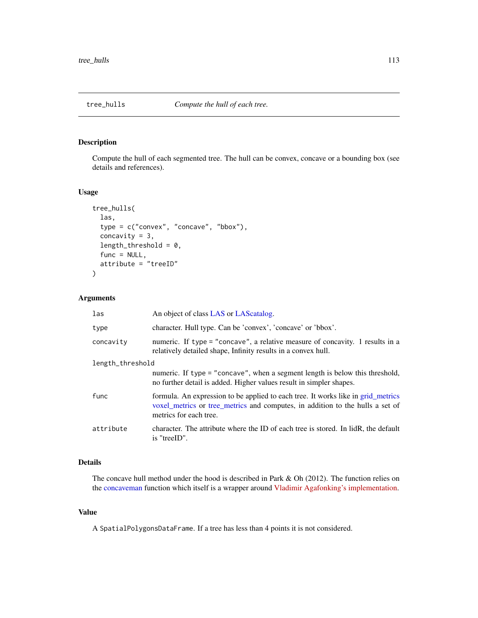<span id="page-112-1"></span><span id="page-112-0"></span>

# Description

Compute the hull of each segmented tree. The hull can be convex, concave or a bounding box (see details and references).

# Usage

```
tree_hulls(
  las,
  type = c("convex", "concave", "bbox"),
  concavity = 3,
  length_threshold = 0,
  func = NULL,attribute = "treeID"
)
```
# Arguments

| las              | An object of class LAS or LAS catalog.                                                                                                                                                      |
|------------------|---------------------------------------------------------------------------------------------------------------------------------------------------------------------------------------------|
| type             | character. Hull type. Can be 'convex', 'concave' or 'bbox'.                                                                                                                                 |
| concavity        | numeric. If type = "concave", a relative measure of concavity. 1 results in a<br>relatively detailed shape, Infinity results in a convex hull.                                              |
| length_threshold |                                                                                                                                                                                             |
|                  | numeric. If type = "concave", when a segment length is below this threshold,<br>no further detail is added. Higher values result in simpler shapes.                                         |
| func             | formula. An expression to be applied to each tree. It works like in grid_metrics<br>voxel_metrics or tree_metrics and computes, in addition to the hulls a set of<br>metrics for each tree. |
| attribute        | character. The attribute where the ID of each tree is stored. In lidR, the default<br>is "treeID".                                                                                          |

# Details

The concave hull method under the hood is described in Park & Oh (2012). The function relies on the [concaveman](#page-0-0) function which itself is a wrapper around [Vladimir Agafonking's implementation.](https://github.com/mapbox/concaveman)

#### Value

A SpatialPolygonsDataFrame. If a tree has less than 4 points it is not considered.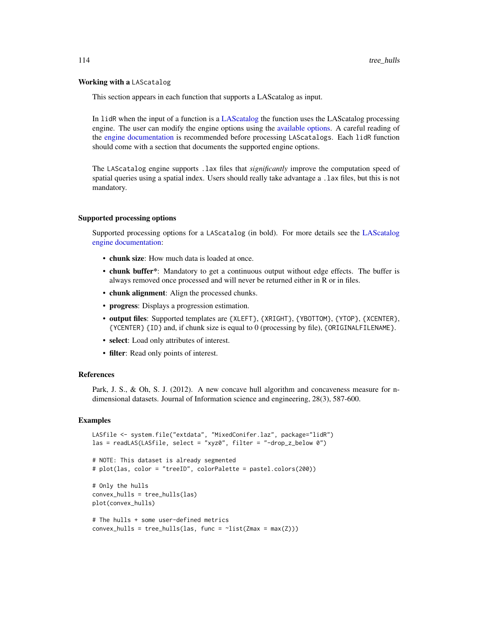#### <span id="page-113-0"></span>Working with a LAScatalog

This section appears in each function that supports a LAScatalog as input.

In lidR when the input of a function is a [LAScatalog](#page-0-0) the function uses the LAScatalog processing engine. The user can modify the engine options using the [available options.](#page-0-0) A careful reading of the [engine documentation](#page-0-0) is recommended before processing LAScatalogs. Each lidR function should come with a section that documents the supported engine options.

The LAScatalog engine supports .lax files that *significantly* improve the computation speed of spatial queries using a spatial index. Users should really take advantage a .lax files, but this is not mandatory.

#### Supported processing options

Supported processing options for a LAScatalog (in bold). For more details see the [LAScatalog](#page-0-0) [engine documentation:](#page-0-0)

- chunk size: How much data is loaded at once.
- chunk buffer\*: Mandatory to get a continuous output without edge effects. The buffer is always removed once processed and will never be returned either in R or in files.
- chunk alignment: Align the processed chunks.
- progress: Displays a progression estimation.
- output files: Supported templates are {XLEFT}, {XRIGHT}, {YBOTTOM}, {YTOP}, {XCENTER}, {YCENTER} {ID} and, if chunk size is equal to 0 (processing by file), {ORIGINALFILENAME}.
- select: Load only attributes of interest.
- filter: Read only points of interest.

#### References

Park, J. S., & Oh, S. J. (2012). A new concave hull algorithm and concaveness measure for ndimensional datasets. Journal of Information science and engineering, 28(3), 587-600.

```
LASfile <- system.file("extdata", "MixedConifer.laz", package="lidR")
las = readLAS(LASfile, select = "xyz0", filter = "-drop_z_below 0")
# NOTE: This dataset is already segmented
# plot(las, color = "treeID", colorPalette = pastel.colors(200))
# Only the hulls
convex_hulls = tree_hulls(las)
plot(convex_hulls)
# The hulls + some user-defined metrics
convex_hulls = tree_hulls(las, func = \text{dist}(\text{Zmax} = \text{max}(Z)))
```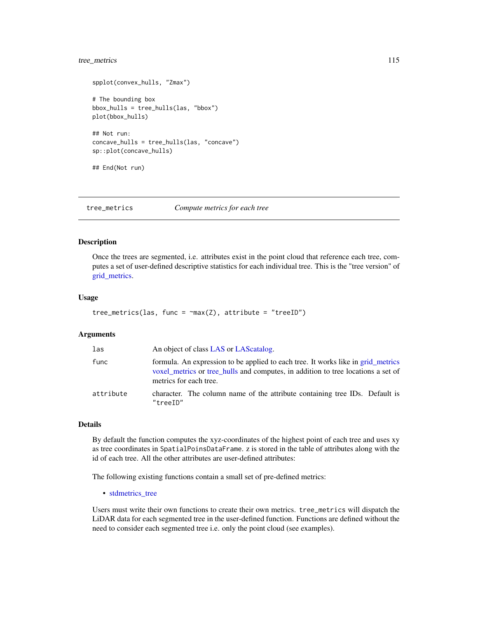# <span id="page-114-1"></span>tree\_metrics 115

```
spplot(convex_hulls, "Zmax")
# The bounding box
bbox_hulls = tree_hulls(las, "bbox")
plot(bbox_hulls)
## Not run:
concave_hulls = tree_hulls(las, "concave")
sp::plot(concave_hulls)
## End(Not run)
```
<span id="page-114-0"></span>tree\_metrics *Compute metrics for each tree*

#### Description

Once the trees are segmented, i.e. attributes exist in the point cloud that reference each tree, computes a set of user-defined descriptive statistics for each individual tree. This is the "tree version" of [grid\\_metrics.](#page-28-0)

#### Usage

```
tree_metrics(las, func = \text{max}(Z), attribute = "treeID")
```
#### Arguments

| las       | An object of class LAS or LAS catalog.                                                                                                                                                         |
|-----------|------------------------------------------------------------------------------------------------------------------------------------------------------------------------------------------------|
| func      | formula. An expression to be applied to each tree. It works like in grid_metrics<br>voxel metrics or tree hulls and computes, in addition to tree locations a set of<br>metrics for each tree. |
| attribute | character. The column name of the attribute containing tree IDs. Default is<br>"treeID"                                                                                                        |

# Details

By default the function computes the xyz-coordinates of the highest point of each tree and uses xy as tree coordinates in SpatialPoinsDataFrame. z is stored in the table of attributes along with the id of each tree. All the other attributes are user-defined attributes:

The following existing functions contain a small set of pre-defined metrics:

• [stdmetrics\\_tree](#page-0-0)

Users must write their own functions to create their own metrics. tree\_metrics will dispatch the LiDAR data for each segmented tree in the user-defined function. Functions are defined without the need to consider each segmented tree i.e. only the point cloud (see examples).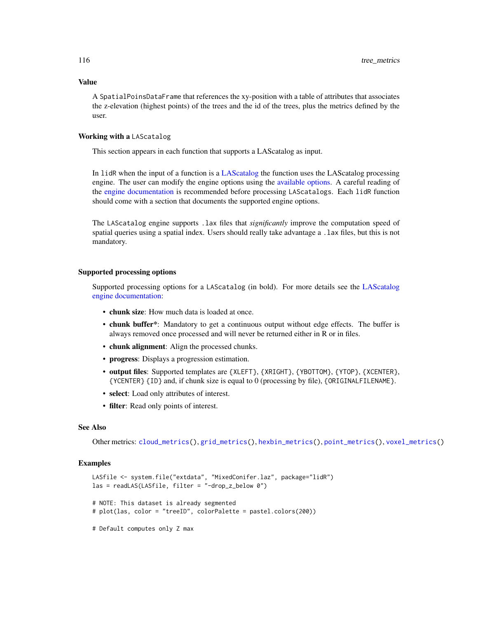### Value

A SpatialPoinsDataFrame that references the xy-position with a table of attributes that associates the z-elevation (highest points) of the trees and the id of the trees, plus the metrics defined by the user.

### Working with a LAScatalog

This section appears in each function that supports a LAScatalog as input.

In lidR when the input of a function is a [LAScatalog](#page-0-0) the function uses the LAScatalog processing engine. The user can modify the engine options using the [available options.](#page-0-0) A careful reading of the [engine documentation](#page-0-0) is recommended before processing LAScatalogs. Each lidR function should come with a section that documents the supported engine options.

The LAScatalog engine supports .lax files that *significantly* improve the computation speed of spatial queries using a spatial index. Users should really take advantage a .lax files, but this is not mandatory.

#### Supported processing options

Supported processing options for a LAScatalog (in bold). For more details see the [LAScatalog](#page-0-0) [engine documentation:](#page-0-0)

- chunk size: How much data is loaded at once.
- chunk buffer\*: Mandatory to get a continuous output without edge effects. The buffer is always removed once processed and will never be returned either in R or in files.
- chunk alignment: Align the processed chunks.
- progress: Displays a progression estimation.
- output files: Supported templates are {XLEFT}, {XRIGHT}, {YBOTTOM}, {YTOP}, {XCENTER}, {YCENTER} {ID} and, if chunk size is equal to 0 (processing by file), {ORIGINALFILENAME}.
- select: Load only attributes of interest.
- filter: Read only points of interest.

#### See Also

Other metrics: [cloud\\_metrics\(](#page-16-0)), [grid\\_metrics\(](#page-28-0)), [hexbin\\_metrics\(](#page-33-0)), [point\\_metrics\(](#page-90-0)), [voxel\\_metrics\(](#page-118-0))

```
LASfile <- system.file("extdata", "MixedConifer.laz", package="lidR")
las = readLAS(LASfile, filter = "-drop_z_below 0")
# NOTE: This dataset is already segmented
# plot(las, color = "treeID", colorPalette = pastel.colors(200))
# Default computes only Z max
```
<span id="page-115-0"></span>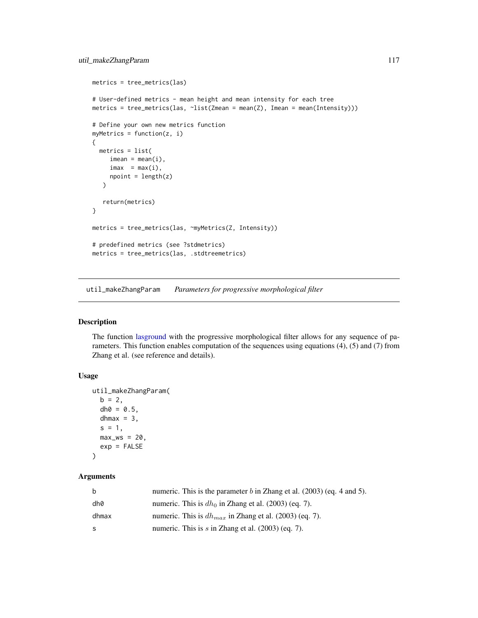```
metrics = tree_metrics(las)
# User-defined metrics - mean height and mean intensity for each tree
metrics = tree_metrics(las, \simlist(Zmean = mean(Z), Imean = mean(Intensity)))
# Define your own new metrics function
myMetrics = function(z, i){
  metrics = list(
     \text{imean} = \text{mean}(i),
     imax = max(i),
     npoint = length(z))
   return(metrics)
}
metrics = tree_metrics(las, ~myMetrics(Z, Intensity))
# predefined metrics (see ?stdmetrics)
metrics = tree_metrics(las, .stdtreemetrics)
```
util\_makeZhangParam *Parameters for progressive morphological filter*

# Description

The function [lasground](#page-57-0) with the progressive morphological filter allows for any sequence of parameters. This function enables computation of the sequences using equations (4), (5) and (7) from Zhang et al. (see reference and details).

# Usage

```
util_makeZhangParam(
  b = 2,
  dh0 = 0.5,
  dhmax = 3,
  s = 1,
 max_w = 20,
  exp = FALSE)
```
# Arguments

| b     | numeric. This is the parameter $b$ in Zhang et al. (2003) (eq. 4 and 5). |
|-------|--------------------------------------------------------------------------|
| dh0   | numeric. This is $dh_0$ in Zhang et al. (2003) (eq. 7).                  |
| dhmax | numeric. This is $dh_{max}$ in Zhang et al. (2003) (eq. 7).              |
| S.    | numeric. This is s in Zhang et al. $(2003)$ (eq. 7).                     |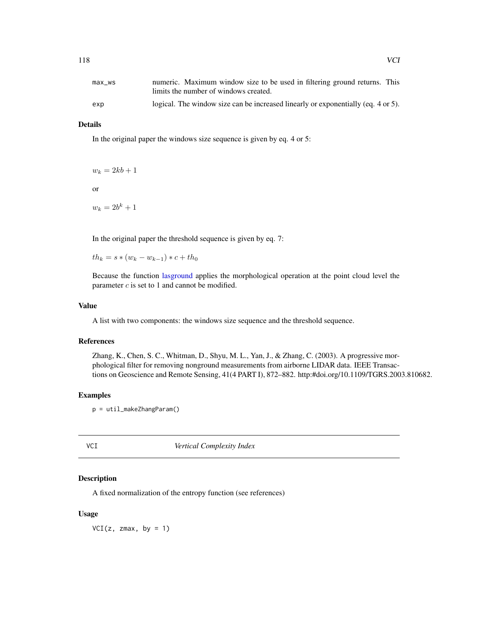<span id="page-117-0"></span>

| max ws | numeric. Maximum window size to be used in filtering ground returns. This         |
|--------|-----------------------------------------------------------------------------------|
|        | limits the number of windows created.                                             |
| exp    | logical. The window size can be increased linearly or exponentially (eq. 4 or 5). |

# Details

In the original paper the windows size sequence is given by eq. 4 or 5:

$$
w_k = 2kb + 1
$$

or

 $w_k = 2b^k + 1$ 

In the original paper the threshold sequence is given by eq. 7:

 $th_k = s * (w_k - w_{k-1}) * c + th_0$ 

Because the function [lasground](#page-57-0) applies the morphological operation at the point cloud level the parameter  $c$  is set to 1 and cannot be modified.

#### Value

A list with two components: the windows size sequence and the threshold sequence.

#### References

Zhang, K., Chen, S. C., Whitman, D., Shyu, M. L., Yan, J., & Zhang, C. (2003). A progressive morphological filter for removing nonground measurements from airborne LIDAR data. IEEE Transactions on Geoscience and Remote Sensing, 41(4 PART I), 872–882. http:#doi.org/10.1109/TGRS.2003.810682.

#### Examples

```
p = util_makeZhangParam()
```
VCI *Vertical Complexity Index*

# Description

A fixed normalization of the entropy function (see references)

#### Usage

 $VCI(z, zmax, by = 1)$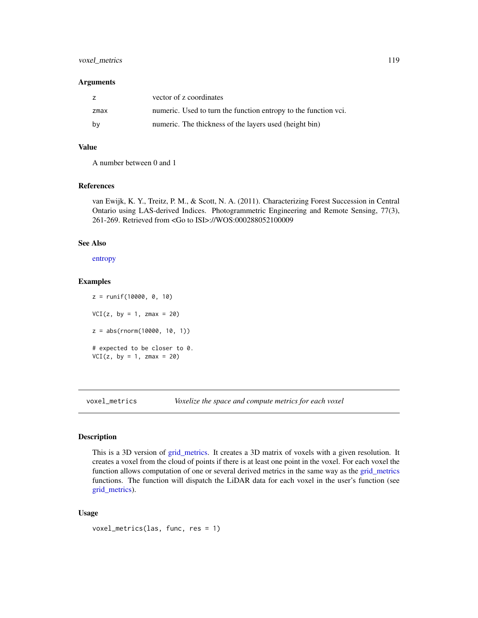# <span id="page-118-1"></span>voxel\_metrics 119

#### **Arguments**

|      | vector of z coordinates                                         |
|------|-----------------------------------------------------------------|
| zmax | numeric. Used to turn the function entropy to the function vci. |
| bv   | numeric. The thickness of the layers used (height bin)          |

# Value

A number between 0 and 1

# References

van Ewijk, K. Y., Treitz, P. M., & Scott, N. A. (2011). Characterizing Forest Succession in Central Ontario using LAS-derived Indices. Photogrammetric Engineering and Remote Sensing, 77(3), 261-269. Retrieved from <Go to ISI>://WOS:000288052100009

#### See Also

[entropy](#page-22-0)

### Examples

z = runif(10000, 0, 10)  $VCI(z, by = 1, zmax = 20)$ z = abs(rnorm(10000, 10, 1)) # expected to be closer to 0.  $VCI(z, by = 1, zmax = 20)$ 

<span id="page-118-0"></span>voxel\_metrics *Voxelize the space and compute metrics for each voxel*

# Description

This is a 3D version of [grid\\_metrics.](#page-28-0) It creates a 3D matrix of voxels with a given resolution. It creates a voxel from the cloud of points if there is at least one point in the voxel. For each voxel the function allows computation of one or several derived metrics in the same way as the [grid\\_metrics](#page-28-0) functions. The function will dispatch the LiDAR data for each voxel in the user's function (see [grid\\_metrics\)](#page-28-0).

#### Usage

```
voxel_metrics(las, func, res = 1)
```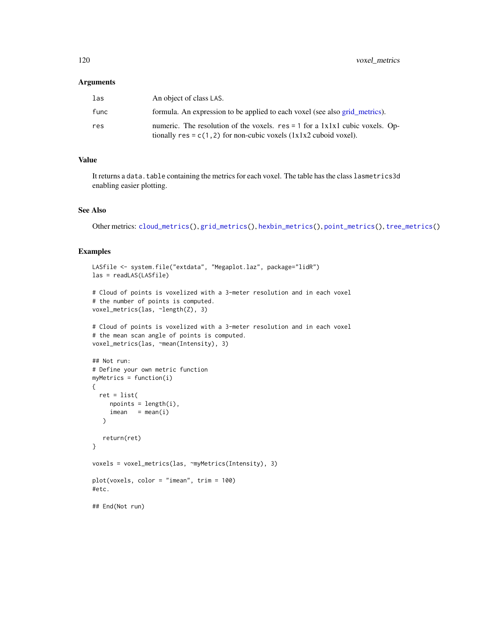#### <span id="page-119-0"></span>Arguments

| las  | An object of class LAS.                                                                                                                                   |
|------|-----------------------------------------------------------------------------------------------------------------------------------------------------------|
| func | formula. An expression to be applied to each voxel (see also grid metrics).                                                                               |
| res  | numeric. The resolution of the voxels. $res = 1$ for a $1x1x1$ cubic voxels. Op-<br>tionally res = $c(1, 2)$ for non-cubic voxels $(1x1x2$ cuboid voxel). |

#### Value

It returns a data.table containing the metrics for each voxel. The table has the class lasmetrics3d enabling easier plotting.

# See Also

Other metrics: [cloud\\_metrics\(](#page-16-0)), [grid\\_metrics\(](#page-28-0)), [hexbin\\_metrics\(](#page-33-0)), [point\\_metrics\(](#page-90-0)), [tree\\_metrics\(](#page-114-0))

```
LASfile <- system.file("extdata", "Megaplot.laz", package="lidR")
las = readLAS(LASfile)
# Cloud of points is voxelized with a 3-meter resolution and in each voxel
# the number of points is computed.
voxel_metrics(las, ~length(Z), 3)
# Cloud of points is voxelized with a 3-meter resolution and in each voxel
# the mean scan angle of points is computed.
voxel_metrics(las, ~mean(Intensity), 3)
## Not run:
# Define your own metric function
myMetrics = function(i)
{
  ret = list(npoints = length(i),\text{imean} = \text{mean}(i))
   return(ret)
}
voxels = voxel_metrics(las, ~myMetrics(Intensity), 3)
plot(voxels, color = "imean", trim = 100)
#etc.
## End(Not run)
```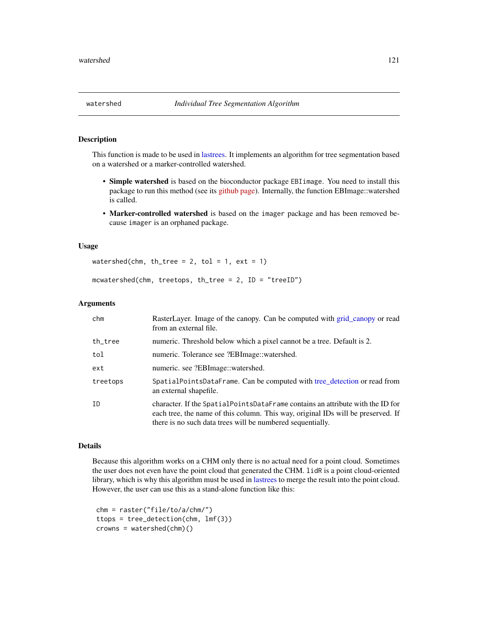#### <span id="page-120-0"></span>Description

This function is made to be used in [lastrees.](#page-71-0) It implements an algorithm for tree segmentation based on a watershed or a marker-controlled watershed.

- Simple watershed is based on the bioconductor package EBIimage. You need to install this package to run this method (see its [github page\)](https://github.com/aoles/EBImage). Internally, the function EBImage::watershed is called.
- Marker-controlled watershed is based on the imager package and has been removed because imager is an orphaned package.

#### Usage

watershed(chm, th\_tree = 2, tol = 1, ext = 1)

mcwatershed(chm, treetops, th\_tree =  $2$ , ID = "treeID")

#### Arguments

| chm      | RasterLayer. Image of the canopy. Can be computed with grid_canopy or read<br>from an external file.                                                                                                                             |
|----------|----------------------------------------------------------------------------------------------------------------------------------------------------------------------------------------------------------------------------------|
| th_tree  | numeric. Threshold below which a pixel cannot be a tree. Default is 2.                                                                                                                                                           |
| tol      | numeric. Tolerance see ?EBImage::watershed.                                                                                                                                                                                      |
| ext      | numeric. see ?EBImage::watershed.                                                                                                                                                                                                |
| treetops | SpatialPointsDataFrame. Can be computed with tree_detection or read from<br>an external shapefile.                                                                                                                               |
| ID       | character. If the SpatialPointsDataFrame contains an attribute with the ID for<br>each tree, the name of this column. This way, original IDs will be preserved. If<br>there is no such data trees will be numbered sequentially. |

#### Details

Because this algorithm works on a CHM only there is no actual need for a point cloud. Sometimes the user does not even have the point cloud that generated the CHM. lidR is a point cloud-oriented library, which is why this algorithm must be used in [lastrees](#page-71-0) to merge the result into the point cloud. However, the user can use this as a stand-alone function like this:

```
chm = raster("file/to/a/chm/")
ttops = tree_detection(chm, lmf(3))
crowns = watershed(chm)()
```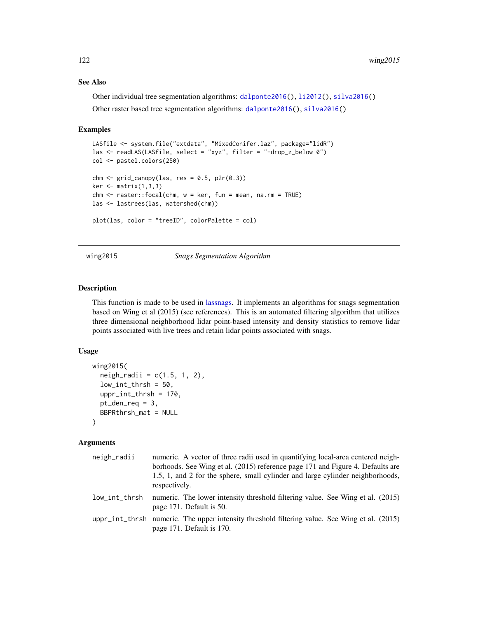#### See Also

Other individual tree segmentation algorithms: [dalponte2016\(](#page-19-0)), [li2012\(](#page-73-0)), [silva2016\(](#page-105-0)) Other raster based tree segmentation algorithms: [dalponte2016\(](#page-19-0)), [silva2016\(](#page-105-0))

#### Examples

```
LASfile <- system.file("extdata", "MixedConifer.laz", package="lidR")
las <- readLAS(LASfile, select = "xyz", filter = "-drop_z_below 0")
col <- pastel.colors(250)
chm < - grid_canopy(las, res = 0.5, p2r(0.3))
ker < - matrix(1,3,3)chm <- raster::focal(chm, w = ker, fun = mean, na.rm = TRUE)
las <- lastrees(las, watershed(chm))
plot(las, color = "treeID", colorPalette = col)
```
# wing2015 *Snags Segmentation Algorithm*

#### Description

This function is made to be used in [lassnags.](#page-68-0) It implements an algorithms for snags segmentation based on Wing et al (2015) (see references). This is an automated filtering algorithm that utilizes three dimensional neighborhood lidar point-based intensity and density statistics to remove lidar points associated with live trees and retain lidar points associated with snags.

# Usage

```
wing2015(
  neigh\_radii = c(1.5, 1, 2),low\_int\_thrsh = 50,
  uppr_int_thrsh = 170,
  pt\_den\_req = 3,
  BBPRthrsh_mat = NULL
)
```
#### Arguments

| neigh_radii   | numeric. A vector of three radii used in quantifying local-area centered neigh-<br>borhoods. See Wing et al. (2015) reference page 171 and Figure 4. Defaults are<br>1.5, 1, and 2 for the sphere, small cylinder and large cylinder neighborhoods,<br>respectively. |
|---------------|----------------------------------------------------------------------------------------------------------------------------------------------------------------------------------------------------------------------------------------------------------------------|
| low_int_thrsh | numeric. The lower intensity threshold filtering value. See Wing et al. (2015)<br>page 171. Default is 50.                                                                                                                                                           |
|               | uppr_int_thrsh numeric. The upper intensity threshold filtering value. See Wing et al. (2015)<br>page 171. Default is 170.                                                                                                                                           |

<span id="page-121-0"></span>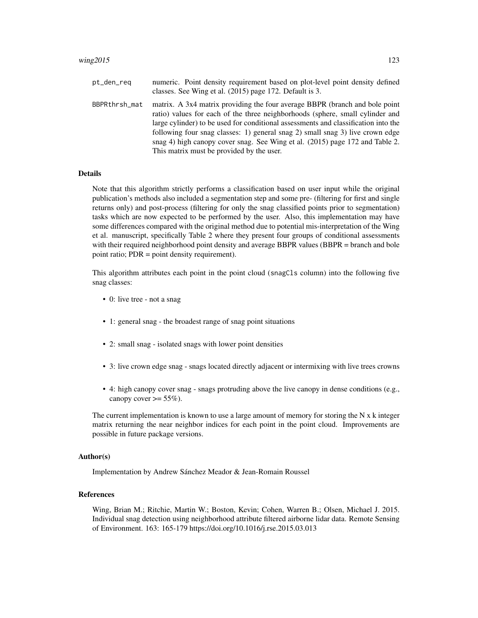| pt_den_req    | numeric. Point density requirement based on plot-level point density defined<br>classes. See Wing et al. (2015) page 172. Default is 3.                                                                                                                                                                                                                                                                                                                          |
|---------------|------------------------------------------------------------------------------------------------------------------------------------------------------------------------------------------------------------------------------------------------------------------------------------------------------------------------------------------------------------------------------------------------------------------------------------------------------------------|
| BBPRthrsh_mat | matrix. A 3x4 matrix providing the four average BBPR (branch and bole point<br>ratio) values for each of the three neighborhoods (sphere, small cylinder and<br>large cylinder) to be used for conditional assessments and classification into the<br>following four snag classes: 1) general snag 2) small snag 3) live crown edge<br>snag 4) high canopy cover snag. See Wing et al. (2015) page 172 and Table 2.<br>This matrix must be provided by the user. |

# **Details**

Note that this algorithm strictly performs a classification based on user input while the original publication's methods also included a segmentation step and some pre- (filtering for first and single returns only) and post-process (filtering for only the snag classified points prior to segmentation) tasks which are now expected to be performed by the user. Also, this implementation may have some differences compared with the original method due to potential mis-interpretation of the Wing et al. manuscript, specifically Table 2 where they present four groups of conditional assessments with their required neighborhood point density and average BBPR values (BBPR = branch and bole point ratio; PDR = point density requirement).

This algorithm attributes each point in the point cloud (snagCls column) into the following five snag classes:

- 0: live tree not a snag
- 1: general snag the broadest range of snag point situations
- 2: small snag isolated snags with lower point densities
- 3: live crown edge snag snags located directly adjacent or intermixing with live trees crowns
- 4: high canopy cover snag snags protruding above the live canopy in dense conditions (e.g., canopy cover  $\geq$  55%).

The current implementation is known to use a large amount of memory for storing the  $N \times k$  integer matrix returning the near neighbor indices for each point in the point cloud. Improvements are possible in future package versions.

#### Author(s)

Implementation by Andrew Sánchez Meador & Jean-Romain Roussel

#### References

Wing, Brian M.; Ritchie, Martin W.; Boston, Kevin; Cohen, Warren B.; Olsen, Michael J. 2015. Individual snag detection using neighborhood attribute filtered airborne lidar data. Remote Sensing of Environment. 163: 165-179 https://doi.org/10.1016/j.rse.2015.03.013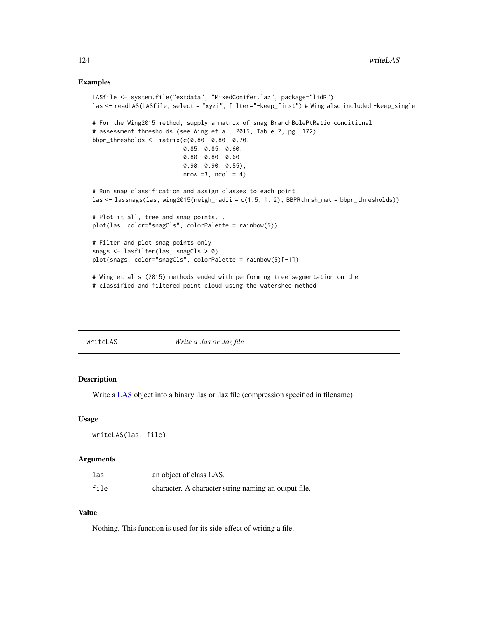#### <span id="page-123-0"></span>Examples

```
LASfile <- system.file("extdata", "MixedConifer.laz", package="lidR")
las <- readLAS(LASfile, select = "xyzi", filter="-keep_first") # Wing also included -keep_single
# For the Wing2015 method, supply a matrix of snag BranchBolePtRatio conditional
# assessment thresholds (see Wing et al. 2015, Table 2, pg. 172)
bbpr_thresholds <- matrix(c(0.80, 0.80, 0.70,
                          0.85, 0.85, 0.60,
                          0.80, 0.80, 0.60,
                          0.90, 0.90, 0.55),
                          nrow = 3, ncol = 4# Run snag classification and assign classes to each point
las <- lassnags(las, wing2015(neigh_radii = c(1.5, 1, 2), BBPRthrsh_mat = bbpr_thresholds))
# Plot it all, tree and snag points...
plot(las, color="snagCls", colorPalette = rainbow(5))
# Filter and plot snag points only
snags <- lasfilter(las, snagCls > 0)
plot(snags, color="snagCls", colorPalette = rainbow(5)[-1])
# Wing et al's (2015) methods ended with performing tree segmentation on the
# classified and filtered point cloud using the watershed method
```

|--|

# Description

Write a [LAS](#page-39-0) object into a binary .las or .laz file (compression specified in filename)

#### Usage

```
writeLAS(las, file)
```
#### Arguments

| las  | an object of class LAS.                              |
|------|------------------------------------------------------|
| file | character. A character string naming an output file. |

#### Value

Nothing. This function is used for its side-effect of writing a file.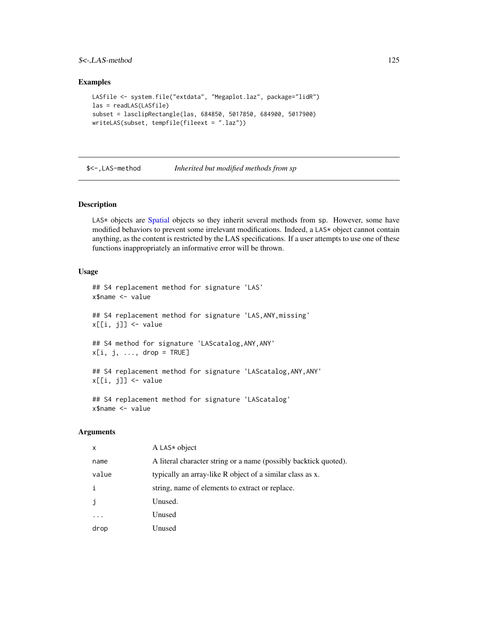# <span id="page-124-0"></span> $\frac{\text{S}\leq \text{LAS-method}}{125}$

### Examples

```
LASfile <- system.file("extdata", "Megaplot.laz", package="lidR")
las = readLAS(LASfile)
subset = lasclipRectangle(las, 684850, 5017850, 684900, 5017900)
writeLAS(subset, tempfile(fileext = ".laz"))
```
\$<-,LAS-method *Inherited but modified methods from sp*

#### Description

LAS\* objects are [Spatial](#page-0-0) objects so they inherit several methods from sp. However, some have modified behaviors to prevent some irrelevant modifications. Indeed, a LAS\* object cannot contain anything, as the content is restricted by the LAS specifications. If a user attempts to use one of these functions inappropriately an informative error will be thrown.

#### Usage

```
## S4 replacement method for signature 'LAS'
x$name <- value
## S4 replacement method for signature 'LAS, ANY, missing'
x[[i, j]] <- value
## S4 method for signature 'LAScatalog,ANY,ANY'
x[i, j, ..., drop = TRUE]## S4 replacement method for signature 'LAScatalog, ANY, ANY'
x[[i, j]] <- value
## S4 replacement method for signature 'LAScatalog'
```

```
x$name <- value
```
#### Arguments

| x     | A LAS $*$ object                                                 |
|-------|------------------------------------------------------------------|
| name  | A literal character string or a name (possibly backtick quoted). |
| value | typically an array-like R object of a similar class as x.        |
| i     | string, name of elements to extract or replace.                  |
| j     | Unused.                                                          |
|       | Unused                                                           |
| drop  | Unused                                                           |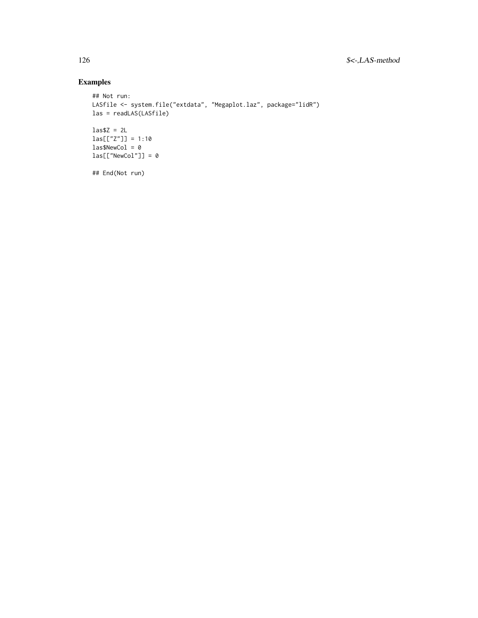```
## Not run:
LASfile <- system.file("extdata", "Megaplot.laz", package="lidR")
las = readLAS(LASfile)
\text{las$Z = 2L$}las[["Z"] = 1:10las$NewCol = 0
las[["NewCol"] = 0## End(Not run)
```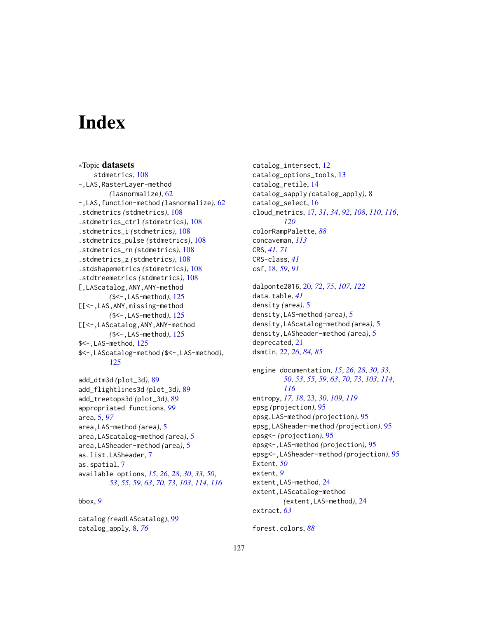# **Index**

∗Topic datasets stdmetrics, [108](#page-107-0) -,LAS,RasterLayer-method *(*lasnormalize*)*, [62](#page-61-1) -,LAS,function-method *(*lasnormalize*)*, [62](#page-61-1) .stdmetrics *(*stdmetrics*)*, [108](#page-107-0) .stdmetrics\_ctrl *(*stdmetrics*)*, [108](#page-107-0) .stdmetrics\_i *(*stdmetrics*)*, [108](#page-107-0) .stdmetrics\_pulse *(*stdmetrics*)*, [108](#page-107-0) .stdmetrics\_rn *(*stdmetrics*)*, [108](#page-107-0) .stdmetrics\_z *(*stdmetrics*)*, [108](#page-107-0) .stdshapemetrics *(*stdmetrics*)*, [108](#page-107-0) .stdtreemetrics *(*stdmetrics*)*, [108](#page-107-0) [,LAScatalog,ANY,ANY-method *(*\$<-,LAS-method*)*, [125](#page-124-0) [[<-,LAS,ANY,missing-method *(*\$<-,LAS-method*)*, [125](#page-124-0) [[<-,LAScatalog,ANY,ANY-method *(*\$<-,LAS-method*)*, [125](#page-124-0) \$<-,LAS-method, [125](#page-124-0) \$<-,LAScatalog-method *(*\$<-,LAS-method*)*, [125](#page-124-0) add\_dtm3d *(*plot\_3d*)*, [89](#page-88-0) add\_flightlines3d *(*plot\_3d*)*, [89](#page-88-0) add\_treetops3d *(*plot\_3d*)*, [89](#page-88-0) appropriated functions, *[99](#page-98-0)* area, [5,](#page-4-0) *[97](#page-96-0)* area,LAS-method *(*area*)*, [5](#page-4-0) area,LAScatalog-method *(*area*)*, [5](#page-4-0) area,LASheader-method *(*area*)*, [5](#page-4-0)

as.list.LASheader, [7](#page-6-0) as.spatial, [7](#page-6-0) available options, *[15](#page-14-0)*, *[26](#page-25-1)*, *[28](#page-27-0)*, *[30](#page-29-0)*, *[33](#page-32-0)*, *[50](#page-49-0)*, *[53](#page-52-0)*, *[55](#page-54-0)*, *[59](#page-58-0)*, *[63](#page-62-0)*, *[70](#page-69-0)*, *[73](#page-72-0)*, *[103](#page-102-0)*, *[114](#page-113-0)*, *[116](#page-115-0)*

bbox, *[9](#page-8-0)*

catalog *(*readLAScatalog*)*, [99](#page-98-0) catalog\_apply, [8,](#page-7-0) *[76](#page-75-0)*

catalog\_intersect, [12](#page-11-0) catalog\_options\_tools, [13](#page-12-0) catalog\_retile, [14](#page-13-0) catalog\_sapply *(*catalog\_apply*)*, [8](#page-7-0) catalog\_select, [16](#page-15-0) cloud\_metrics, [17,](#page-16-1) *[31](#page-30-0)*, *[34](#page-33-1)*, *[92](#page-91-0)*, *[108](#page-107-0)*, *[110](#page-109-0)*, *[116](#page-115-0)*, *[120](#page-119-0)* colorRampPalette, *[88](#page-87-0)* concaveman, *[113](#page-112-1)* CRS, *[41](#page-40-0)*, *[71](#page-70-0)* CRS-class, *[41](#page-40-0)* csf, [18,](#page-17-0) *[59](#page-58-0)*, *[91](#page-90-1)*

dalponte2016, [20,](#page-19-1) *[72](#page-71-1)*, *[75](#page-74-0)*, *[107](#page-106-0)*, *[122](#page-121-0)* data.table, *[41](#page-40-0)* density *(*area*)*, [5](#page-4-0) density,LAS-method *(*area*)*, [5](#page-4-0) density,LAScatalog-method *(*area*)*, [5](#page-4-0) density,LASheader-method *(*area*)*, [5](#page-4-0) deprecated, [21](#page-20-1) dsmtin, [22,](#page-21-0) *[26](#page-25-1)*, *[84,](#page-83-0) [85](#page-84-0)*

engine documentation, *[15](#page-14-0)*, *[26](#page-25-1)*, *[28](#page-27-0)*, *[30](#page-29-0)*, *[33](#page-32-0)*, *[50](#page-49-0)*, *[53](#page-52-0)*, *[55](#page-54-0)*, *[59](#page-58-0)*, *[63](#page-62-0)*, *[70](#page-69-0)*, *[73](#page-72-0)*, *[103](#page-102-0)*, *[114](#page-113-0)*, *[116](#page-115-0)* entropy, *[17,](#page-16-1) [18](#page-17-0)*, [23,](#page-22-1) *[30](#page-29-0)*, *[109](#page-108-0)*, *[119](#page-118-1)* epsg *(*projection*)*, [95](#page-94-0) epsg,LAS-method *(*projection*)*, [95](#page-94-0) epsg,LASheader-method *(*projection*)*, [95](#page-94-0) epsg<- *(*projection*)*, [95](#page-94-0) epsg<-,LAS-method *(*projection*)*, [95](#page-94-0) epsg<-,LASheader-method *(*projection*)*, [95](#page-94-0) Extent, *[50](#page-49-0)* extent, *[9](#page-8-0)* extent,LAS-method, [24](#page-23-0) extent,LAScatalog-method *(*extent,LAS-method*)*, [24](#page-23-0) extract, *[63](#page-62-0)*

forest.colors, *[88](#page-87-0)*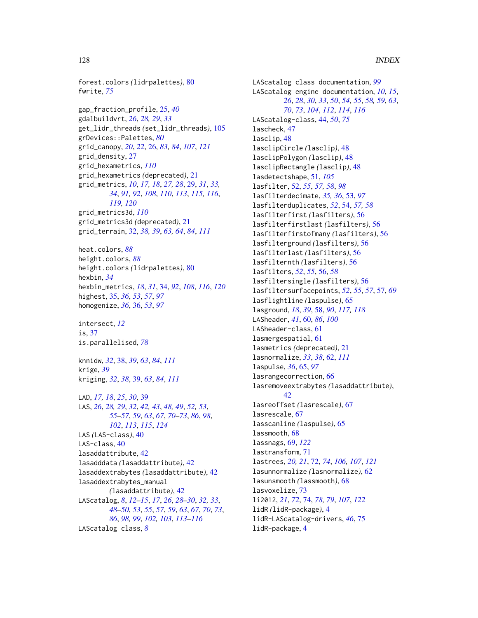forest.colors *(*lidrpalettes*)*, [80](#page-79-0) fwrite, *[75](#page-74-0)*

gap\_fraction\_profile, [25,](#page-24-0) *[40](#page-39-1)* gdalbuildvrt, *[26](#page-25-1)*, *[28,](#page-27-0) [29](#page-28-1)*, *[33](#page-32-0)* get\_lidr\_threads *(*set\_lidr\_threads*)*, [105](#page-104-0) grDevices::Palettes, *[80](#page-79-0)* grid\_canopy, *[20](#page-19-1)*, *[22](#page-21-0)*, [26,](#page-25-1) *[83,](#page-82-0) [84](#page-83-0)*, *[107](#page-106-0)*, *[121](#page-120-0)* grid\_density, [27](#page-26-0) grid\_hexametrics, *[110](#page-109-0)* grid\_hexametrics *(*deprecated*)*, [21](#page-20-1) grid\_metrics, *[10](#page-9-0)*, *[17,](#page-16-1) [18](#page-17-0)*, *[27,](#page-26-0) [28](#page-27-0)*, [29,](#page-28-1) *[31](#page-30-0)*, *[33,](#page-32-0) [34](#page-33-1)*, *[91,](#page-90-1) [92](#page-91-0)*, *[108](#page-107-0)*, *[110](#page-109-0)*, *[113](#page-112-1)*, *[115,](#page-114-1) [116](#page-115-0)*, *[119,](#page-118-1) [120](#page-119-0)* grid\_metrics3d, *[110](#page-109-0)* grid\_metrics3d *(*deprecated*)*, [21](#page-20-1) grid\_terrain, [32,](#page-31-1) *[38,](#page-37-1) [39](#page-38-1)*, *[63,](#page-62-0) [64](#page-63-0)*, *[84](#page-83-0)*, *[111](#page-110-0)*

heat.colors, *[88](#page-87-0)* height.colors, *[88](#page-87-0)* height.colors *(*lidrpalettes*)*, [80](#page-79-0) hexbin, *[34](#page-33-1)* hexbin\_metrics, *[18](#page-17-0)*, *[31](#page-30-0)*, [34,](#page-33-1) *[92](#page-91-0)*, *[108](#page-107-0)*, *[116](#page-115-0)*, *[120](#page-119-0)* highest, [35,](#page-34-0) *[36](#page-35-0)*, *[53](#page-52-0)*, *[57](#page-56-0)*, *[97](#page-96-0)* homogenize, *[36](#page-35-0)*, [36,](#page-35-0) *[53](#page-52-0)*, *[97](#page-96-0)*

intersect, *[12](#page-11-0)* is, [37](#page-36-0) is.parallelised, *[78](#page-77-0)*

knnidw, *[32](#page-31-1)*, [38,](#page-37-1) *[39](#page-38-1)*, *[63](#page-62-0)*, *[84](#page-83-0)*, *[111](#page-110-0)* krige, *[39](#page-38-1)* kriging, *[32](#page-31-1)*, *[38](#page-37-1)*, [39,](#page-38-1) *[63](#page-62-0)*, *[84](#page-83-0)*, *[111](#page-110-0)*

LAD, *[17,](#page-16-1) [18](#page-17-0)*, *[25](#page-24-0)*, *[30](#page-29-0)*, [39](#page-38-1) LAS, *[26](#page-25-1)*, *[28,](#page-27-0) [29](#page-28-1)*, *[32](#page-31-1)*, *[42,](#page-41-0) [43](#page-42-0)*, *[48,](#page-47-0) [49](#page-48-0)*, *[52,](#page-51-0) [53](#page-52-0)*, *[55](#page-54-0)[–57](#page-56-0)*, *[59](#page-58-0)*, *[63](#page-62-0)*, *[67](#page-66-0)*, *[70–](#page-69-0)[73](#page-72-0)*, *[86](#page-85-0)*, *[98](#page-97-0)*, *[102](#page-101-0)*, *[113](#page-112-1)*, *[115](#page-114-1)*, *[124](#page-123-0)* LAS *(*LAS-class*)*, [40](#page-39-1) LAS-class, [40](#page-39-1) lasaddattribute, [42](#page-41-0) lasadddata *(*lasaddattribute*)*, [42](#page-41-0) lasaddextrabytes *(*lasaddattribute*)*, [42](#page-41-0) lasaddextrabytes\_manual *(*lasaddattribute*)*, [42](#page-41-0) LAScatalog, *[8](#page-7-0)*, *[12](#page-11-0)[–15](#page-14-0)*, *[17](#page-16-1)*, *[26](#page-25-1)*, *[28–](#page-27-0)[30](#page-29-0)*, *[32,](#page-31-1) [33](#page-32-0)*, *[48](#page-47-0)[–50](#page-49-0)*, *[53](#page-52-0)*, *[55](#page-54-0)*, *[57](#page-56-0)*, *[59](#page-58-0)*, *[63](#page-62-0)*, *[67](#page-66-0)*, *[70](#page-69-0)*, *[73](#page-72-0)*, *[86](#page-85-0)*, *[98,](#page-97-0) [99](#page-98-0)*, *[102,](#page-101-0) [103](#page-102-0)*, *[113–](#page-112-1)[116](#page-115-0)* LAScatalog class, *[8](#page-7-0)*

LAScatalog class documentation, *[99](#page-98-0)* LAScatalog engine documentation, *[10](#page-9-0)*, *[15](#page-14-0)*, *[26](#page-25-1)*, *[28](#page-27-0)*, *[30](#page-29-0)*, *[33](#page-32-0)*, *[50](#page-49-0)*, *[54,](#page-53-0) [55](#page-54-0)*, *[58,](#page-57-1) [59](#page-58-0)*, *[63](#page-62-0)*, *[70](#page-69-0)*, *[73](#page-72-0)*, *[104](#page-103-0)*, *[112](#page-111-1)*, *[114](#page-113-0)*, *[116](#page-115-0)* LAScatalog-class, [44,](#page-43-0) *[50](#page-49-0)*, *[75](#page-74-0)* lascheck, [47](#page-46-0) lasclip, [48](#page-47-0) lasclipCircle *(*lasclip*)*, [48](#page-47-0) lasclipPolygon *(*lasclip*)*, [48](#page-47-0) lasclipRectangle *(*lasclip*)*, [48](#page-47-0) lasdetectshape, [51,](#page-50-0) *[105](#page-104-0)* lasfilter, [52,](#page-51-0) *[55](#page-54-0)*, *[57,](#page-56-0) [58](#page-57-1)*, *[98](#page-97-0)* lasfilterdecimate, *[35,](#page-34-0) [36](#page-35-0)*, [53,](#page-52-0) *[97](#page-96-0)* lasfilterduplicates, *[52](#page-51-0)*, [54,](#page-53-0) *[57,](#page-56-0) [58](#page-57-1)* lasfilterfirst *(*lasfilters*)*, [56](#page-55-0) lasfilterfirstlast *(*lasfilters*)*, [56](#page-55-0) lasfilterfirstofmany *(*lasfilters*)*, [56](#page-55-0) lasfilterground *(*lasfilters*)*, [56](#page-55-0) lasfilterlast *(*lasfilters*)*, [56](#page-55-0) lasfilternth *(*lasfilters*)*, [56](#page-55-0) lasfilters, *[52](#page-51-0)*, *[55](#page-54-0)*, [56,](#page-55-0) *[58](#page-57-1)* lasfiltersingle *(*lasfilters*)*, [56](#page-55-0) lasfiltersurfacepoints, *[52](#page-51-0)*, *[55](#page-54-0)*, *[57](#page-56-0)*, [57,](#page-56-0) *[69](#page-68-1)* lasflightline *(*laspulse*)*, [65](#page-64-0) lasground, *[18](#page-17-0)*, *[39](#page-38-1)*, [58,](#page-57-1) *[90](#page-89-0)*, *[117,](#page-116-0) [118](#page-117-0)* LASheader, *[41](#page-40-0)*, [60,](#page-59-0) *[86](#page-85-0)*, *[100](#page-99-0)* LASheader-class, [61](#page-60-0) lasmergespatial, [61](#page-60-0) lasmetrics *(*deprecated*)*, [21](#page-20-1) lasnormalize, *[33](#page-32-0)*, *[38](#page-37-1)*, [62,](#page-61-1) *[111](#page-110-0)* laspulse, *[36](#page-35-0)*, [65,](#page-64-0) *[97](#page-96-0)* lasrangecorrection, [66](#page-65-0) lasremoveextrabytes *(*lasaddattribute*)*, [42](#page-41-0) lasreoffset *(*lasrescale*)*, [67](#page-66-0) lasrescale, [67](#page-66-0) lasscanline *(*laspulse*)*, [65](#page-64-0) lassmooth, [68](#page-67-0) lassnags, [69,](#page-68-1) *[122](#page-121-0)* lastransform, [71](#page-70-0) lastrees, *[20,](#page-19-1) [21](#page-20-1)*, [72,](#page-71-1) *[74](#page-73-1)*, *[106,](#page-105-1) [107](#page-106-0)*, *[121](#page-120-0)* lasunnormalize *(*lasnormalize*)*, [62](#page-61-1) lasunsmooth *(*lassmooth*)*, [68](#page-67-0) lasvoxelize, [73](#page-72-0) li2012, *[21](#page-20-1)*, *[72](#page-71-1)*, [74,](#page-73-1) *[78,](#page-77-0) [79](#page-78-0)*, *[107](#page-106-0)*, *[122](#page-121-0)* lidR *(*lidR-package*)*, [4](#page-3-0) lidR-LAScatalog-drivers, *[46](#page-45-0)*, [75](#page-74-0) lidR-package, [4](#page-3-0)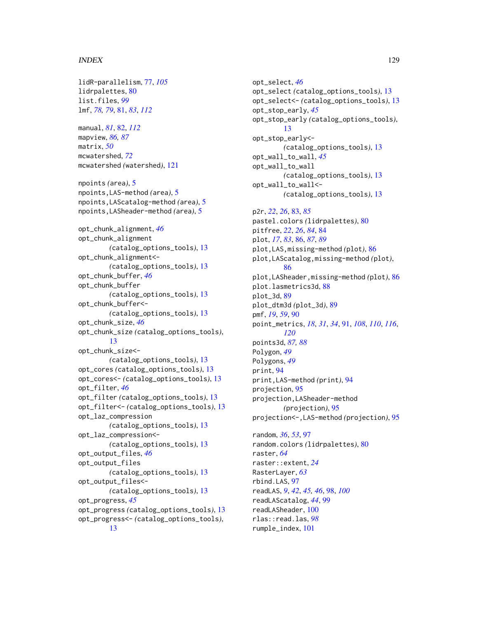#### INDEX 229

lidR-parallelism, [77,](#page-76-0) *[105](#page-104-0)* lidrpalettes, [80](#page-79-0) list.files, *[99](#page-98-0)* lmf, *[78,](#page-77-0) [79](#page-78-0)*, [81,](#page-80-1) *[83](#page-82-0)*, *[112](#page-111-1)* manual, *[81](#page-80-1)*, [82,](#page-81-1) *[112](#page-111-1)* mapview, *[86,](#page-85-0) [87](#page-86-0)* matrix, *[50](#page-49-0)* mcwatershed, *[72](#page-71-1)* mcwatershed *(*watershed*)*, [121](#page-120-0) npoints *(*area*)*, [5](#page-4-0) npoints,LAS-method *(*area*)*, [5](#page-4-0) npoints,LAScatalog-method *(*area*)*, [5](#page-4-0) npoints,LASheader-method *(*area*)*, [5](#page-4-0) opt\_chunk\_alignment, *[46](#page-45-0)* opt\_chunk\_alignment *(*catalog\_options\_tools*)*, [13](#page-12-0) opt\_chunk\_alignment<- *(*catalog\_options\_tools*)*, [13](#page-12-0) opt\_chunk\_buffer, *[46](#page-45-0)* opt\_chunk\_buffer *(*catalog\_options\_tools*)*, [13](#page-12-0) opt\_chunk\_buffer<- *(*catalog\_options\_tools*)*, [13](#page-12-0) opt\_chunk\_size, *[46](#page-45-0)* opt\_chunk\_size *(*catalog\_options\_tools*)*, [13](#page-12-0) opt\_chunk\_size<- *(*catalog\_options\_tools*)*, [13](#page-12-0) opt\_cores *(*catalog\_options\_tools*)*, [13](#page-12-0) opt\_cores<- *(*catalog\_options\_tools*)*, [13](#page-12-0) opt\_filter, *[46](#page-45-0)* opt\_filter *(*catalog\_options\_tools*)*, [13](#page-12-0) opt\_filter<- *(*catalog\_options\_tools*)*, [13](#page-12-0) opt\_laz\_compression *(*catalog\_options\_tools*)*, [13](#page-12-0) opt\_laz\_compression<- *(*catalog\_options\_tools*)*, [13](#page-12-0) opt\_output\_files, *[46](#page-45-0)* opt\_output\_files *(*catalog\_options\_tools*)*, [13](#page-12-0) opt\_output\_files<- *(*catalog\_options\_tools*)*, [13](#page-12-0) opt\_progress, *[45](#page-44-0)* opt\_progress *(*catalog\_options\_tools*)*, [13](#page-12-0) opt\_progress<- *(*catalog\_options\_tools*)*, [13](#page-12-0)

opt\_select, *[46](#page-45-0)* opt\_select *(*catalog\_options\_tools*)*, [13](#page-12-0) opt\_select<- *(*catalog\_options\_tools*)*, [13](#page-12-0) opt\_stop\_early, *[45](#page-44-0)* opt\_stop\_early *(*catalog\_options\_tools*)*, [13](#page-12-0) opt\_stop\_early<- *(*catalog\_options\_tools*)*, [13](#page-12-0) opt\_wall\_to\_wall, *[45](#page-44-0)* opt\_wall\_to\_wall *(*catalog\_options\_tools*)*, [13](#page-12-0) opt\_wall\_to\_wall<- *(*catalog\_options\_tools*)*, [13](#page-12-0) p2r, *[22](#page-21-0)*, *[26](#page-25-1)*, [83,](#page-82-0) *[85](#page-84-0)* pastel.colors *(*lidrpalettes*)*, [80](#page-79-0) pitfree, *[22](#page-21-0)*, *[26](#page-25-1)*, *[84](#page-83-0)*, [84](#page-83-0) plot, *[17](#page-16-1)*, *[83](#page-82-0)*, [86,](#page-85-0) *[87](#page-86-0)*, *[89](#page-88-0)* plot,LAS,missing-method *(*plot*)*, [86](#page-85-0) plot,LAScatalog,missing-method *(*plot*)*, [86](#page-85-0) plot,LASheader,missing-method *(*plot*)*, [86](#page-85-0) plot.lasmetrics3d, [88](#page-87-0) plot\_3d, [89](#page-88-0) plot\_dtm3d *(*plot\_3d*)*, [89](#page-88-0) pmf, *[19](#page-18-0)*, *[59](#page-58-0)*, [90](#page-89-0) point\_metrics, *[18](#page-17-0)*, *[31](#page-30-0)*, *[34](#page-33-1)*, [91,](#page-90-1) *[108](#page-107-0)*, *[110](#page-109-0)*, *[116](#page-115-0)*, *[120](#page-119-0)* points3d, *[87,](#page-86-0) [88](#page-87-0)* Polygon, *[49](#page-48-0)* Polygons, *[49](#page-48-0)* print, [94](#page-93-0) print,LAS-method *(*print*)*, [94](#page-93-0) projection, [95](#page-94-0) projection,LASheader-method *(*projection*)*, [95](#page-94-0) projection<-,LAS-method *(*projection*)*, [95](#page-94-0) random, *[36](#page-35-0)*, *[53](#page-52-0)*, [97](#page-96-0) random.colors *(*lidrpalettes*)*, [80](#page-79-0) raster, *[64](#page-63-0)* raster::extent, *[24](#page-23-0)* RasterLayer, *[63](#page-62-0)* rbind.LAS, [97](#page-96-0) readLAS, *[9](#page-8-0)*, *[42](#page-41-0)*, *[45,](#page-44-0) [46](#page-45-0)*, [98,](#page-97-0) *[100](#page-99-0)* readLAScatalog, *[44](#page-43-0)*, [99](#page-98-0) readLASheader, [100](#page-99-0) rlas::read.las, *[98](#page-97-0)* rumple\_index, [101](#page-100-0)